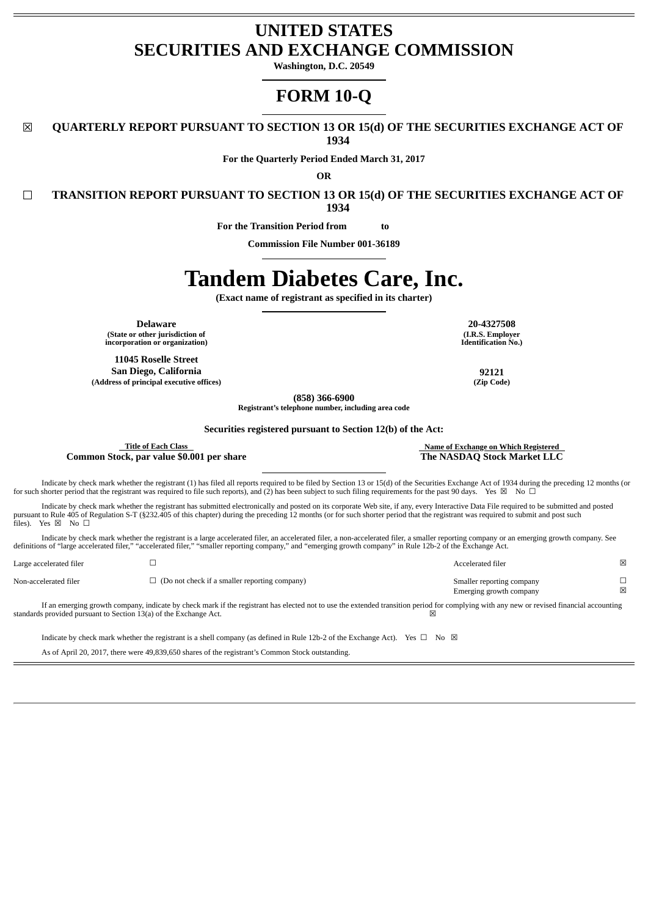# **UNITED STATES SECURITIES AND EXCHANGE COMMISSION**

**Washington, D.C. 20549**

**FORM 10-Q**

☒ **QUARTERLY REPORT PURSUANT TO SECTION 13 OR 15(d) OF THE SECURITIES EXCHANGE ACT OF 1934**

**For the Quarterly Period Ended March 31, 2017**

**OR**

☐ **TRANSITION REPORT PURSUANT TO SECTION 13 OR 15(d) OF THE SECURITIES EXCHANGE ACT OF**

**1934**

**For the Transition Period from to**

**Commission File Number 001-36189**

# **Tandem Diabetes Care, Inc.**

**(Exact name of registrant as specified in its charter)**

**Delaware 20-4327508 (State or other jurisdiction of incorporation or organization)**

**11045 Roselle Street San Diego, California 92121 (Address of principal executive offices) (Zip Code)**

**(858) 366-6900**

**Registrant's telephone number, including area code**

**Securities registered pursuant to Section 12(b) of the Act:**

**Common Stock, par value \$0.001 per share** 

**Title of Each Class Name of Exchange on Which Registered**

Indicate by check mark whether the registrant (1) has filed all reports required to be filed by Section 13 or 15(d) of the Securities Exchange Act of 1934 during the preceding 12 months (or for such shorter period that the registrant was required to file such reports), and (2) has been subject to such filing requirements for the past 90 days. Yes  $\boxtimes$  No  $\Box$ 

Indicate by check mark whether the registrant has submitted electronically and posted on its corporate Web site, if any, every Interactive Data File required to be submitted and posted pursuant to Rule 405 of Regulation S-T (§232.405 of this chapter) during the preceding 12 months (or for such shorter period that the registrant was required to submit and post such files). Yes ⊠ No □

Indicate by check mark whether the registrant is a large accelerated filer, an accelerated filer, a non-accelerated filer, a smaller reporting company or an emerging growth company. See definitions of "large accelerated filer," "accelerated filer," "smaller reporting company," and "emerging growth company" in Rule 12b-2 of the Exchange Act.

| Large accelerated filer |                                                                                                                                                                                         | Accelerated filer                                    | X |
|-------------------------|-----------------------------------------------------------------------------------------------------------------------------------------------------------------------------------------|------------------------------------------------------|---|
| Non-accelerated filer   | $\Box$ (Do not check if a smaller reporting company)                                                                                                                                    | Smaller reporting company<br>Emerging growth company | X |
|                         | If an emerging growth company indicate by check mark if the registrant has elected not to use the extended transition period for complying with any new or revised financial accounting |                                                      |   |

If an emerging growth company, indicate by check mark if the registrant has elected not to use the extended transition period for complying with any new or revised financial accounting standards provided pursuant to Section 13(a) of the Exchange Act.  $\ldots$  are explanation to Section 13(a) of the Exchange Act.  $\boxtimes$ 

Indicate by check mark whether the registrant is a shell company (as defined in Rule 12b-2 of the Exchange Act). Yes  $\Box$  No  $\boxtimes$ 

As of April 20, 2017, there were 49,839,650 shares of the registrant's Common Stock outstanding.

**(I.R.S. Employer Identification No.)**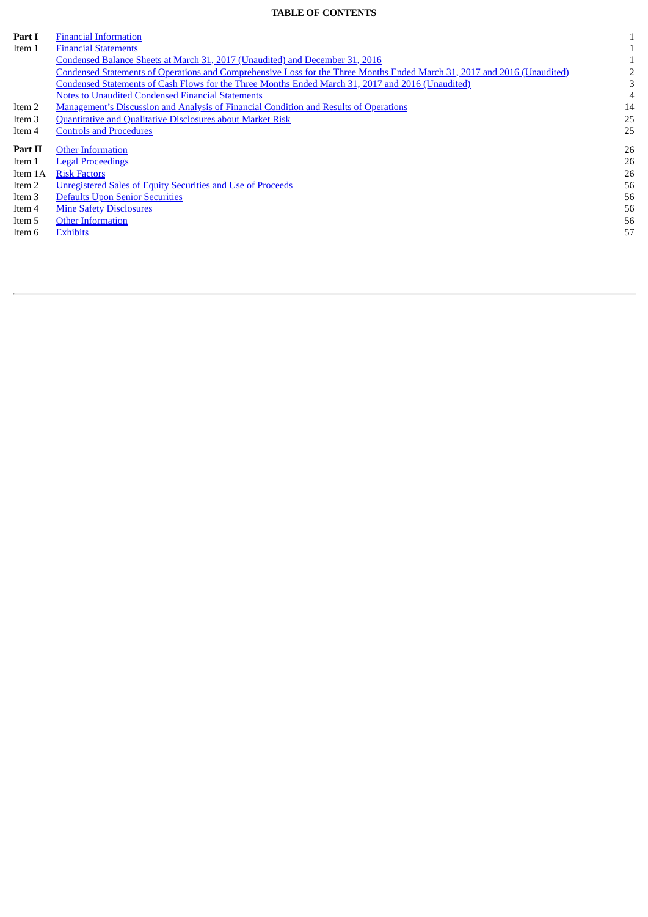# **TABLE OF CONTENTS**

| 3                                                                                                                                                                                                                                                                                                                                                                                                             |
|---------------------------------------------------------------------------------------------------------------------------------------------------------------------------------------------------------------------------------------------------------------------------------------------------------------------------------------------------------------------------------------------------------------|
| 4                                                                                                                                                                                                                                                                                                                                                                                                             |
| 14                                                                                                                                                                                                                                                                                                                                                                                                            |
| 25                                                                                                                                                                                                                                                                                                                                                                                                            |
| 25                                                                                                                                                                                                                                                                                                                                                                                                            |
| 26                                                                                                                                                                                                                                                                                                                                                                                                            |
| 26                                                                                                                                                                                                                                                                                                                                                                                                            |
| 26                                                                                                                                                                                                                                                                                                                                                                                                            |
| 56                                                                                                                                                                                                                                                                                                                                                                                                            |
| 56                                                                                                                                                                                                                                                                                                                                                                                                            |
| 56                                                                                                                                                                                                                                                                                                                                                                                                            |
| 56                                                                                                                                                                                                                                                                                                                                                                                                            |
| 57                                                                                                                                                                                                                                                                                                                                                                                                            |
|                                                                                                                                                                                                                                                                                                                                                                                                               |
| Condensed Balance Sheets at March 31, 2017 (Unaudited) and December 31, 2016<br>Condensed Statements of Operations and Comprehensive Loss for the Three Months Ended March 31, 2017 and 2016 (Unaudited)<br>Condensed Statements of Cash Flows for the Three Months Ended March 31, 2017 and 2016 (Unaudited)<br><b>Management's Discussion and Analysis of Financial Condition and Results of Operations</b> |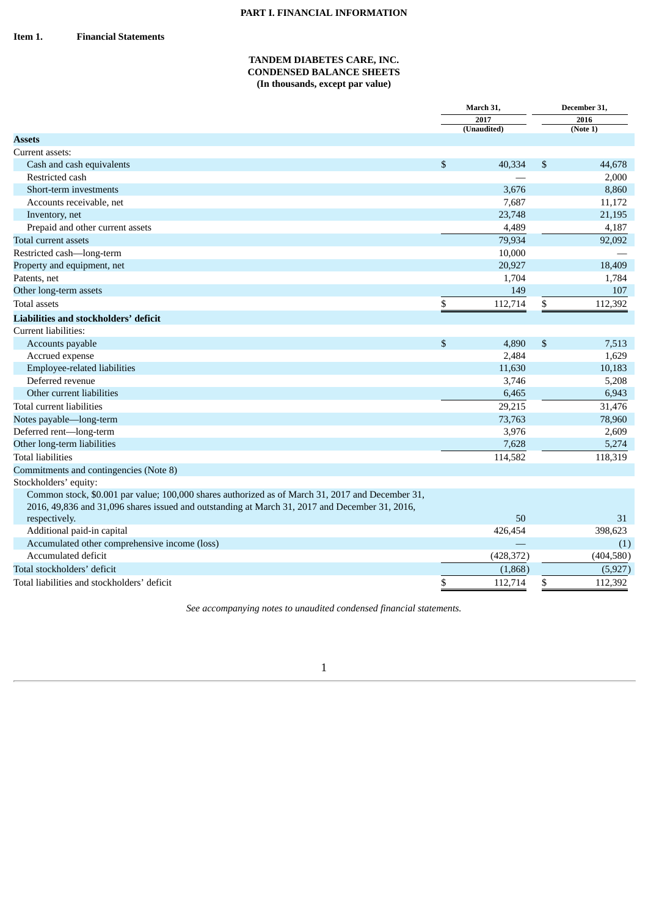## **TANDEM DIABETES CARE, INC. CONDENSED BALANCE SHEETS (In thousands, except par value)**

<span id="page-2-2"></span><span id="page-2-1"></span><span id="page-2-0"></span>

|                                                                                                                                                                                                    | March 31,     | December 31, |            |  |  |
|----------------------------------------------------------------------------------------------------------------------------------------------------------------------------------------------------|---------------|--------------|------------|--|--|
|                                                                                                                                                                                                    | 2017          | 2016         |            |  |  |
|                                                                                                                                                                                                    | (Unaudited)   |              | (Note 1)   |  |  |
| <b>Assets</b>                                                                                                                                                                                      |               |              |            |  |  |
| Current assets:                                                                                                                                                                                    |               |              |            |  |  |
| Cash and cash equivalents                                                                                                                                                                          | \$<br>40,334  | \$           | 44,678     |  |  |
| Restricted cash                                                                                                                                                                                    |               |              | 2,000      |  |  |
| Short-term investments                                                                                                                                                                             | 3.676         |              | 8,860      |  |  |
| Accounts receivable, net                                                                                                                                                                           | 7,687         |              | 11,172     |  |  |
| Inventory, net                                                                                                                                                                                     | 23,748        |              | 21,195     |  |  |
| Prepaid and other current assets                                                                                                                                                                   | 4,489         |              | 4,187      |  |  |
| Total current assets                                                                                                                                                                               | 79,934        |              | 92,092     |  |  |
| Restricted cash-long-term                                                                                                                                                                          | 10,000        |              |            |  |  |
| Property and equipment, net                                                                                                                                                                        | 20,927        |              | 18,409     |  |  |
| Patents, net                                                                                                                                                                                       | 1,704         |              | 1,784      |  |  |
| Other long-term assets                                                                                                                                                                             | 149           |              | 107        |  |  |
| <b>Total assets</b>                                                                                                                                                                                | \$<br>112,714 | \$           | 112,392    |  |  |
| Liabilities and stockholders' deficit                                                                                                                                                              |               |              |            |  |  |
| Current liabilities:                                                                                                                                                                               |               |              |            |  |  |
| Accounts payable                                                                                                                                                                                   | \$<br>4,890   | \$           | 7,513      |  |  |
| Accrued expense                                                                                                                                                                                    | 2,484         |              | 1,629      |  |  |
| Employee-related liabilities                                                                                                                                                                       | 11,630        |              | 10,183     |  |  |
| Deferred revenue                                                                                                                                                                                   | 3,746         |              | 5,208      |  |  |
| Other current liabilities                                                                                                                                                                          | 6,465         |              | 6,943      |  |  |
| Total current liabilities                                                                                                                                                                          | 29,215        |              | 31,476     |  |  |
| Notes payable-long-term                                                                                                                                                                            | 73,763        |              | 78,960     |  |  |
| Deferred rent-long-term                                                                                                                                                                            | 3,976         |              | 2,609      |  |  |
| Other long-term liabilities                                                                                                                                                                        | 7,628         |              | 5,274      |  |  |
| <b>Total liabilities</b>                                                                                                                                                                           | 114,582       |              | 118,319    |  |  |
| Commitments and contingencies (Note 8)                                                                                                                                                             |               |              |            |  |  |
| Stockholders' equity:                                                                                                                                                                              |               |              |            |  |  |
| Common stock, \$0.001 par value; 100,000 shares authorized as of March 31, 2017 and December 31,<br>2016, 49,836 and 31,096 shares issued and outstanding at March 31, 2017 and December 31, 2016, |               |              |            |  |  |
| respectively.                                                                                                                                                                                      | 50            |              | 31         |  |  |
| Additional paid-in capital                                                                                                                                                                         | 426,454       |              | 398,623    |  |  |
| Accumulated other comprehensive income (loss)                                                                                                                                                      |               |              | (1)        |  |  |
| Accumulated deficit                                                                                                                                                                                | (428, 372)    |              | (404, 580) |  |  |
| Total stockholders' deficit                                                                                                                                                                        | (1,868)       |              | (5,927)    |  |  |
| Total liabilities and stockholders' deficit                                                                                                                                                        | \$<br>112,714 | \$           | 112,392    |  |  |

*See accompanying notes to unaudited condensed financial statements.*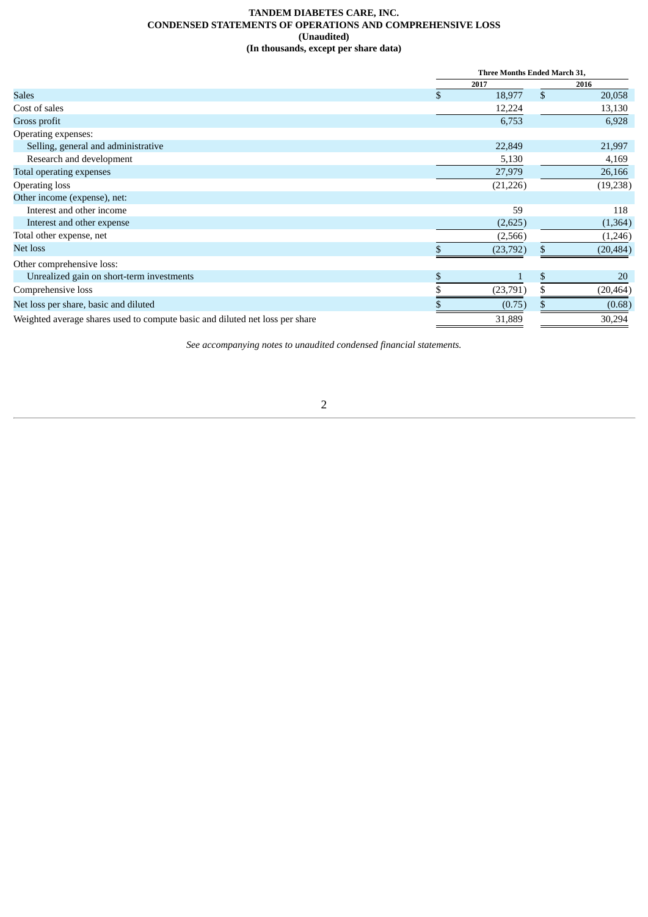## **TANDEM DIABETES CARE, INC. CONDENSED STATEMENTS OF OPERATIONS AND COMPREHENSIVE LOSS (Unaudited) (In thousands, except per share data)**

<span id="page-3-0"></span>

|                                                                              |     | Three Months Ended March 31, |                |           |  |  |
|------------------------------------------------------------------------------|-----|------------------------------|----------------|-----------|--|--|
|                                                                              |     | 2017                         |                | 2016      |  |  |
| <b>Sales</b>                                                                 | \$. | 18,977                       | $\mathfrak{S}$ | 20,058    |  |  |
| Cost of sales                                                                |     | 12,224                       |                | 13,130    |  |  |
| Gross profit                                                                 |     | 6,753                        |                | 6,928     |  |  |
| Operating expenses:                                                          |     |                              |                |           |  |  |
| Selling, general and administrative                                          |     | 22,849                       |                | 21,997    |  |  |
| Research and development                                                     |     | 5,130                        |                | 4,169     |  |  |
| Total operating expenses                                                     |     | 27,979                       |                | 26,166    |  |  |
| Operating loss                                                               |     | (21, 226)                    |                | (19, 238) |  |  |
| Other income (expense), net:                                                 |     |                              |                |           |  |  |
| Interest and other income                                                    |     | 59                           |                | 118       |  |  |
| Interest and other expense                                                   |     | (2,625)                      |                | (1,364)   |  |  |
| Total other expense, net                                                     |     | (2,566)                      |                | (1,246)   |  |  |
| Net loss                                                                     |     | (23,792)                     | \$             | (20, 484) |  |  |
| Other comprehensive loss:                                                    |     |                              |                |           |  |  |
| Unrealized gain on short-term investments                                    | \$  |                              | \$             | 20        |  |  |
| Comprehensive loss                                                           |     | (23,791)                     | \$             | (20, 464) |  |  |
| Net loss per share, basic and diluted                                        |     | (0.75)                       |                | (0.68)    |  |  |
| Weighted average shares used to compute basic and diluted net loss per share |     | 31,889                       |                | 30,294    |  |  |

*See accompanying notes to unaudited condensed financial statements.*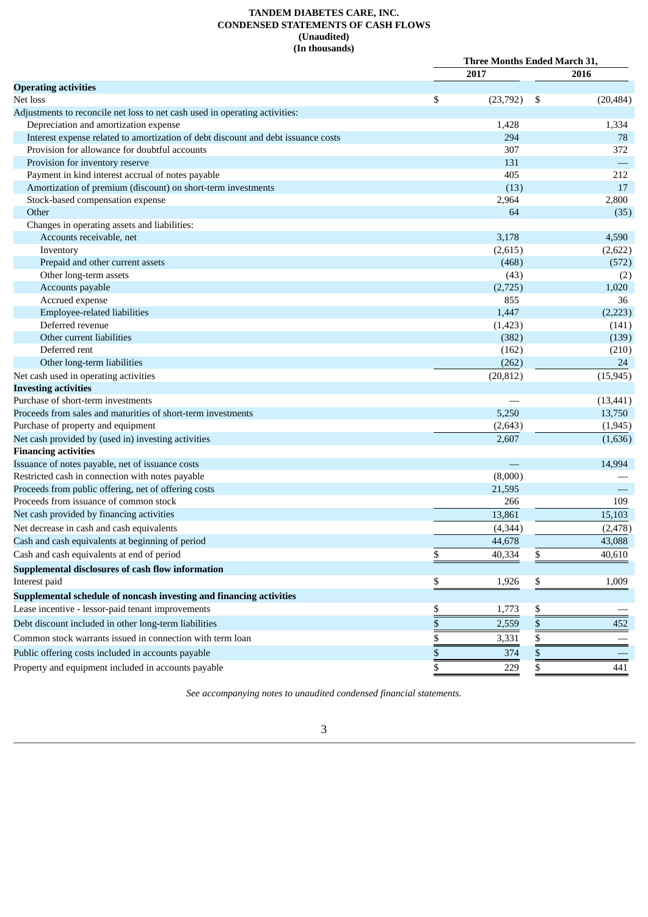## **TANDEM DIABETES CARE, INC. CONDENSED STATEMENTS OF CASH FLOWS (Unaudited) (In thousands)**

<span id="page-4-0"></span>

|                                                                                   |    | <b>Three Months Ended March 31,</b> |      |           |
|-----------------------------------------------------------------------------------|----|-------------------------------------|------|-----------|
|                                                                                   |    | 2017                                |      | 2016      |
| <b>Operating activities</b>                                                       |    |                                     |      |           |
| Net loss                                                                          | \$ | (23,792)                            | \$   | (20, 484) |
| Adjustments to reconcile net loss to net cash used in operating activities:       |    |                                     |      |           |
| Depreciation and amortization expense                                             |    | 1,428                               |      | 1,334     |
| Interest expense related to amortization of debt discount and debt issuance costs |    | 294                                 |      | 78        |
| Provision for allowance for doubtful accounts                                     |    | 307                                 |      | 372       |
| Provision for inventory reserve                                                   |    | 131                                 |      |           |
| Payment in kind interest accrual of notes payable                                 |    | 405                                 |      | 212       |
| Amortization of premium (discount) on short-term investments                      |    | (13)                                |      | 17        |
| Stock-based compensation expense                                                  |    | 2,964                               |      | 2,800     |
| Other                                                                             |    | 64                                  |      | (35)      |
| Changes in operating assets and liabilities:                                      |    |                                     |      |           |
| Accounts receivable, net                                                          |    | 3,178                               |      | 4,590     |
| Inventory                                                                         |    | (2,615)                             |      | (2,622)   |
| Prepaid and other current assets                                                  |    | (468)                               |      | (572)     |
| Other long-term assets                                                            |    | (43)                                |      | (2)       |
| Accounts payable                                                                  |    | (2,725)                             |      | 1,020     |
| Accrued expense                                                                   |    | 855                                 |      | 36        |
| Employee-related liabilities                                                      |    | 1,447                               |      | (2,223)   |
| Deferred revenue                                                                  |    | (1, 423)                            |      | (141)     |
| Other current liabilities                                                         |    | (382)                               |      | (139)     |
| Deferred rent                                                                     |    | (162)                               |      | (210)     |
| Other long-term liabilities                                                       |    | (262)                               |      | 24        |
| Net cash used in operating activities                                             |    | (20, 812)                           |      | (15, 945) |
| <b>Investing activities</b>                                                       |    |                                     |      |           |
| Purchase of short-term investments                                                |    |                                     |      | (13, 441) |
| Proceeds from sales and maturities of short-term investments                      |    | 5,250                               |      | 13,750    |
| Purchase of property and equipment                                                |    | (2,643)                             |      | (1,945)   |
| Net cash provided by (used in) investing activities                               |    | 2,607                               |      | (1,636)   |
| <b>Financing activities</b>                                                       |    |                                     |      |           |
| Issuance of notes payable, net of issuance costs                                  |    |                                     |      | 14,994    |
| Restricted cash in connection with notes payable                                  |    | (8,000)                             |      |           |
| Proceeds from public offering, net of offering costs                              |    | 21,595                              |      |           |
| Proceeds from issuance of common stock                                            |    | 266                                 |      | 109       |
| Net cash provided by financing activities                                         |    | 13,861                              |      | 15,103    |
| Net decrease in cash and cash equivalents                                         |    | (4, 344)                            |      | (2, 478)  |
| Cash and cash equivalents at beginning of period                                  |    | 44,678                              |      | 43,088    |
| Cash and cash equivalents at end of period                                        | \$ | 40,334                              | \$   | 40,610    |
| Supplemental disclosures of cash flow information                                 |    |                                     |      |           |
| Interest paid                                                                     | \$ | 1,926                               | \$   | 1,009     |
| Supplemental schedule of noncash investing and financing activities               |    |                                     |      |           |
| Lease incentive - lessor-paid tenant improvements                                 | \$ | 1,773                               | \$   |           |
| Debt discount included in other long-term liabilities                             | \$ | 2,559                               | $\,$ | 452       |
|                                                                                   |    |                                     |      |           |
| Common stock warrants issued in connection with term loan                         | \$ | 3,331                               | \$   |           |
| Public offering costs included in accounts payable                                | \$ | 374                                 | \$   |           |
| Property and equipment included in accounts payable                               | \$ | 229                                 | \$   | 441       |

*See accompanying notes to unaudited condensed financial statements.*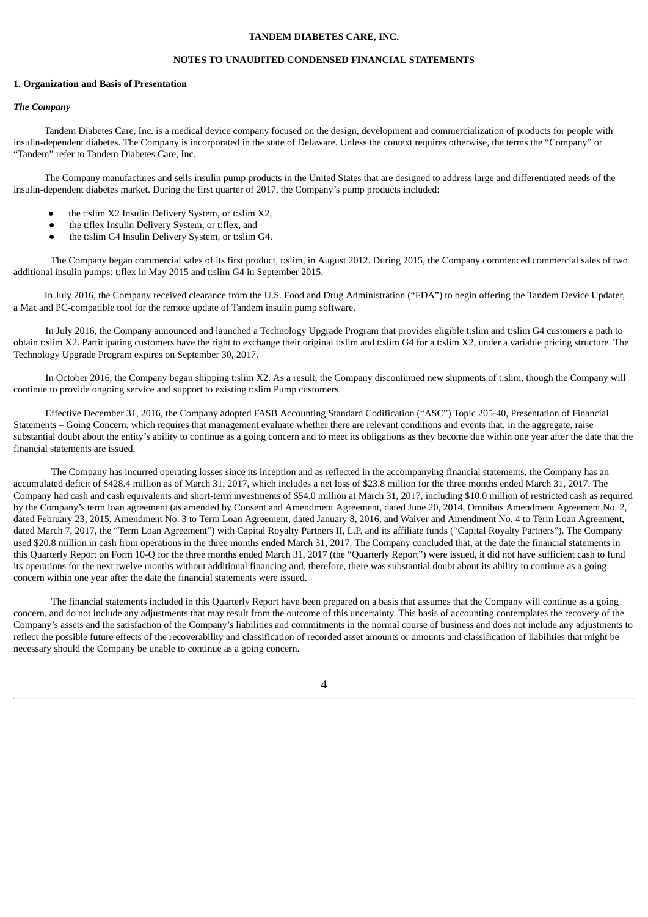#### **TANDEM DIABETES CARE, INC.**

#### **NOTES TO UNAUDITED CONDENSED FINANCIAL STATEMENTS**

#### <span id="page-5-0"></span>**1. Organization and Basis of Presentation**

#### *The Company*

Tandem Diabetes Care, Inc. is a medical device company focused on the design, development and commercialization of products for people with insulin-dependent diabetes. The Company is incorporated in the state of Delaware. Unless the context requires otherwise, the terms the "Company" or "Tandem" refer to Tandem Diabetes Care, Inc.

The Company manufactures and sells insulin pump products in the United States that are designed to address large and differentiated needs of the insulin-dependent diabetes market. During the first quarter of 2017, the Company's pump products included:

- the t:slim X2 Insulin Delivery System, or t:slim X2,
- the t:flex Insulin Delivery System, or t:flex, and
- the t:slim G4 Insulin Delivery System, or t:slim G4.

The Company began commercial sales of its first product, t:slim, in August 2012. During 2015, the Company commenced commercial sales of two additional insulin pumps: t:flex in May 2015 and t:slim G4 in September 2015.

In July 2016, the Company received clearance from the U.S. Food and Drug Administration ("FDA") to begin offering the Tandem Device Updater, a Mac and PC-compatible tool for the remote update of Tandem insulin pump software.

In July 2016, the Company announced and launched a Technology Upgrade Program that provides eligible t:slim and t:slim G4 customers a path to obtain t:slim X2. Participating customers have the right to exchange their original t:slim and t:slim G4 for a t:slim X2, under a variable pricing structure. The Technology Upgrade Program expires on September 30, 2017.

In October 2016, the Company began shipping t:slim X2. As a result, the Company discontinued new shipments of t:slim, though the Company will continue to provide ongoing service and support to existing t:slim Pump customers.

Effective December 31, 2016, the Company adopted FASB Accounting Standard Codification ("ASC") Topic 205-40, Presentation of Financial Statements – Going Concern, which requires that management evaluate whether there are relevant conditions and events that, in the aggregate, raise substantial doubt about the entity's ability to continue as a going concern and to meet its obligations as they become due within one year after the date that the financial statements are issued.

The Company has incurred operating losses since its inception and as reflected in the accompanying financial statements, the Company has an accumulated deficit of \$428.4 million as of March 31, 2017, which includes a net loss of \$23.8 million for the three months ended March 31, 2017. The Company had cash and cash equivalents and short-term investments of \$54.0 million at March 31, 2017, including \$10.0 million of restricted cash as required by the Company's term loan agreement (as amended by Consent and Amendment Agreement, dated June 20, 2014, Omnibus Amendment Agreement No. 2, dated February 23, 2015, Amendment No. 3 to Term Loan Agreement, dated January 8, 2016, and Waiver and Amendment No. 4 to Term Loan Agreement, dated March 7, 2017, the "Term Loan Agreement") with Capital Royalty Partners II, L.P. and its affiliate funds ("Capital Royalty Partners"). The Company used \$20.8 million in cash from operations in the three months ended March 31, 2017. The Company concluded that, at the date the financial statements in this Quarterly Report on Form 10-Q for the three months ended March 31, 2017 (the "Quarterly Report") were issued, it did not have sufficient cash to fund its operations for the next twelve months without additional financing and, therefore, there was substantial doubt about its ability to continue as a going concern within one year after the date the financial statements were issued.

The financial statements included in this Quarterly Report have been prepared on a basis that assumes that the Company will continue as a going concern, and do not include any adjustments that may result from the outcome of this uncertainty. This basis of accounting contemplates the recovery of the Company's assets and the satisfaction of the Company's liabilities and commitments in the normal course of business and does not include any adjustments to reflect the possible future effects of the recoverability and classification of recorded asset amounts or amounts and classification of liabilities that might be necessary should the Company be unable to continue as a going concern.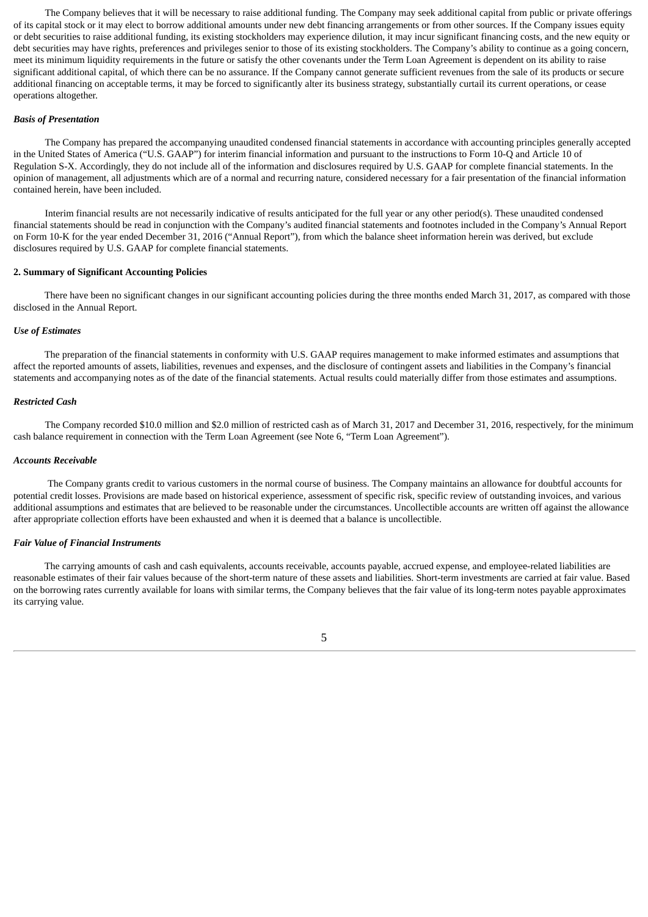The Company believes that it will be necessary to raise additional funding. The Company may seek additional capital from public or private offerings of its capital stock or it may elect to borrow additional amounts under new debt financing arrangements or from other sources. If the Company issues equity or debt securities to raise additional funding, its existing stockholders may experience dilution, it may incur significant financing costs, and the new equity or debt securities may have rights, preferences and privileges senior to those of its existing stockholders. The Company's ability to continue as a going concern, meet its minimum liquidity requirements in the future or satisfy the other covenants under the Term Loan Agreement is dependent on its ability to raise significant additional capital, of which there can be no assurance. If the Company cannot generate sufficient revenues from the sale of its products or secure additional financing on acceptable terms, it may be forced to significantly alter its business strategy, substantially curtail its current operations, or cease operations altogether.

#### *Basis of Presentation*

The Company has prepared the accompanying unaudited condensed financial statements in accordance with accounting principles generally accepted in the United States of America ("U.S. GAAP") for interim financial information and pursuant to the instructions to Form 10-Q and Article 10 of Regulation S-X. Accordingly, they do not include all of the information and disclosures required by U.S. GAAP for complete financial statements. In the opinion of management, all adjustments which are of a normal and recurring nature, considered necessary for a fair presentation of the financial information contained herein, have been included.

Interim financial results are not necessarily indicative of results anticipated for the full year or any other period(s). These unaudited condensed financial statements should be read in conjunction with the Company's audited financial statements and footnotes included in the Company's Annual Report on Form 10-K for the year ended December 31, 2016 ("Annual Report"), from which the balance sheet information herein was derived, but exclude disclosures required by U.S. GAAP for complete financial statements.

#### **2. Summary of Significant Accounting Policies**

There have been no significant changes in our significant accounting policies during the three months ended March 31, 2017, as compared with those disclosed in the Annual Report.

#### *Use of Estimates*

The preparation of the financial statements in conformity with U.S. GAAP requires management to make informed estimates and assumptions that affect the reported amounts of assets, liabilities, revenues and expenses, and the disclosure of contingent assets and liabilities in the Company's financial statements and accompanying notes as of the date of the financial statements. Actual results could materially differ from those estimates and assumptions.

#### *Restricted Cash*

The Company recorded \$10.0 million and \$2.0 million of restricted cash as of March 31, 2017 and December 31, 2016, respectively, for the minimum cash balance requirement in connection with the Term Loan Agreement (see Note 6, "Term Loan Agreement").

#### *Accounts Receivable*

The Company grants credit to various customers in the normal course of business. The Company maintains an allowance for doubtful accounts for potential credit losses. Provisions are made based on historical experience, assessment of specific risk, specific review of outstanding invoices, and various additional assumptions and estimates that are believed to be reasonable under the circumstances. Uncollectible accounts are written off against the allowance after appropriate collection efforts have been exhausted and when it is deemed that a balance is uncollectible.

#### *Fair Value of Financial Instruments*

The carrying amounts of cash and cash equivalents, accounts receivable, accounts payable, accrued expense, and employee-related liabilities are reasonable estimates of their fair values because of the short-term nature of these assets and liabilities. Short-term investments are carried at fair value. Based on the borrowing rates currently available for loans with similar terms, the Company believes that the fair value of its long-term notes payable approximates its carrying value.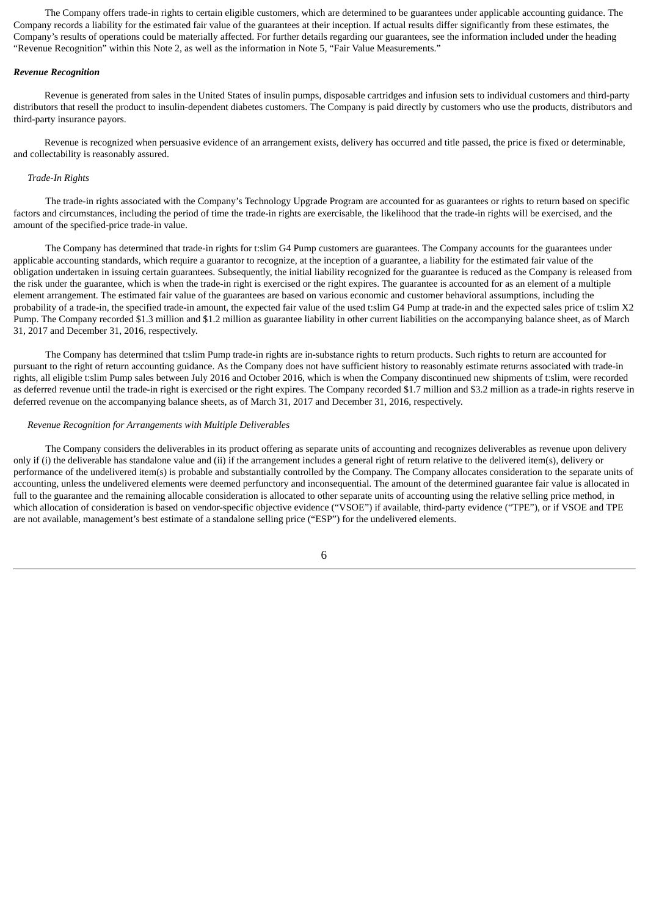The Company offers trade-in rights to certain eligible customers, which are determined to be guarantees under applicable accounting guidance. The Company records a liability for the estimated fair value of the guarantees at their inception. If actual results differ significantly from these estimates, the Company's results of operations could be materially affected. For further details regarding our guarantees, see the information included under the heading "Revenue Recognition" within this Note 2, as well as the information in Note 5, "Fair Value Measurements."

#### *Revenue Recognition*

Revenue is generated from sales in the United States of insulin pumps, disposable cartridges and infusion sets to individual customers and third-party distributors that resell the product to insulin-dependent diabetes customers. The Company is paid directly by customers who use the products, distributors and third-party insurance payors.

Revenue is recognized when persuasive evidence of an arrangement exists, delivery has occurred and title passed, the price is fixed or determinable, and collectability is reasonably assured.

#### *Trade-In Rights*

The trade-in rights associated with the Company's Technology Upgrade Program are accounted for as guarantees or rights to return based on specific factors and circumstances, including the period of time the trade-in rights are exercisable, the likelihood that the trade-in rights will be exercised, and the amount of the specified-price trade-in value.

The Company has determined that trade-in rights for t:slim G4 Pump customers are guarantees. The Company accounts for the guarantees under applicable accounting standards, which require a guarantor to recognize, at the inception of a guarantee, a liability for the estimated fair value of the obligation undertaken in issuing certain guarantees. Subsequently, the initial liability recognized for the guarantee is reduced as the Company is released from the risk under the guarantee, which is when the trade-in right is exercised or the right expires. The guarantee is accounted for as an element of a multiple element arrangement. The estimated fair value of the guarantees are based on various economic and customer behavioral assumptions, including the probability of a trade-in, the specified trade-in amount, the expected fair value of the used t:slim G4 Pump at trade-in and the expected sales price of t:slim X2 Pump. The Company recorded \$1.3 million and \$1.2 million as guarantee liability in other current liabilities on the accompanying balance sheet, as of March 31, 2017 and December 31, 2016, respectively.

The Company has determined that t:slim Pump trade-in rights are in-substance rights to return products. Such rights to return are accounted for pursuant to the right of return accounting guidance. As the Company does not have sufficient history to reasonably estimate returns associated with trade-in rights, all eligible t:slim Pump sales between July 2016 and October 2016, which is when the Company discontinued new shipments of t:slim, were recorded as deferred revenue until the trade-in right is exercised or the right expires. The Company recorded \$1.7 million and \$3.2 million as a trade-in rights reserve in deferred revenue on the accompanying balance sheets, as of March 31, 2017 and December 31, 2016, respectively.

#### *Revenue Recognition for Arrangements with Multiple Deliverables*

The Company considers the deliverables in its product offering as separate units of accounting and recognizes deliverables as revenue upon delivery only if (i) the deliverable has standalone value and (ii) if the arrangement includes a general right of return relative to the delivered item(s), delivery or performance of the undelivered item(s) is probable and substantially controlled by the Company. The Company allocates consideration to the separate units of accounting, unless the undelivered elements were deemed perfunctory and inconsequential. The amount of the determined guarantee fair value is allocated in full to the guarantee and the remaining allocable consideration is allocated to other separate units of accounting using the relative selling price method, in which allocation of consideration is based on vendor-specific objective evidence ("VSOE") if available, third-party evidence ("TPE"), or if VSOE and TPE are not available, management's best estimate of a standalone selling price ("ESP") for the undelivered elements.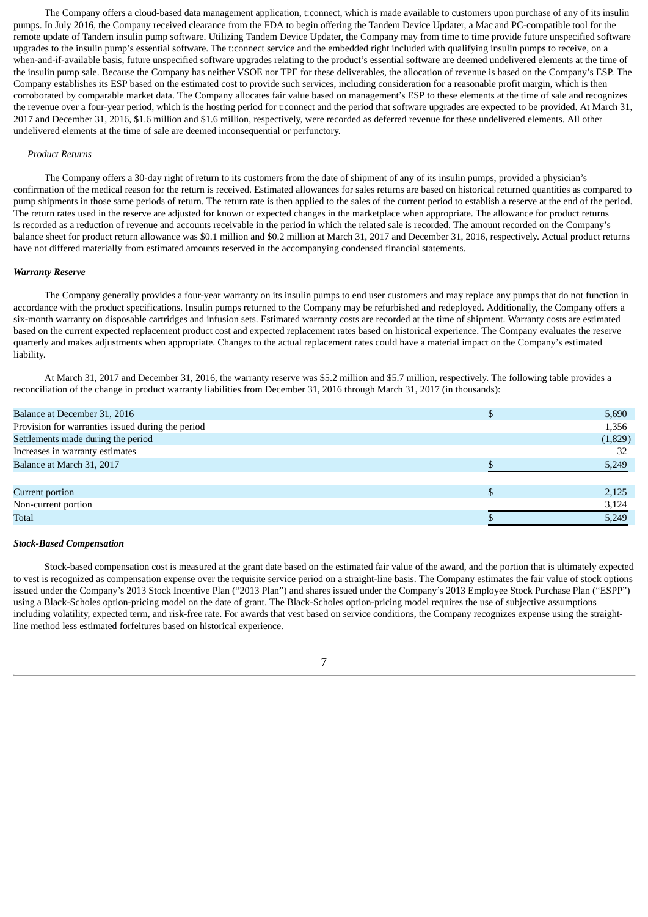The Company offers a cloud-based data management application, t:connect, which is made available to customers upon purchase of any of its insulin pumps. In July 2016, the Company received clearance from the FDA to begin offering the Tandem Device Updater, a Mac and PC-compatible tool for the remote update of Tandem insulin pump software. Utilizing Tandem Device Updater, the Company may from time to time provide future unspecified software upgrades to the insulin pump's essential software. The t:connect service and the embedded right included with qualifying insulin pumps to receive, on a when-and-if-available basis, future unspecified software upgrades relating to the product's essential software are deemed undelivered elements at the time of the insulin pump sale. Because the Company has neither VSOE nor TPE for these deliverables, the allocation of revenue is based on the Company's ESP. The Company establishes its ESP based on the estimated cost to provide such services, including consideration for a reasonable profit margin, which is then corroborated by comparable market data. The Company allocates fair value based on management's ESP to these elements at the time of sale and recognizes the revenue over a four-year period, which is the hosting period for t:connect and the period that software upgrades are expected to be provided. At March 31, 2017 and December 31, 2016, \$1.6 million and \$1.6 million, respectively, were recorded as deferred revenue for these undelivered elements. All other undelivered elements at the time of sale are deemed inconsequential or perfunctory.

#### *Product Returns*

The Company offers a 30-day right of return to its customers from the date of shipment of any of its insulin pumps, provided a physician's confirmation of the medical reason for the return is received. Estimated allowances for sales returns are based on historical returned quantities as compared to pump shipments in those same periods of return. The return rate is then applied to the sales of the current period to establish a reserve at the end of the period. The return rates used in the reserve are adjusted for known or expected changes in the marketplace when appropriate. The allowance for product returns is recorded as a reduction of revenue and accounts receivable in the period in which the related sale is recorded. The amount recorded on the Company's balance sheet for product return allowance was \$0.1 million and \$0.2 million at March 31, 2017 and December 31, 2016, respectively. Actual product returns have not differed materially from estimated amounts reserved in the accompanying condensed financial statements.

#### *Warranty Reserve*

The Company generally provides a four-year warranty on its insulin pumps to end user customers and may replace any pumps that do not function in accordance with the product specifications. Insulin pumps returned to the Company may be refurbished and redeployed. Additionally, the Company offers a six-month warranty on disposable cartridges and infusion sets. Estimated warranty costs are recorded at the time of shipment. Warranty costs are estimated based on the current expected replacement product cost and expected replacement rates based on historical experience. The Company evaluates the reserve quarterly and makes adjustments when appropriate. Changes to the actual replacement rates could have a material impact on the Company's estimated liability.

At March 31, 2017 and December 31, 2016, the warranty reserve was \$5.2 million and \$5.7 million, respectively. The following table provides a reconciliation of the change in product warranty liabilities from December 31, 2016 through March 31, 2017 (in thousands):

| Balance at December 31, 2016                      | 5,690   |
|---------------------------------------------------|---------|
| Provision for warranties issued during the period | 1,356   |
| Settlements made during the period                | (1,829) |
| Increases in warranty estimates                   | 32      |
| Balance at March 31, 2017                         | 5,249   |
|                                                   |         |
| Current portion                                   | 2,125   |
| Non-current portion                               | 3,124   |
| <b>Total</b>                                      | 5.249   |
|                                                   |         |

#### *Stock-Based Compensation*

Stock-based compensation cost is measured at the grant date based on the estimated fair value of the award, and the portion that is ultimately expected to vest is recognized as compensation expense over the requisite service period on a straight-line basis. The Company estimates the fair value of stock options issued under the Company's 2013 Stock Incentive Plan ("2013 Plan") and shares issued under the Company's 2013 Employee Stock Purchase Plan ("ESPP") using a Black-Scholes option-pricing model on the date of grant. The Black-Scholes option-pricing model requires the use of subjective assumptions including volatility, expected term, and risk-free rate. For awards that vest based on service conditions, the Company recognizes expense using the straightline method less estimated forfeitures based on historical experience.

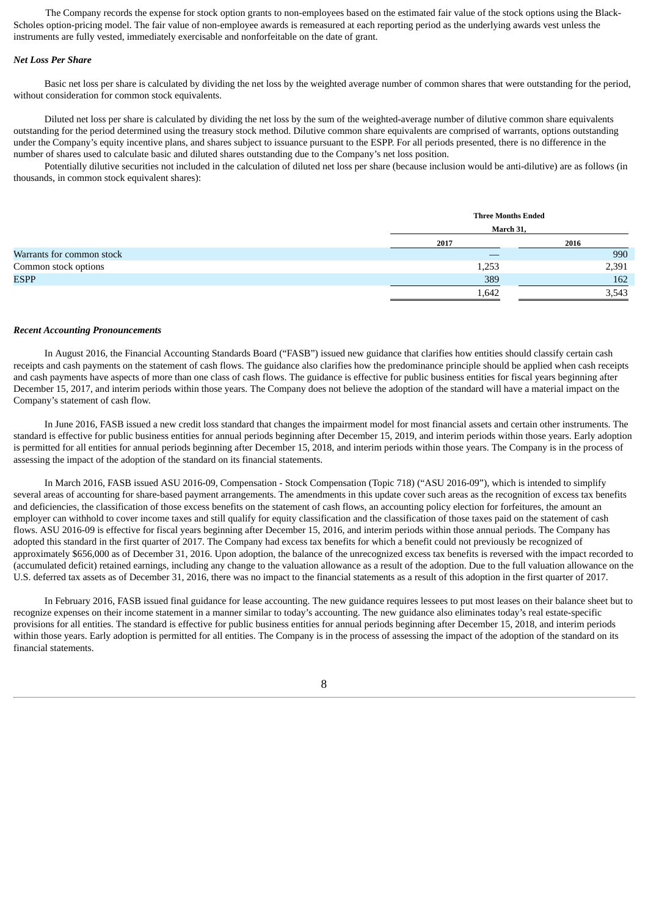The Company records the expense for stock option grants to non-employees based on the estimated fair value of the stock options using the Black-Scholes option-pricing model. The fair value of non-employee awards is remeasured at each reporting period as the underlying awards vest unless the instruments are fully vested, immediately exercisable and nonforfeitable on the date of grant.

#### *Net Loss Per Share*

Basic net loss per share is calculated by dividing the net loss by the weighted average number of common shares that were outstanding for the period, without consideration for common stock equivalents.

Diluted net loss per share is calculated by dividing the net loss by the sum of the weighted-average number of dilutive common share equivalents outstanding for the period determined using the treasury stock method. Dilutive common share equivalents are comprised of warrants, options outstanding under the Company's equity incentive plans, and shares subject to issuance pursuant to the ESPP. For all periods presented, there is no difference in the number of shares used to calculate basic and diluted shares outstanding due to the Company's net loss position.

Potentially dilutive securities not included in the calculation of diluted net loss per share (because inclusion would be anti-dilutive) are as follows (in thousands, in common stock equivalent shares):

|                           | <b>Three Months Ended</b><br>March 31, |       |  |  |  |  |
|---------------------------|----------------------------------------|-------|--|--|--|--|
|                           |                                        |       |  |  |  |  |
|                           | 2017                                   | 2016  |  |  |  |  |
| Warrants for common stock |                                        | 990   |  |  |  |  |
| Common stock options      | 1,253                                  | 2,391 |  |  |  |  |
| <b>ESPP</b>               | 389                                    | 162   |  |  |  |  |
|                           | 1,642                                  | 3,543 |  |  |  |  |

#### *Recent Accounting Pronouncements*

In August 2016, the Financial Accounting Standards Board ("FASB") issued new guidance that clarifies how entities should classify certain cash receipts and cash payments on the statement of cash flows. The guidance also clarifies how the predominance principle should be applied when cash receipts and cash payments have aspects of more than one class of cash flows. The guidance is effective for public business entities for fiscal years beginning after December 15, 2017, and interim periods within those years. The Company does not believe the adoption of the standard will have a material impact on the Company's statement of cash flow.

In June 2016, FASB issued a new credit loss standard that changes the impairment model for most financial assets and certain other instruments. The standard is effective for public business entities for annual periods beginning after December 15, 2019, and interim periods within those years. Early adoption is permitted for all entities for annual periods beginning after December 15, 2018, and interim periods within those years. The Company is in the process of assessing the impact of the adoption of the standard on its financial statements.

In March 2016, FASB issued ASU 2016-09, Compensation - Stock Compensation (Topic 718) ("ASU 2016-09"), which is intended to simplify several areas of accounting for share-based payment arrangements. The amendments in this update cover such areas as the recognition of excess tax benefits and deficiencies, the classification of those excess benefits on the statement of cash flows, an accounting policy election for forfeitures, the amount an employer can withhold to cover income taxes and still qualify for equity classification and the classification of those taxes paid on the statement of cash flows. ASU 2016-09 is effective for fiscal years beginning after December 15, 2016, and interim periods within those annual periods. The Company has adopted this standard in the first quarter of 2017. The Company had excess tax benefits for which a benefit could not previously be recognized of approximately \$656,000 as of December 31, 2016. Upon adoption, the balance of the unrecognized excess tax benefits is reversed with the impact recorded to (accumulated deficit) retained earnings, including any change to the valuation allowance as a result of the adoption. Due to the full valuation allowance on the U.S. deferred tax assets as of December 31, 2016, there was no impact to the financial statements as a result of this adoption in the first quarter of 2017.

In February 2016, FASB issued final guidance for lease accounting. The new guidance requires lessees to put most leases on their balance sheet but to recognize expenses on their income statement in a manner similar to today's accounting. The new guidance also eliminates today's real estate-specific provisions for all entities. The standard is effective for public business entities for annual periods beginning after December 15, 2018, and interim periods within those years. Early adoption is permitted for all entities. The Company is in the process of assessing the impact of the adoption of the standard on its financial statements.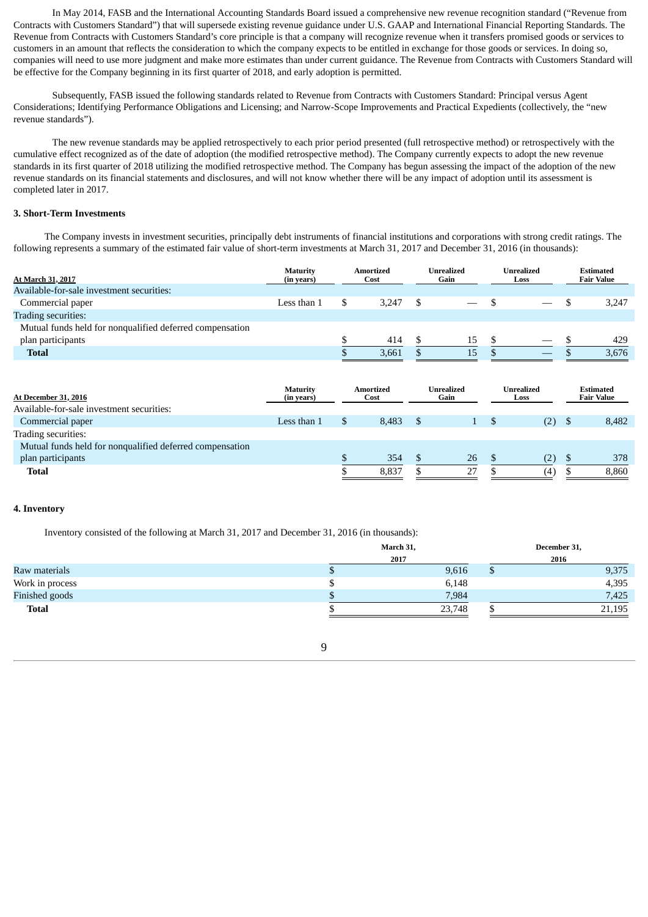In May 2014, FASB and the International Accounting Standards Board issued a comprehensive new revenue recognition standard ("Revenue from Contracts with Customers Standard") that will supersede existing revenue guidance under U.S. GAAP and International Financial Reporting Standards. The Revenue from Contracts with Customers Standard's core principle is that a company will recognize revenue when it transfers promised goods or services to customers in an amount that reflects the consideration to which the company expects to be entitled in exchange for those goods or services. In doing so, companies will need to use more judgment and make more estimates than under current guidance. The Revenue from Contracts with Customers Standard will be effective for the Company beginning in its first quarter of 2018, and early adoption is permitted.

Subsequently, FASB issued the following standards related to Revenue from Contracts with Customers Standard: Principal versus Agent Considerations; Identifying Performance Obligations and Licensing; and Narrow-Scope Improvements and Practical Expedients (collectively, the "new revenue standards").

The new revenue standards may be applied retrospectively to each prior period presented (full retrospective method) or retrospectively with the cumulative effect recognized as of the date of adoption (the modified retrospective method). The Company currently expects to adopt the new revenue standards in its first quarter of 2018 utilizing the modified retrospective method. The Company has begun assessing the impact of the adoption of the new revenue standards on its financial statements and disclosures, and will not know whether there will be any impact of adoption until its assessment is completed later in 2017.

#### **3. Short-Term Investments**

The Company invests in investment securities, principally debt instruments of financial institutions and corporations with strong credit ratings. The following represents a summary of the estimated fair value of short-term investments at March 31, 2017 and December 31, 2016 (in thousands):

| At March 31, 2017<br>Available-for-sale investment securities: | <b>Maturity</b><br>(in years) |  | Amortized<br>Cost |  |    |                               | Unrealized<br>Gain | Unrealized<br>Loss | <b>Estimated</b><br><b>Fair Value</b> |
|----------------------------------------------------------------|-------------------------------|--|-------------------|--|----|-------------------------------|--------------------|--------------------|---------------------------------------|
| Commercial paper                                               | Less than 1                   |  | 3.247             |  |    |                               | 3,247              |                    |                                       |
| Trading securities:                                            |                               |  |                   |  |    |                               |                    |                    |                                       |
| Mutual funds held for nonqualified deferred compensation       |                               |  |                   |  |    |                               |                    |                    |                                       |
| plan participants                                              |                               |  | 414               |  | 15 | $\overbrace{\phantom{12332}}$ | 429                |                    |                                       |
| <b>Total</b>                                                   |                               |  | 3,661             |  | 15 |                               | 3,676              |                    |                                       |

| <b>At December 31, 2016</b><br>Available-for-sale investment securities: | <b>Maturity</b><br>(in years) | Amortized<br>Cost | Unrealized<br>Gain | Unrealized<br>Loss | <b>Estimated</b><br><b>Fair Value</b> |
|--------------------------------------------------------------------------|-------------------------------|-------------------|--------------------|--------------------|---------------------------------------|
| Commercial paper                                                         | Less than 1                   | 8.483             |                    | (2)                | 8,482                                 |
| Trading securities:                                                      |                               |                   |                    |                    |                                       |
| Mutual funds held for nonqualified deferred compensation                 |                               |                   |                    |                    |                                       |
| plan participants                                                        |                               | 354               | 26                 | (2)                | 378                                   |
| <b>Total</b>                                                             |                               | 8.837             | 27                 | (4)                | 8.860                                 |

## **4. Inventory**

Inventory consisted of the following at March 31, 2017 and December 31, 2016 (in thousands):

|                 |   | March 31, | December 31, |        |  |  |  |  |
|-----------------|---|-----------|--------------|--------|--|--|--|--|
|                 |   | 2017      |              | 2016   |  |  |  |  |
| Raw materials   | Ψ | 9,616     | D            | 9,375  |  |  |  |  |
| Work in process |   | 6,148     |              | 4,395  |  |  |  |  |
| Finished goods  |   | 7,984     |              | 7,425  |  |  |  |  |
| <b>Total</b>    |   | 23,748    |              | 21,195 |  |  |  |  |
|                 |   |           |              |        |  |  |  |  |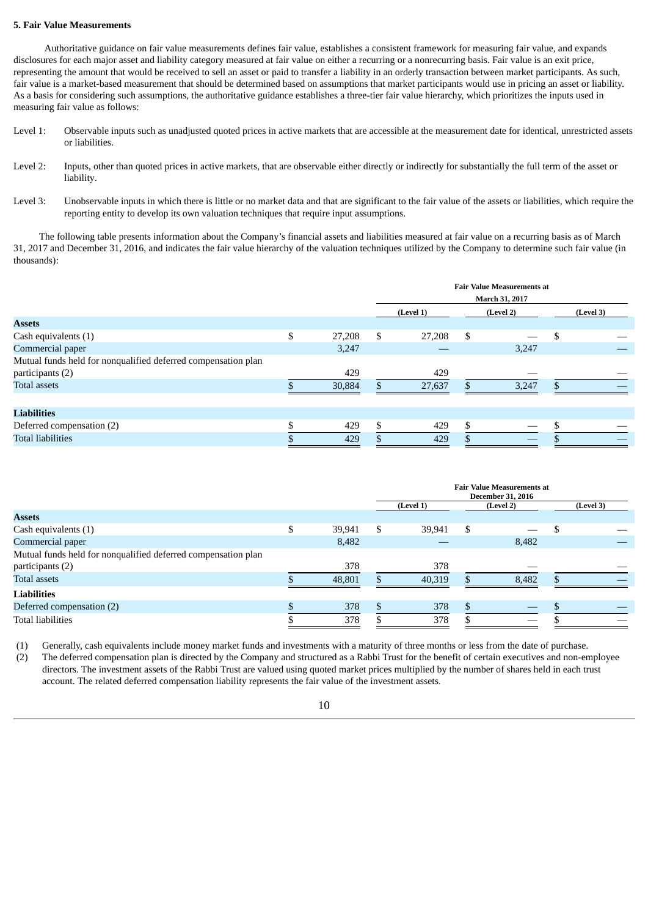#### **5. Fair Value Measurements**

Authoritative guidance on fair value measurements defines fair value, establishes a consistent framework for measuring fair value, and expands disclosures for each major asset and liability category measured at fair value on either a recurring or a nonrecurring basis. Fair value is an exit price, representing the amount that would be received to sell an asset or paid to transfer a liability in an orderly transaction between market participants. As such, fair value is a market-based measurement that should be determined based on assumptions that market participants would use in pricing an asset or liability. As a basis for considering such assumptions, the authoritative guidance establishes a three-tier fair value hierarchy, which prioritizes the inputs used in measuring fair value as follows:

- Level 1: Observable inputs such as unadjusted quoted prices in active markets that are accessible at the measurement date for identical, unrestricted assets or liabilities.
- Level 2: Inputs, other than quoted prices in active markets, that are observable either directly or indirectly for substantially the full term of the asset or liability.
- Level 3: Unobservable inputs in which there is little or no market data and that are significant to the fair value of the assets or liabilities, which require the reporting entity to develop its own valuation techniques that require input assumptions.

The following table presents information about the Company's financial assets and liabilities measured at fair value on a recurring basis as of March 31, 2017 and December 31, 2016, and indicates the fair value hierarchy of the valuation techniques utilized by the Company to determine such fair value (in thousands):

|                                                               |     |        | <b>Fair Value Measurements at</b><br>March 31, 2017 |           |    |           |    |           |  |
|---------------------------------------------------------------|-----|--------|-----------------------------------------------------|-----------|----|-----------|----|-----------|--|
|                                                               |     |        |                                                     | (Level 1) |    | (Level 2) |    | (Level 3) |  |
| <b>Assets</b>                                                 |     |        |                                                     |           |    |           |    |           |  |
| Cash equivalents (1)                                          | \$. | 27,208 | \$                                                  | 27,208    | \$ |           | \$ |           |  |
| Commercial paper                                              |     | 3,247  |                                                     |           |    | 3,247     |    |           |  |
| Mutual funds held for nonqualified deferred compensation plan |     |        |                                                     |           |    |           |    |           |  |
| participants (2)                                              |     | 429    |                                                     | 429       |    |           |    |           |  |
| <b>Total assets</b>                                           |     | 30,884 |                                                     | 27,637    |    | 3,247     |    |           |  |
|                                                               |     |        |                                                     |           |    |           |    |           |  |
| <b>Liabilities</b>                                            |     |        |                                                     |           |    |           |    |           |  |
| Deferred compensation (2)                                     |     | 429    | \$                                                  | 429       |    |           |    |           |  |
| <b>Total liabilities</b>                                      |     | 429    |                                                     | 429       |    |           |    |           |  |
|                                                               |     |        |                                                     |           |    |           |    |           |  |

|                                                               |        | <b>Fair Value Measurements at</b><br><b>December 31, 2016</b><br>(Level 2)<br>(Level 1) |        |     |       |     |           |  |  |  |
|---------------------------------------------------------------|--------|-----------------------------------------------------------------------------------------|--------|-----|-------|-----|-----------|--|--|--|
| <b>Assets</b>                                                 |        |                                                                                         |        |     |       |     | (Level 3) |  |  |  |
| Cash equivalents (1)                                          | 39,941 | \$                                                                                      | 39,941 | S   |       | \$. |           |  |  |  |
| Commercial paper                                              | 8,482  |                                                                                         |        |     | 8,482 |     |           |  |  |  |
| Mutual funds held for nonqualified deferred compensation plan |        |                                                                                         |        |     |       |     |           |  |  |  |
| participants (2)                                              | 378    |                                                                                         | 378    |     |       |     |           |  |  |  |
| <b>Total assets</b>                                           | 48,801 |                                                                                         | 40,319 |     | 8,482 |     |           |  |  |  |
| <b>Liabilities</b>                                            |        |                                                                                         |        |     |       |     |           |  |  |  |
| Deferred compensation (2)                                     | 378    | \$                                                                                      | 378    | \$. | __    |     |           |  |  |  |
| <b>Total liabilities</b>                                      | 378    |                                                                                         | 378    |     |       |     |           |  |  |  |

(1) Generally, cash equivalents include money market funds and investments with a maturity of three months or less from the date of purchase.

(2) The deferred compensation plan is directed by the Company and structured as a Rabbi Trust for the benefit of certain executives and non-employee directors. The investment assets of the Rabbi Trust are valued using quoted market prices multiplied by the number of shares held in each trust account. The related deferred compensation liability represents the fair value of the investment assets.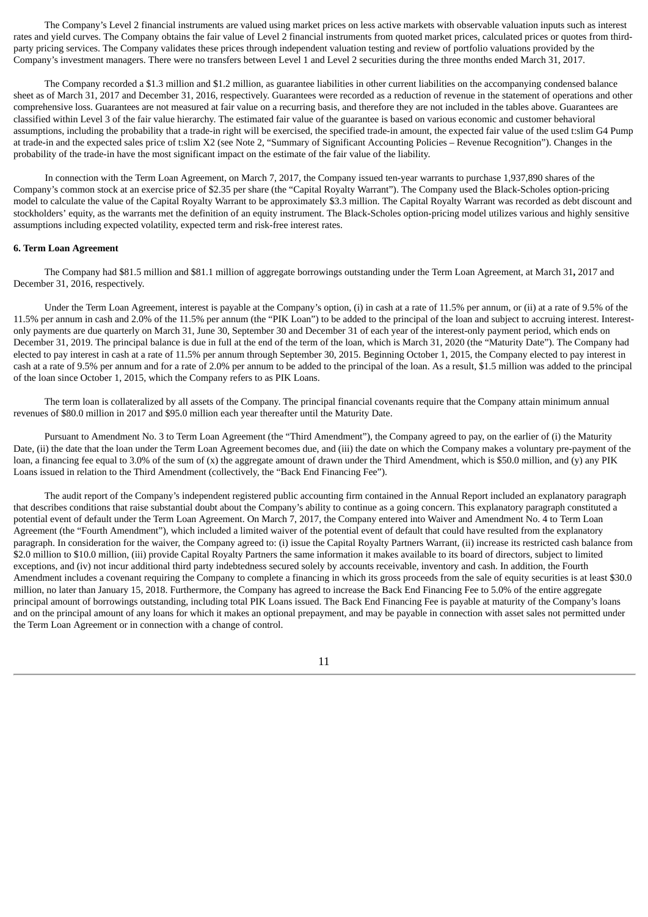The Company's Level 2 financial instruments are valued using market prices on less active markets with observable valuation inputs such as interest rates and yield curves. The Company obtains the fair value of Level 2 financial instruments from quoted market prices, calculated prices or quotes from thirdparty pricing services. The Company validates these prices through independent valuation testing and review of portfolio valuations provided by the Company's investment managers. There were no transfers between Level 1 and Level 2 securities during the three months ended March 31, 2017.

The Company recorded a \$1.3 million and \$1.2 million, as guarantee liabilities in other current liabilities on the accompanying condensed balance sheet as of March 31, 2017 and December 31, 2016, respectively. Guarantees were recorded as a reduction of revenue in the statement of operations and other comprehensive loss. Guarantees are not measured at fair value on a recurring basis, and therefore they are not included in the tables above. Guarantees are classified within Level 3 of the fair value hierarchy. The estimated fair value of the guarantee is based on various economic and customer behavioral assumptions, including the probability that a trade-in right will be exercised, the specified trade-in amount, the expected fair value of the used t:slim G4 Pump at trade-in and the expected sales price of t:slim X2 (see Note 2, "Summary of Significant Accounting Policies – Revenue Recognition"). Changes in the probability of the trade-in have the most significant impact on the estimate of the fair value of the liability.

In connection with the Term Loan Agreement, on March 7, 2017, the Company issued ten-year warrants to purchase 1,937,890 shares of the Company's common stock at an exercise price of \$2.35 per share (the "Capital Royalty Warrant"). The Company used the Black-Scholes option-pricing model to calculate the value of the Capital Royalty Warrant to be approximately \$3.3 million. The Capital Royalty Warrant was recorded as debt discount and stockholders' equity, as the warrants met the definition of an equity instrument. The Black-Scholes option-pricing model utilizes various and highly sensitive assumptions including expected volatility, expected term and risk-free interest rates.

#### **6. Term Loan Agreement**

The Company had \$81.5 million and \$81.1 million of aggregate borrowings outstanding under the Term Loan Agreement, at March 31**,** 2017 and December 31, 2016, respectively.

Under the Term Loan Agreement, interest is payable at the Company's option, (i) in cash at a rate of 11.5% per annum, or (ii) at a rate of 9.5% of the 11.5% per annum in cash and 2.0% of the 11.5% per annum (the "PIK Loan") to be added to the principal of the loan and subject to accruing interest. Interestonly payments are due quarterly on March 31, June 30, September 30 and December 31 of each year of the interest-only payment period, which ends on December 31, 2019. The principal balance is due in full at the end of the term of the loan, which is March 31, 2020 (the "Maturity Date"). The Company had elected to pay interest in cash at a rate of 11.5% per annum through September 30, 2015. Beginning October 1, 2015, the Company elected to pay interest in cash at a rate of 9.5% per annum and for a rate of 2.0% per annum to be added to the principal of the loan. As a result, \$1.5 million was added to the principal of the loan since October 1, 2015, which the Company refers to as PIK Loans.

The term loan is collateralized by all assets of the Company. The principal financial covenants require that the Company attain minimum annual revenues of \$80.0 million in 2017 and \$95.0 million each year thereafter until the Maturity Date.

Pursuant to Amendment No. 3 to Term Loan Agreement (the "Third Amendment"), the Company agreed to pay, on the earlier of (i) the Maturity Date, (ii) the date that the loan under the Term Loan Agreement becomes due, and (iii) the date on which the Company makes a voluntary pre-payment of the loan, a financing fee equal to 3.0% of the sum of (x) the aggregate amount of drawn under the Third Amendment, which is \$50.0 million, and (y) any PIK Loans issued in relation to the Third Amendment (collectively, the "Back End Financing Fee").

The audit report of the Company's independent registered public accounting firm contained in the Annual Report included an explanatory paragraph that describes conditions that raise substantial doubt about the Company's ability to continue as a going concern. This explanatory paragraph constituted a potential event of default under the Term Loan Agreement. On March 7, 2017, the Company entered into Waiver and Amendment No. 4 to Term Loan Agreement (the "Fourth Amendment"), which included a limited waiver of the potential event of default that could have resulted from the explanatory paragraph. In consideration for the waiver, the Company agreed to: (i) issue the Capital Royalty Partners Warrant, (ii) increase its restricted cash balance from \$2.0 million to \$10.0 million, (iii) provide Capital Royalty Partners the same information it makes available to its board of directors, subject to limited exceptions, and (iv) not incur additional third party indebtedness secured solely by accounts receivable, inventory and cash. In addition, the Fourth Amendment includes a covenant requiring the Company to complete a financing in which its gross proceeds from the sale of equity securities is at least \$30.0 million, no later than January 15, 2018. Furthermore, the Company has agreed to increase the Back End Financing Fee to 5.0% of the entire aggregate principal amount of borrowings outstanding, including total PIK Loans issued. The Back End Financing Fee is payable at maturity of the Company's loans and on the principal amount of any loans for which it makes an optional prepayment, and may be payable in connection with asset sales not permitted under the Term Loan Agreement or in connection with a change of control.

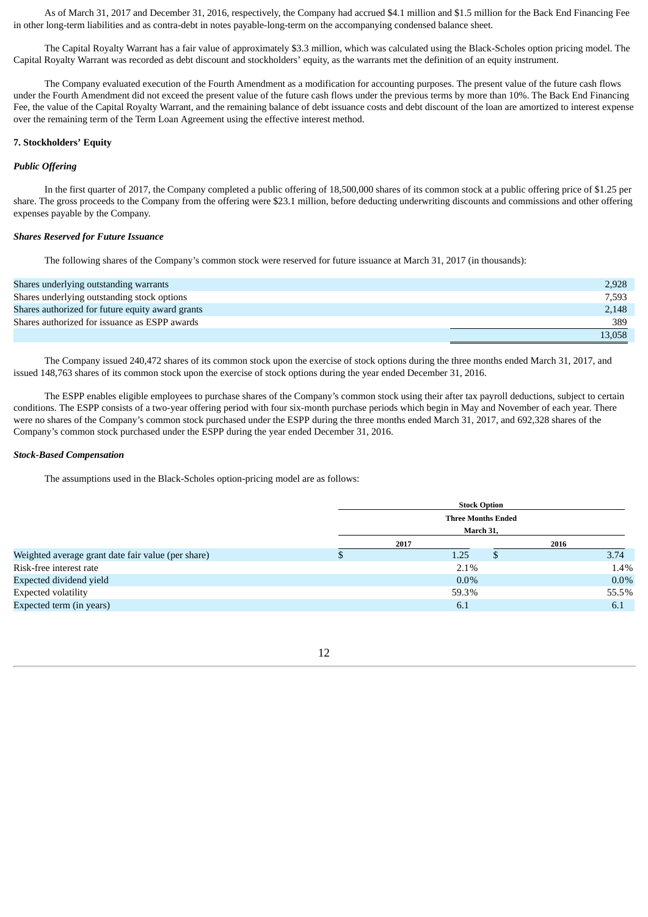As of March 31, 2017 and December 31, 2016, respectively, the Company had accrued \$4.1 million and \$1.5 million for the Back End Financing Fee in other long-term liabilities and as contra-debt in notes payable-long-term on the accompanying condensed balance sheet.

The Capital Royalty Warrant has a fair value of approximately \$3.3 million, which was calculated using the Black-Scholes option pricing model. The Capital Royalty Warrant was recorded as debt discount and stockholders' equity, as the warrants met the definition of an equity instrument.

The Company evaluated execution of the Fourth Amendment as a modification for accounting purposes. The present value of the future cash flows under the Fourth Amendment did not exceed the present value of the future cash flows under the previous terms by more than 10%. The Back End Financing Fee, the value of the Capital Royalty Warrant, and the remaining balance of debt issuance costs and debt discount of the loan are amortized to interest expense over the remaining term of the Term Loan Agreement using the effective interest method.

#### **7. Stockholders' Equity**

#### *Public Offering*

In the first quarter of 2017, the Company completed a public offering of 18,500,000 shares of its common stock at a public offering price of \$1.25 per share. The gross proceeds to the Company from the offering were \$23.1 million, before deducting underwriting discounts and commissions and other offering expenses payable by the Company.

#### *Shares Reserved for Future Issuance*

The following shares of the Company's common stock were reserved for future issuance at March 31, 2017 (in thousands):

| Shares underlying outstanding warrants           | 2,928  |
|--------------------------------------------------|--------|
| Shares underlying outstanding stock options      | 7,593  |
| Shares authorized for future equity award grants | 2,148  |
| Shares authorized for issuance as ESPP awards    | 389    |
|                                                  | 13,058 |

The Company issued 240,472 shares of its common stock upon the exercise of stock options during the three months ended March 31, 2017, and issued 148,763 shares of its common stock upon the exercise of stock options during the year ended December 31, 2016.

The ESPP enables eligible employees to purchase shares of the Company's common stock using their after tax payroll deductions, subject to certain conditions. The ESPP consists of a two-year offering period with four six-month purchase periods which begin in May and November of each year. There were no shares of the Company's common stock purchased under the ESPP during the three months ended March 31, 2017, and 692,328 shares of the Company's common stock purchased under the ESPP during the year ended December 31, 2016.

#### *Stock-Based Compensation*

The assumptions used in the Black-Scholes option-pricing model are as follows:

|                                                    | <b>Stock Option</b> |                           |         |  |  |
|----------------------------------------------------|---------------------|---------------------------|---------|--|--|
|                                                    |                     | <b>Three Months Ended</b> |         |  |  |
|                                                    | March 31,           |                           |         |  |  |
|                                                    |                     | 2017                      | 2016    |  |  |
| Weighted average grant date fair value (per share) |                     | 1.25                      | 3.74    |  |  |
| Risk-free interest rate                            |                     | 2.1%                      | 1.4%    |  |  |
| Expected dividend yield                            |                     | $0.0\%$                   | $0.0\%$ |  |  |
| <b>Expected volatility</b>                         |                     | 59.3%                     | 55.5%   |  |  |
| Expected term (in years)                           |                     | 6.1                       | 6.1     |  |  |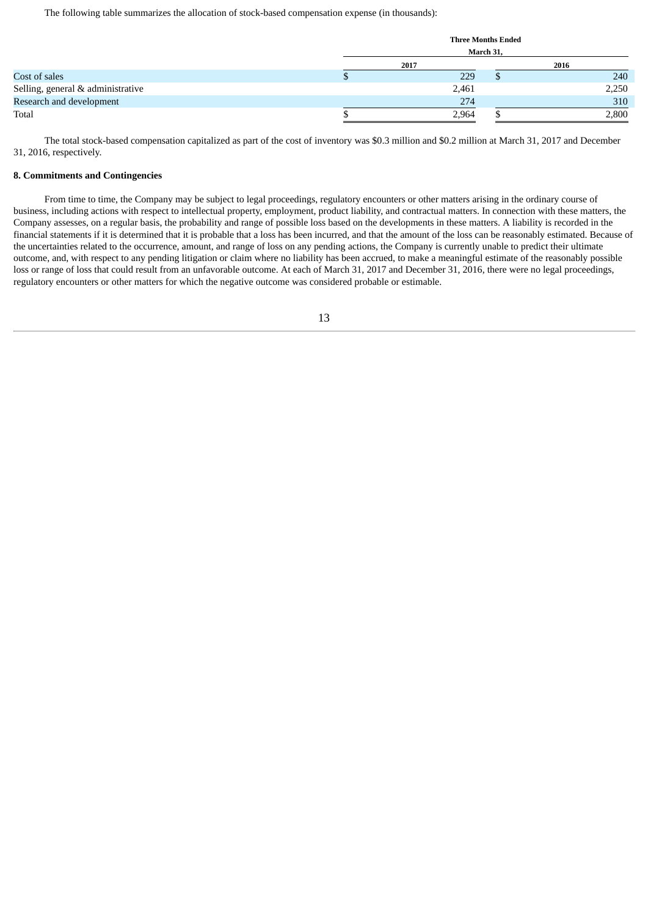The following table summarizes the allocation of stock-based compensation expense (in thousands):

| <b>Three Months Ended</b> |       |  |       |  |  |
|---------------------------|-------|--|-------|--|--|
| March 31,                 |       |  |       |  |  |
|                           | 2017  |  | 2016  |  |  |
|                           | 229   |  | 240   |  |  |
|                           | 2,461 |  | 2,250 |  |  |
|                           | 274   |  | 310   |  |  |
|                           | 2,964 |  | 2,800 |  |  |
|                           |       |  |       |  |  |

The total stock-based compensation capitalized as part of the cost of inventory was \$0.3 million and \$0.2 million at March 31, 2017 and December 31, 2016, respectively.

## **8. Commitments and Contingencies**

From time to time, the Company may be subject to legal proceedings, regulatory encounters or other matters arising in the ordinary course of business, including actions with respect to intellectual property, employment, product liability, and contractual matters. In connection with these matters, the Company assesses, on a regular basis, the probability and range of possible loss based on the developments in these matters. A liability is recorded in the financial statements if it is determined that it is probable that a loss has been incurred, and that the amount of the loss can be reasonably estimated. Because of the uncertainties related to the occurrence, amount, and range of loss on any pending actions, the Company is currently unable to predict their ultimate outcome, and, with respect to any pending litigation or claim where no liability has been accrued, to make a meaningful estimate of the reasonably possible loss or range of loss that could result from an unfavorable outcome. At each of March 31, 2017 and December 31, 2016, there were no legal proceedings, regulatory encounters or other matters for which the negative outcome was considered probable or estimable.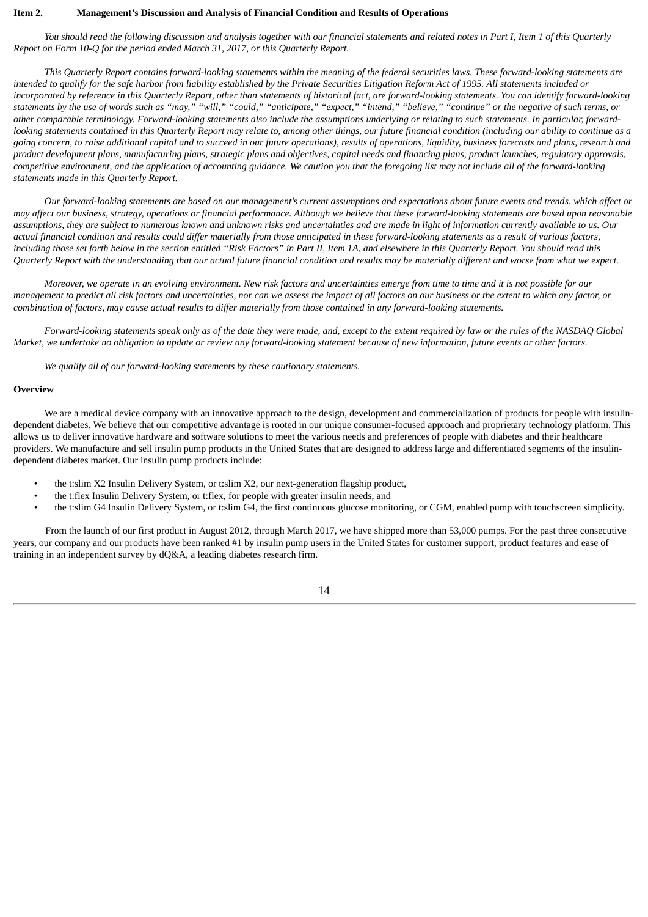#### <span id="page-15-0"></span>**Item 2. Management's Discussion and Analysis of Financial Condition and Results of Operations**

You should read the following discussion and analysis together with our financial statements and related notes in Part I, Item 1 of this Quarterly *Report on Form 10-Q for the period ended March 31, 2017, or this Quarterly Report.*

This Quarterly Report contains forward-looking statements within the meaning of the federal securities laws. These forward-looking statements are intended to qualify for the safe harbor from liability established by the Private Securities Litigation Reform Act of 1995. All statements included or incorporated by reference in this Quarterly Report, other than statements of historical fact, are forward-looking statements. You can identify forward-looking statements by the use of words such as "may," "will," "could," "anticipate," "expect," "intend," "believe," "continue" or the negative of such terms, or other comparable terminology. Forward-looking statements also include the assumptions underlying or relating to such statements. In particular, forwardlooking statements contained in this Quarterly Report may relate to, among other things, our future financial condition (including our ability to continue as a going concern, to raise additional capital and to succeed in our future operations), results of operations, liquidity, business forecasts and plans, research and product development plans, manufacturing plans, strategic plans and objectives, capital needs and financing plans, product launches, regulatory approvals, competitive environment, and the application of accounting quidance. We caution you that the foregoing list may not include all of the forward-looking *statements made in this Quarterly Report.*

Our forward-looking statements are based on our management's current assumptions and expectations about future events and trends, which affect or may affect our business, strategy, operations or financial performance. Although we believe that these forward-looking statements are based upon reasonable assumptions, they are subject to numerous known and unknown risks and uncertainties and are made in light of information currently available to us. Our actual financial condition and results could differ materially from those anticipated in these forward-looking statements as a result of various factors, including those set forth below in the section entitled "Risk Factors" in Part II, Item 1A, and elsewhere in this Quarterly Report. You should read this Ouarterly Report with the understanding that our actual future financial condition and results may be materially different and worse from what we expect.

Moreover, we operate in an evolving environment. New risk factors and uncertainties emerge from time to time and it is not possible for our management to predict all risk factors and uncertainties, nor can we assess the impact of all factors on our business or the extent to which any factor, or combination of factors, may cause actual results to differ materially from those contained in any forward-looking statements.

Forward-looking statements speak only as of the date they were made, and, except to the extent required by law or the rules of the NASDAO Global Market, we undertake no obligation to update or review any forward-looking statement because of new information, future events or other factors.

*We qualify all of our forward-looking statements by these cautionary statements.*

#### **Overview**

We are a medical device company with an innovative approach to the design, development and commercialization of products for people with insulindependent diabetes. We believe that our competitive advantage is rooted in our unique consumer-focused approach and proprietary technology platform. This allows us to deliver innovative hardware and software solutions to meet the various needs and preferences of people with diabetes and their healthcare providers. We manufacture and sell insulin pump products in the United States that are designed to address large and differentiated segments of the insulindependent diabetes market. Our insulin pump products include:

- the t:slim X2 Insulin Delivery System, or t:slim X2, our next-generation flagship product,
- the t:flex Insulin Delivery System, or t:flex, for people with greater insulin needs, and
- the t:slim G4 Insulin Delivery System, or t:slim G4, the first continuous glucose monitoring, or CGM, enabled pump with touchscreen simplicity.

From the launch of our first product in August 2012, through March 2017, we have shipped more than 53,000 pumps. For the past three consecutive years, our company and our products have been ranked #1 by insulin pump users in the United States for customer support, product features and ease of training in an independent survey by dQ&A, a leading diabetes research firm.

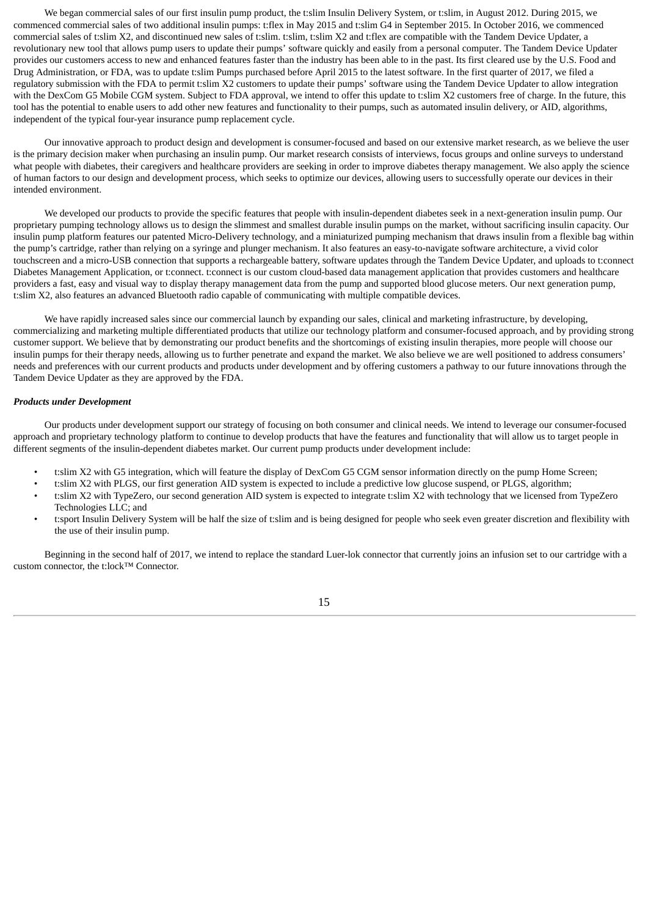We began commercial sales of our first insulin pump product, the t:slim Insulin Delivery System, or t:slim, in August 2012. During 2015, we commenced commercial sales of two additional insulin pumps: t:flex in May 2015 and t:slim G4 in September 2015. In October 2016, we commenced commercial sales of t:slim X2, and discontinued new sales of t:slim. t:slim, t:slim X2 and t:flex are compatible with the Tandem Device Updater, a revolutionary new tool that allows pump users to update their pumps' software quickly and easily from a personal computer. The Tandem Device Updater provides our customers access to new and enhanced features faster than the industry has been able to in the past. Its first cleared use by the U.S. Food and Drug Administration, or FDA, was to update t:slim Pumps purchased before April 2015 to the latest software. In the first quarter of 2017, we filed a regulatory submission with the FDA to permit t:slim X2 customers to update their pumps' software using the Tandem Device Updater to allow integration with the DexCom G5 Mobile CGM system. Subject to FDA approval, we intend to offer this update to t:slim X2 customers free of charge. In the future, this tool has the potential to enable users to add other new features and functionality to their pumps, such as automated insulin delivery, or AID, algorithms, independent of the typical four-year insurance pump replacement cycle.

Our innovative approach to product design and development is consumer-focused and based on our extensive market research, as we believe the user is the primary decision maker when purchasing an insulin pump. Our market research consists of interviews, focus groups and online surveys to understand what people with diabetes, their caregivers and healthcare providers are seeking in order to improve diabetes therapy management. We also apply the science of human factors to our design and development process, which seeks to optimize our devices, allowing users to successfully operate our devices in their intended environment.

We developed our products to provide the specific features that people with insulin-dependent diabetes seek in a next-generation insulin pump. Our proprietary pumping technology allows us to design the slimmest and smallest durable insulin pumps on the market, without sacrificing insulin capacity. Our insulin pump platform features our patented Micro-Delivery technology, and a miniaturized pumping mechanism that draws insulin from a flexible bag within the pump's cartridge, rather than relying on a syringe and plunger mechanism. It also features an easy-to-navigate software architecture, a vivid color touchscreen and a micro-USB connection that supports a rechargeable battery, software updates through the Tandem Device Updater, and uploads to t:connect Diabetes Management Application, or t:connect. t:connect is our custom cloud-based data management application that provides customers and healthcare providers a fast, easy and visual way to display therapy management data from the pump and supported blood glucose meters. Our next generation pump, t:slim X2, also features an advanced Bluetooth radio capable of communicating with multiple compatible devices.

We have rapidly increased sales since our commercial launch by expanding our sales, clinical and marketing infrastructure, by developing, commercializing and marketing multiple differentiated products that utilize our technology platform and consumer-focused approach, and by providing strong customer support. We believe that by demonstrating our product benefits and the shortcomings of existing insulin therapies, more people will choose our insulin pumps for their therapy needs, allowing us to further penetrate and expand the market. We also believe we are well positioned to address consumers' needs and preferences with our current products and products under development and by offering customers a pathway to our future innovations through the Tandem Device Updater as they are approved by the FDA.

#### *Products under Development*

Our products under development support our strategy of focusing on both consumer and clinical needs. We intend to leverage our consumer-focused approach and proprietary technology platform to continue to develop products that have the features and functionality that will allow us to target people in different segments of the insulin-dependent diabetes market. Our current pump products under development include:

- t:slim X2 with G5 integration, which will feature the display of DexCom G5 CGM sensor information directly on the pump Home Screen;
- t:slim X2 with PLGS, our first generation AID system is expected to include a predictive low glucose suspend, or PLGS, algorithm;
- t:slim X2 with TypeZero, our second generation AID system is expected to integrate t:slim X2 with technology that we licensed from TypeZero Technologies LLC; and
- t:sport Insulin Delivery System will be half the size of t:slim and is being designed for people who seek even greater discretion and flexibility with the use of their insulin pump.

Beginning in the second half of 2017, we intend to replace the standard Luer-lok connector that currently joins an infusion set to our cartridge with a custom connector, the t:lock™ Connector.

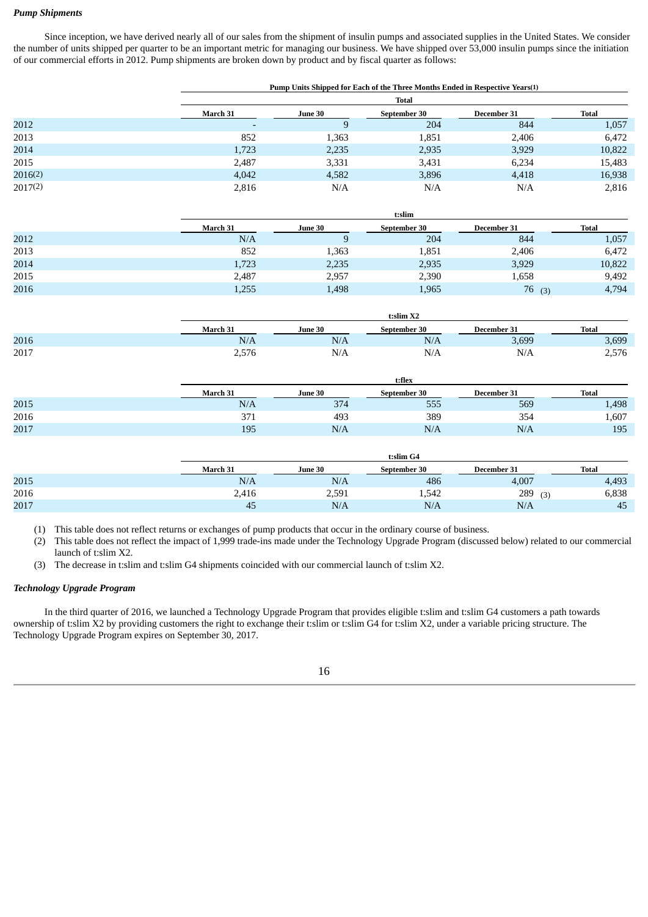## *Pump Shipments*

Since inception, we have derived nearly all of our sales from the shipment of insulin pumps and associated supplies in the United States. We consider the number of units shipped per quarter to be an important metric for managing our business. We have shipped over 53,000 insulin pumps since the initiation of our commercial efforts in 2012. Pump shipments are broken down by product and by fiscal quarter as follows:

|         |          | Pump Units Shipped for Each of the Three Months Ended in Respective Years(1) |              |             |              |  |  |
|---------|----------|------------------------------------------------------------------------------|--------------|-------------|--------------|--|--|
|         |          | Total                                                                        |              |             |              |  |  |
|         | March 31 | June 30                                                                      | September 30 | December 31 | <b>Total</b> |  |  |
| 2012    |          |                                                                              | 204          | 844         | 1,057        |  |  |
| 2013    | 852      | 1,363                                                                        | 1,851        | 2,406       | 6,472        |  |  |
| 2014    | 1,723    | 2,235                                                                        | 2,935        | 3,929       | 10,822       |  |  |
| 2015    | 2,487    | 3,331                                                                        | 3,431        | 6,234       | 15,483       |  |  |
| 2016(2) | 4,042    | 4,582                                                                        | 3,896        | 4,418       | 16,938       |  |  |
| 2017(2) | 2,816    | N/A                                                                          | N/A          | N/A         | 2,816        |  |  |

|      |          | t:slim  |              |             |              |  |
|------|----------|---------|--------------|-------------|--------------|--|
|      | March 31 | June 30 | September 30 | December 31 | <b>Total</b> |  |
| 2012 | N/A      |         | 204          | 844         | 1,057        |  |
| 2013 | 852      | 1,363   | 1,851        | 2,406       | 6,472        |  |
| 2014 | 1,723    | 2,235   | 2,935        | 3,929       | 10,822       |  |
| 2015 | 2,487    | 2,957   | 2,390        | 1,658       | 9,492        |  |
| 2016 | 1,255    | 1,498   | 1,965        | 76          | 4,794<br>(3) |  |

|      |                  | t:slim X2 |              |             |              |  |
|------|------------------|-----------|--------------|-------------|--------------|--|
|      | March 31         | June 30   | September 30 | December 3. | <b>Total</b> |  |
| 2016 | N/A              | N/A       | N/A          | 3,699       | 3,699        |  |
| 2017 | $- - -$<br>2,000 | N/A       | N/A          | N/A         | 2,576        |  |

|      |          | t:flex  |              |             |              |  |  |
|------|----------|---------|--------------|-------------|--------------|--|--|
|      | March 31 | June 30 | September 30 | December 31 | <b>Total</b> |  |  |
| 2015 | N/A      | 374     | 555          | 569         | 1,498        |  |  |
| 2016 | 371      | 493     | 389          | 354         | 1,607        |  |  |
| 2017 | 195      | N/A     | N/A          | N/A         | 195          |  |  |

|      | t:slim G4 |         |                     |             |              |
|------|-----------|---------|---------------------|-------------|--------------|
|      | March 31  | June 30 | <b>September 30</b> | December 31 | <b>Total</b> |
| 2015 | N/A       | N/A     | 486                 | 4,007       | 4,493        |
| 2016 | 2,416     | 2,591   | 1,542               | 289<br>(3)  | 6,838        |
| 2017 | 45        | N/A     | N/A                 | N/A         | 45           |

(1) This table does not reflect returns or exchanges of pump products that occur in the ordinary course of business.

(2) This table does not reflect the impact of 1,999 trade-ins made under the Technology Upgrade Program (discussed below) related to our commercial launch of t:slim X2.

(3) The decrease in t:slim and t:slim G4 shipments coincided with our commercial launch of t:slim X2.

## *Technology Upgrade Program*

In the third quarter of 2016, we launched a Technology Upgrade Program that provides eligible t:slim and t:slim G4 customers a path towards ownership of t:slim X2 by providing customers the right to exchange their t:slim or t:slim G4 for t:slim X2, under a variable pricing structure. The Technology Upgrade Program expires on September 30, 2017.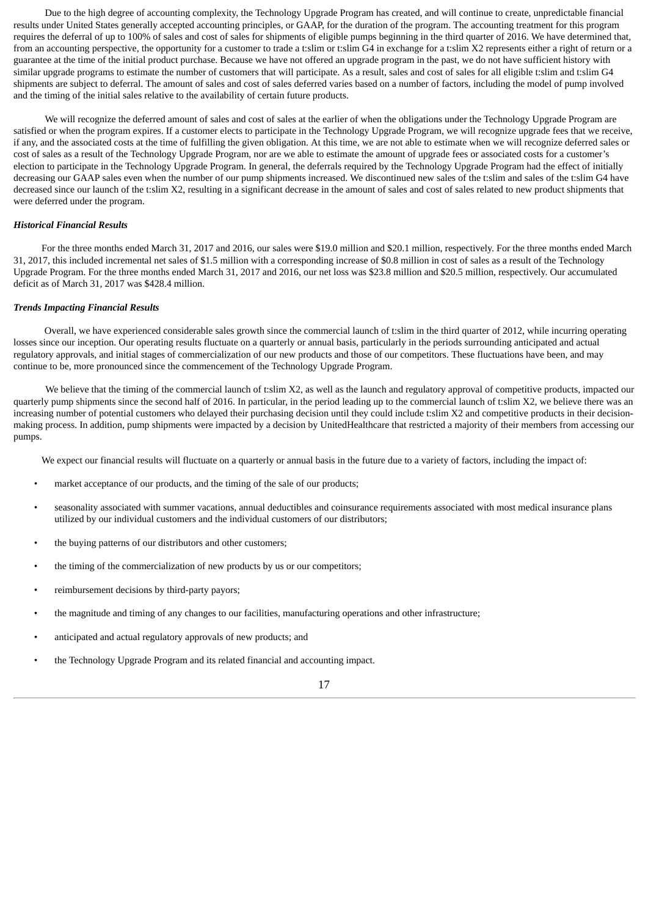Due to the high degree of accounting complexity, the Technology Upgrade Program has created, and will continue to create, unpredictable financial results under United States generally accepted accounting principles, or GAAP, for the duration of the program. The accounting treatment for this program requires the deferral of up to 100% of sales and cost of sales for shipments of eligible pumps beginning in the third quarter of 2016. We have determined that, from an accounting perspective, the opportunity for a customer to trade a t:slim or t:slim G4 in exchange for a t:slim X2 represents either a right of return or a guarantee at the time of the initial product purchase. Because we have not offered an upgrade program in the past, we do not have sufficient history with similar upgrade programs to estimate the number of customers that will participate. As a result, sales and cost of sales for all eligible t:slim and t:slim G4 shipments are subject to deferral. The amount of sales and cost of sales deferred varies based on a number of factors, including the model of pump involved and the timing of the initial sales relative to the availability of certain future products.

We will recognize the deferred amount of sales and cost of sales at the earlier of when the obligations under the Technology Upgrade Program are satisfied or when the program expires. If a customer elects to participate in the Technology Upgrade Program, we will recognize upgrade fees that we receive, if any, and the associated costs at the time of fulfilling the given obligation. At this time, we are not able to estimate when we will recognize deferred sales or cost of sales as a result of the Technology Upgrade Program, nor are we able to estimate the amount of upgrade fees or associated costs for a customer's election to participate in the Technology Upgrade Program. In general, the deferrals required by the Technology Upgrade Program had the effect of initially decreasing our GAAP sales even when the number of our pump shipments increased. We discontinued new sales of the t:slim and sales of the t:slim G4 have decreased since our launch of the t:slim X2, resulting in a significant decrease in the amount of sales and cost of sales related to new product shipments that were deferred under the program.

#### *Historical Financial Results*

For the three months ended March 31, 2017 and 2016, our sales were \$19.0 million and \$20.1 million, respectively. For the three months ended March 31, 2017, this included incremental net sales of \$1.5 million with a corresponding increase of \$0.8 million in cost of sales as a result of the Technology Upgrade Program. For the three months ended March 31, 2017 and 2016, our net loss was \$23.8 million and \$20.5 million, respectively. Our accumulated deficit as of March 31, 2017 was \$428.4 million.

#### *Trends Impacting Financial Results*

Overall, we have experienced considerable sales growth since the commercial launch of t:slim in the third quarter of 2012, while incurring operating losses since our inception. Our operating results fluctuate on a quarterly or annual basis, particularly in the periods surrounding anticipated and actual regulatory approvals, and initial stages of commercialization of our new products and those of our competitors. These fluctuations have been, and may continue to be, more pronounced since the commencement of the Technology Upgrade Program.

We believe that the timing of the commercial launch of t:slim X2, as well as the launch and regulatory approval of competitive products, impacted our quarterly pump shipments since the second half of 2016. In particular, in the period leading up to the commercial launch of t:slim X2, we believe there was an increasing number of potential customers who delayed their purchasing decision until they could include t:slim X2 and competitive products in their decisionmaking process. In addition, pump shipments were impacted by a decision by UnitedHealthcare that restricted a majority of their members from accessing our pumps.

We expect our financial results will fluctuate on a quarterly or annual basis in the future due to a variety of factors, including the impact of:

- market acceptance of our products, and the timing of the sale of our products;
- seasonality associated with summer vacations, annual deductibles and coinsurance requirements associated with most medical insurance plans utilized by our individual customers and the individual customers of our distributors;
- the buying patterns of our distributors and other customers;
- the timing of the commercialization of new products by us or our competitors;
- reimbursement decisions by third-party payors;
- the magnitude and timing of any changes to our facilities, manufacturing operations and other infrastructure;
- anticipated and actual regulatory approvals of new products; and
- the Technology Upgrade Program and its related financial and accounting impact.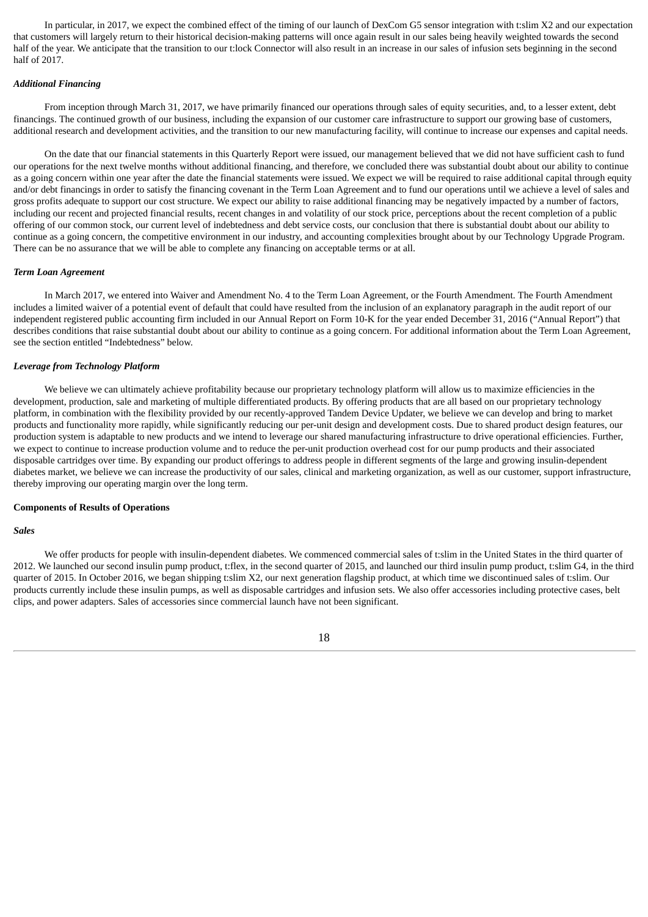In particular, in 2017, we expect the combined effect of the timing of our launch of DexCom G5 sensor integration with t:slim X2 and our expectation that customers will largely return to their historical decision-making patterns will once again result in our sales being heavily weighted towards the second half of the year. We anticipate that the transition to our t:lock Connector will also result in an increase in our sales of infusion sets beginning in the second half of 2017.

#### *Additional Financing*

From inception through March 31, 2017, we have primarily financed our operations through sales of equity securities, and, to a lesser extent, debt financings. The continued growth of our business, including the expansion of our customer care infrastructure to support our growing base of customers, additional research and development activities, and the transition to our new manufacturing facility, will continue to increase our expenses and capital needs.

On the date that our financial statements in this Quarterly Report were issued, our management believed that we did not have sufficient cash to fund our operations for the next twelve months without additional financing, and therefore, we concluded there was substantial doubt about our ability to continue as a going concern within one year after the date the financial statements were issued. We expect we will be required to raise additional capital through equity and/or debt financings in order to satisfy the financing covenant in the Term Loan Agreement and to fund our operations until we achieve a level of sales and gross profits adequate to support our cost structure. We expect our ability to raise additional financing may be negatively impacted by a number of factors, including our recent and projected financial results, recent changes in and volatility of our stock price, perceptions about the recent completion of a public offering of our common stock, our current level of indebtedness and debt service costs, our conclusion that there is substantial doubt about our ability to continue as a going concern, the competitive environment in our industry, and accounting complexities brought about by our Technology Upgrade Program. There can be no assurance that we will be able to complete any financing on acceptable terms or at all.

#### *Term Loan Agreement*

In March 2017, we entered into Waiver and Amendment No. 4 to the Term Loan Agreement, or the Fourth Amendment. The Fourth Amendment includes a limited waiver of a potential event of default that could have resulted from the inclusion of an explanatory paragraph in the audit report of our independent registered public accounting firm included in our Annual Report on Form 10-K for the year ended December 31, 2016 ("Annual Report") that describes conditions that raise substantial doubt about our ability to continue as a going concern. For additional information about the Term Loan Agreement, see the section entitled "Indebtedness" below.

#### *Leverage from Technology Platform*

We believe we can ultimately achieve profitability because our proprietary technology platform will allow us to maximize efficiencies in the development, production, sale and marketing of multiple differentiated products. By offering products that are all based on our proprietary technology platform, in combination with the flexibility provided by our recently-approved Tandem Device Updater, we believe we can develop and bring to market products and functionality more rapidly, while significantly reducing our per-unit design and development costs. Due to shared product design features, our production system is adaptable to new products and we intend to leverage our shared manufacturing infrastructure to drive operational efficiencies. Further, we expect to continue to increase production volume and to reduce the per-unit production overhead cost for our pump products and their associated disposable cartridges over time. By expanding our product offerings to address people in different segments of the large and growing insulin-dependent diabetes market, we believe we can increase the productivity of our sales, clinical and marketing organization, as well as our customer, support infrastructure, thereby improving our operating margin over the long term.

#### **Components of Results of Operations**

#### *Sales*

We offer products for people with insulin-dependent diabetes. We commenced commercial sales of t:slim in the United States in the third quarter of 2012. We launched our second insulin pump product, t:flex, in the second quarter of 2015, and launched our third insulin pump product, t:slim G4, in the third quarter of 2015. In October 2016, we began shipping t:slim X2, our next generation flagship product, at which time we discontinued sales of t:slim. Our products currently include these insulin pumps, as well as disposable cartridges and infusion sets. We also offer accessories including protective cases, belt clips, and power adapters. Sales of accessories since commercial launch have not been significant.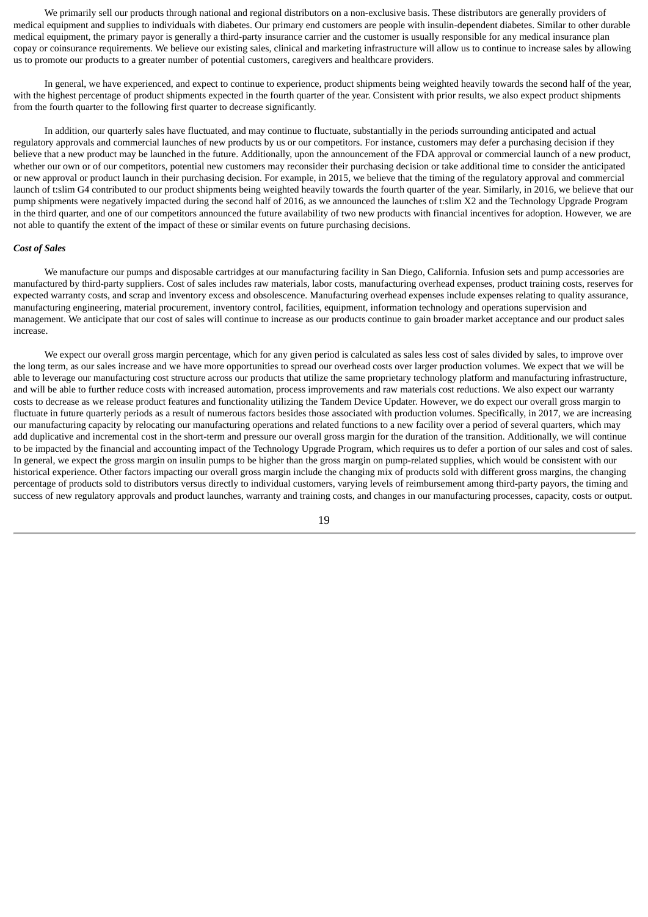We primarily sell our products through national and regional distributors on a non-exclusive basis. These distributors are generally providers of medical equipment and supplies to individuals with diabetes. Our primary end customers are people with insulin-dependent diabetes. Similar to other durable medical equipment, the primary payor is generally a third-party insurance carrier and the customer is usually responsible for any medical insurance plan copay or coinsurance requirements. We believe our existing sales, clinical and marketing infrastructure will allow us to continue to increase sales by allowing us to promote our products to a greater number of potential customers, caregivers and healthcare providers.

In general, we have experienced, and expect to continue to experience, product shipments being weighted heavily towards the second half of the year, with the highest percentage of product shipments expected in the fourth quarter of the year. Consistent with prior results, we also expect product shipments from the fourth quarter to the following first quarter to decrease significantly.

In addition, our quarterly sales have fluctuated, and may continue to fluctuate, substantially in the periods surrounding anticipated and actual regulatory approvals and commercial launches of new products by us or our competitors. For instance, customers may defer a purchasing decision if they believe that a new product may be launched in the future. Additionally, upon the announcement of the FDA approval or commercial launch of a new product, whether our own or of our competitors, potential new customers may reconsider their purchasing decision or take additional time to consider the anticipated or new approval or product launch in their purchasing decision. For example, in 2015, we believe that the timing of the regulatory approval and commercial launch of t:slim G4 contributed to our product shipments being weighted heavily towards the fourth quarter of the year. Similarly, in 2016, we believe that our pump shipments were negatively impacted during the second half of 2016, as we announced the launches of t:slim X2 and the Technology Upgrade Program in the third quarter, and one of our competitors announced the future availability of two new products with financial incentives for adoption. However, we are not able to quantify the extent of the impact of these or similar events on future purchasing decisions.

#### *Cost of Sales*

We manufacture our pumps and disposable cartridges at our manufacturing facility in San Diego, California. Infusion sets and pump accessories are manufactured by third-party suppliers. Cost of sales includes raw materials, labor costs, manufacturing overhead expenses, product training costs, reserves for expected warranty costs, and scrap and inventory excess and obsolescence. Manufacturing overhead expenses include expenses relating to quality assurance, manufacturing engineering, material procurement, inventory control, facilities, equipment, information technology and operations supervision and management. We anticipate that our cost of sales will continue to increase as our products continue to gain broader market acceptance and our product sales increase.

We expect our overall gross margin percentage, which for any given period is calculated as sales less cost of sales divided by sales, to improve over the long term, as our sales increase and we have more opportunities to spread our overhead costs over larger production volumes. We expect that we will be able to leverage our manufacturing cost structure across our products that utilize the same proprietary technology platform and manufacturing infrastructure, and will be able to further reduce costs with increased automation, process improvements and raw materials cost reductions. We also expect our warranty costs to decrease as we release product features and functionality utilizing the Tandem Device Updater. However, we do expect our overall gross margin to fluctuate in future quarterly periods as a result of numerous factors besides those associated with production volumes. Specifically, in 2017, we are increasing our manufacturing capacity by relocating our manufacturing operations and related functions to a new facility over a period of several quarters, which may add duplicative and incremental cost in the short-term and pressure our overall gross margin for the duration of the transition. Additionally, we will continue to be impacted by the financial and accounting impact of the Technology Upgrade Program, which requires us to defer a portion of our sales and cost of sales. In general, we expect the gross margin on insulin pumps to be higher than the gross margin on pump-related supplies, which would be consistent with our historical experience. Other factors impacting our overall gross margin include the changing mix of products sold with different gross margins, the changing percentage of products sold to distributors versus directly to individual customers, varying levels of reimbursement among third-party payors, the timing and success of new regulatory approvals and product launches, warranty and training costs, and changes in our manufacturing processes, capacity, costs or output.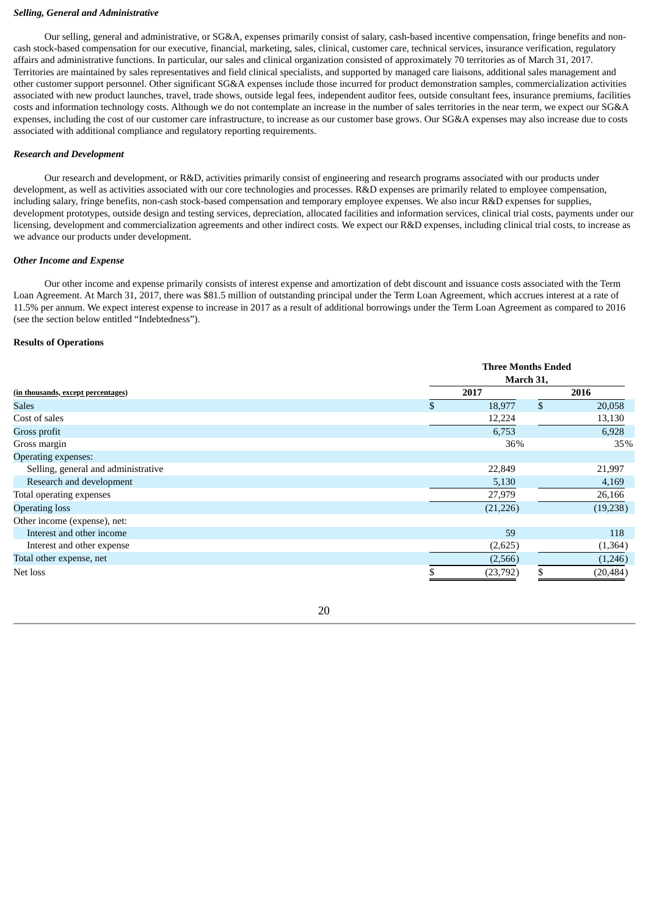#### *Selling, General and Administrative*

Our selling, general and administrative, or SG&A, expenses primarily consist of salary, cash-based incentive compensation, fringe benefits and noncash stock-based compensation for our executive, financial, marketing, sales, clinical, customer care, technical services, insurance verification, regulatory affairs and administrative functions. In particular, our sales and clinical organization consisted of approximately 70 territories as of March 31, 2017. Territories are maintained by sales representatives and field clinical specialists, and supported by managed care liaisons, additional sales management and other customer support personnel. Other significant SG&A expenses include those incurred for product demonstration samples, commercialization activities associated with new product launches, travel, trade shows, outside legal fees, independent auditor fees, outside consultant fees, insurance premiums, facilities costs and information technology costs. Although we do not contemplate an increase in the number of sales territories in the near term, we expect our SG&A expenses, including the cost of our customer care infrastructure, to increase as our customer base grows. Our SG&A expenses may also increase due to costs associated with additional compliance and regulatory reporting requirements.

#### *Research and Development*

Our research and development, or R&D, activities primarily consist of engineering and research programs associated with our products under development, as well as activities associated with our core technologies and processes. R&D expenses are primarily related to employee compensation, including salary, fringe benefits, non-cash stock-based compensation and temporary employee expenses. We also incur R&D expenses for supplies, development prototypes, outside design and testing services, depreciation, allocated facilities and information services, clinical trial costs, payments under our licensing, development and commercialization agreements and other indirect costs. We expect our R&D expenses, including clinical trial costs, to increase as we advance our products under development.

#### *Other Income and Expense*

Our other income and expense primarily consists of interest expense and amortization of debt discount and issuance costs associated with the Term Loan Agreement. At March 31, 2017, there was \$81.5 million of outstanding principal under the Term Loan Agreement, which accrues interest at a rate of 11.5% per annum. We expect interest expense to increase in 2017 as a result of additional borrowings under the Term Loan Agreement as compared to 2016 (see the section below entitled "Indebtedness").

#### **Results of Operations**

|                                     | <b>Three Months Ended</b><br>March 31, |    |           |  |
|-------------------------------------|----------------------------------------|----|-----------|--|
| (in thousands, except percentages)  | 2017                                   |    | 2016      |  |
| <b>Sales</b>                        | \$<br>18,977                           | \$ | 20,058    |  |
| Cost of sales                       | 12,224                                 |    | 13,130    |  |
| Gross profit                        | 6,753                                  |    | 6,928     |  |
| Gross margin                        | 36%                                    |    | 35%       |  |
| Operating expenses:                 |                                        |    |           |  |
| Selling, general and administrative | 22,849                                 |    | 21,997    |  |
| Research and development            | 5,130                                  |    | 4,169     |  |
| Total operating expenses            | 27,979                                 |    | 26,166    |  |
| <b>Operating loss</b>               | (21, 226)                              |    | (19,238)  |  |
| Other income (expense), net:        |                                        |    |           |  |
| Interest and other income           | 59                                     |    | 118       |  |
| Interest and other expense          | (2,625)                                |    | (1, 364)  |  |
| Total other expense, net            | (2,566)                                |    | (1,246)   |  |
| Net loss                            | (23, 792)                              |    | (20, 484) |  |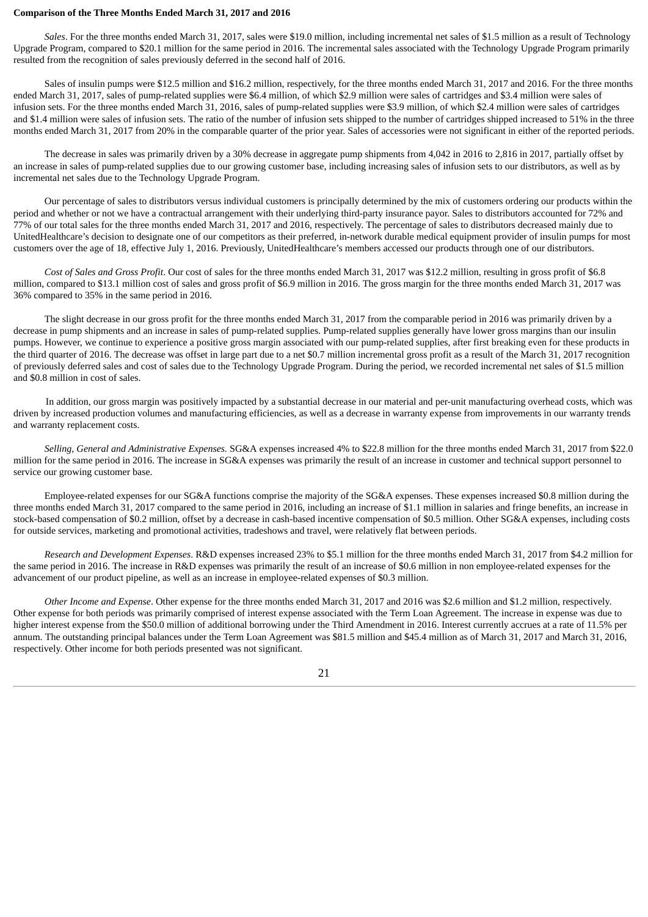#### **Comparison of the Three Months Ended March 31, 2017 and 2016**

*Sales*. For the three months ended March 31, 2017, sales were \$19.0 million, including incremental net sales of \$1.5 million as a result of Technology Upgrade Program, compared to \$20.1 million for the same period in 2016. The incremental sales associated with the Technology Upgrade Program primarily resulted from the recognition of sales previously deferred in the second half of 2016.

Sales of insulin pumps were \$12.5 million and \$16.2 million, respectively, for the three months ended March 31, 2017 and 2016. For the three months ended March 31, 2017, sales of pump-related supplies were \$6.4 million, of which \$2.9 million were sales of cartridges and \$3.4 million were sales of infusion sets. For the three months ended March 31, 2016, sales of pump-related supplies were \$3.9 million, of which \$2.4 million were sales of cartridges and \$1.4 million were sales of infusion sets. The ratio of the number of infusion sets shipped to the number of cartridges shipped increased to 51% in the three months ended March 31, 2017 from 20% in the comparable quarter of the prior year. Sales of accessories were not significant in either of the reported periods.

The decrease in sales was primarily driven by a 30% decrease in aggregate pump shipments from 4,042 in 2016 to 2,816 in 2017, partially offset by an increase in sales of pump-related supplies due to our growing customer base, including increasing sales of infusion sets to our distributors, as well as by incremental net sales due to the Technology Upgrade Program.

Our percentage of sales to distributors versus individual customers is principally determined by the mix of customers ordering our products within the period and whether or not we have a contractual arrangement with their underlying third-party insurance payor. Sales to distributors accounted for 72% and 77% of our total sales for the three months ended March 31, 2017 and 2016, respectively. The percentage of sales to distributors decreased mainly due to UnitedHealthcare's decision to designate one of our competitors as their preferred, in-network durable medical equipment provider of insulin pumps for most customers over the age of 18, effective July 1, 2016. Previously, UnitedHealthcare's members accessed our products through one of our distributors.

*Cost of Sales and Gross Profit*. Our cost of sales for the three months ended March 31, 2017 was \$12.2 million, resulting in gross profit of \$6.8 million, compared to \$13.1 million cost of sales and gross profit of \$6.9 million in 2016. The gross margin for the three months ended March 31, 2017 was 36% compared to 35% in the same period in 2016.

The slight decrease in our gross profit for the three months ended March 31, 2017 from the comparable period in 2016 was primarily driven by a decrease in pump shipments and an increase in sales of pump-related supplies. Pump-related supplies generally have lower gross margins than our insulin pumps. However, we continue to experience a positive gross margin associated with our pump-related supplies, after first breaking even for these products in the third quarter of 2016. The decrease was offset in large part due to a net \$0.7 million incremental gross profit as a result of the March 31, 2017 recognition of previously deferred sales and cost of sales due to the Technology Upgrade Program. During the period, we recorded incremental net sales of \$1.5 million and \$0.8 million in cost of sales.

In addition, our gross margin was positively impacted by a substantial decrease in our material and per-unit manufacturing overhead costs, which was driven by increased production volumes and manufacturing efficiencies, as well as a decrease in warranty expense from improvements in our warranty trends and warranty replacement costs.

*Selling, General and Administrative Expenses.* SG&A expenses increased 4% to \$22.8 million for the three months ended March 31, 2017 from \$22.0 million for the same period in 2016. The increase in SG&A expenses was primarily the result of an increase in customer and technical support personnel to service our growing customer base.

Employee-related expenses for our SG&A functions comprise the majority of the SG&A expenses. These expenses increased \$0.8 million during the three months ended March 31, 2017 compared to the same period in 2016, including an increase of \$1.1 million in salaries and fringe benefits, an increase in stock-based compensation of \$0.2 million, offset by a decrease in cash-based incentive compensation of \$0.5 million. Other SG&A expenses, including costs for outside services, marketing and promotional activities, tradeshows and travel, were relatively flat between periods.

*Research and Development Expenses*. R&D expenses increased 23% to \$5.1 million for the three months ended March 31, 2017 from \$4.2 million for the same period in 2016. The increase in R&D expenses was primarily the result of an increase of \$0.6 million in non employee-related expenses for the advancement of our product pipeline, as well as an increase in employee-related expenses of \$0.3 million.

*Other Income and Expense*. Other expense for the three months ended March 31, 2017 and 2016 was \$2.6 million and \$1.2 million, respectively. Other expense for both periods was primarily comprised of interest expense associated with the Term Loan Agreement. The increase in expense was due to higher interest expense from the \$50.0 million of additional borrowing under the Third Amendment in 2016. Interest currently accrues at a rate of 11.5% per annum. The outstanding principal balances under the Term Loan Agreement was \$81.5 million and \$45.4 million as of March 31, 2017 and March 31, 2016, respectively. Other income for both periods presented was not significant.

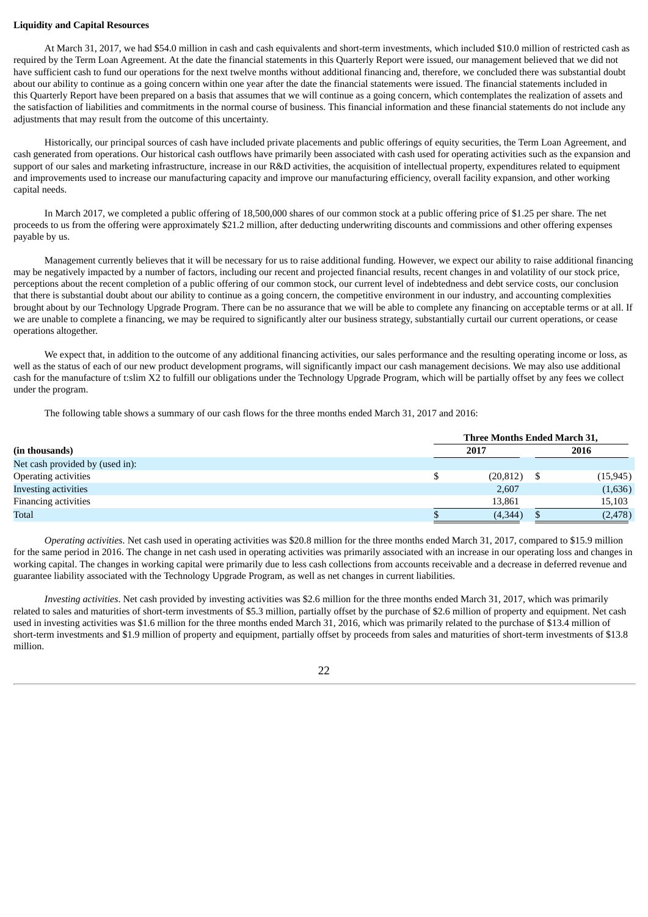#### **Liquidity and Capital Resources**

At March 31, 2017, we had \$54.0 million in cash and cash equivalents and short-term investments, which included \$10.0 million of restricted cash as required by the Term Loan Agreement. At the date the financial statements in this Quarterly Report were issued, our management believed that we did not have sufficient cash to fund our operations for the next twelve months without additional financing and, therefore, we concluded there was substantial doubt about our ability to continue as a going concern within one year after the date the financial statements were issued. The financial statements included in this Quarterly Report have been prepared on a basis that assumes that we will continue as a going concern, which contemplates the realization of assets and the satisfaction of liabilities and commitments in the normal course of business. This financial information and these financial statements do not include any adjustments that may result from the outcome of this uncertainty.

Historically, our principal sources of cash have included private placements and public offerings of equity securities, the Term Loan Agreement, and cash generated from operations. Our historical cash outflows have primarily been associated with cash used for operating activities such as the expansion and support of our sales and marketing infrastructure, increase in our R&D activities, the acquisition of intellectual property, expenditures related to equipment and improvements used to increase our manufacturing capacity and improve our manufacturing efficiency, overall facility expansion, and other working capital needs.

In March 2017, we completed a public offering of 18,500,000 shares of our common stock at a public offering price of \$1.25 per share. The net proceeds to us from the offering were approximately \$21.2 million, after deducting underwriting discounts and commissions and other offering expenses payable by us.

Management currently believes that it will be necessary for us to raise additional funding. However, we expect our ability to raise additional financing may be negatively impacted by a number of factors, including our recent and projected financial results, recent changes in and volatility of our stock price, perceptions about the recent completion of a public offering of our common stock, our current level of indebtedness and debt service costs, our conclusion that there is substantial doubt about our ability to continue as a going concern, the competitive environment in our industry, and accounting complexities brought about by our Technology Upgrade Program. There can be no assurance that we will be able to complete any financing on acceptable terms or at all. If we are unable to complete a financing, we may be required to significantly alter our business strategy, substantially curtail our current operations, or cease operations altogether.

We expect that, in addition to the outcome of any additional financing activities, our sales performance and the resulting operating income or loss, as well as the status of each of our new product development programs, will significantly impact our cash management decisions. We may also use additional cash for the manufacture of t:slim X2 to fulfill our obligations under the Technology Upgrade Program, which will be partially offset by any fees we collect under the program.

The following table shows a summary of our cash flows for the three months ended March 31, 2017 and 2016:

|                                 | Three Months Ended March 31, |  |           |  |
|---------------------------------|------------------------------|--|-----------|--|
| (in thousands)                  | 2017                         |  | 2016      |  |
| Net cash provided by (used in): |                              |  |           |  |
| <b>Operating activities</b>     | (20, 812)                    |  | (15, 945) |  |
| Investing activities            | 2,607                        |  | (1,636)   |  |
| Financing activities            | 13,861                       |  | 15,103    |  |
| <b>Total</b>                    | (4,344)                      |  | (2, 478)  |  |

*Operating activities*. Net cash used in operating activities was \$20.8 million for the three months ended March 31, 2017, compared to \$15.9 million for the same period in 2016. The change in net cash used in operating activities was primarily associated with an increase in our operating loss and changes in working capital. The changes in working capital were primarily due to less cash collections from accounts receivable and a decrease in deferred revenue and guarantee liability associated with the Technology Upgrade Program, as well as net changes in current liabilities.

*Investing activities*. Net cash provided by investing activities was \$2.6 million for the three months ended March 31, 2017, which was primarily related to sales and maturities of short-term investments of \$5.3 million, partially offset by the purchase of \$2.6 million of property and equipment. Net cash used in investing activities was \$1.6 million for the three months ended March 31, 2016, which was primarily related to the purchase of \$13.4 million of short-term investments and \$1.9 million of property and equipment, partially offset by proceeds from sales and maturities of short-term investments of \$13.8 million.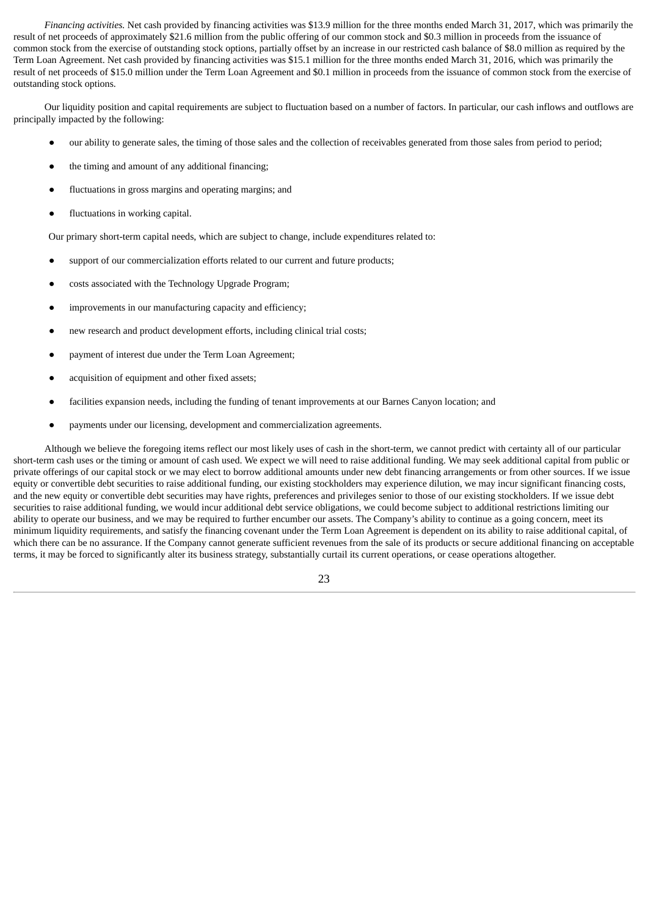*Financing activities.* Net cash provided by financing activities was \$13.9 million for the three months ended March 31, 2017, which was primarily the result of net proceeds of approximately \$21.6 million from the public offering of our common stock and \$0.3 million in proceeds from the issuance of common stock from the exercise of outstanding stock options, partially offset by an increase in our restricted cash balance of \$8.0 million as required by the Term Loan Agreement. Net cash provided by financing activities was \$15.1 million for the three months ended March 31, 2016, which was primarily the result of net proceeds of \$15.0 million under the Term Loan Agreement and \$0.1 million in proceeds from the issuance of common stock from the exercise of outstanding stock options.

Our liquidity position and capital requirements are subject to fluctuation based on a number of factors. In particular, our cash inflows and outflows are principally impacted by the following:

- our ability to generate sales, the timing of those sales and the collection of receivables generated from those sales from period to period;
- the timing and amount of any additional financing:
- fluctuations in gross margins and operating margins; and
- fluctuations in working capital.

Our primary short-term capital needs, which are subject to change, include expenditures related to:

- support of our commercialization efforts related to our current and future products;
- costs associated with the Technology Upgrade Program;
- improvements in our manufacturing capacity and efficiency;
- new research and product development efforts, including clinical trial costs;
- payment of interest due under the Term Loan Agreement;
- acquisition of equipment and other fixed assets;
- facilities expansion needs, including the funding of tenant improvements at our Barnes Canyon location; and
- payments under our licensing, development and commercialization agreements.

Although we believe the foregoing items reflect our most likely uses of cash in the short-term, we cannot predict with certainty all of our particular short-term cash uses or the timing or amount of cash used. We expect we will need to raise additional funding. We may seek additional capital from public or private offerings of our capital stock or we may elect to borrow additional amounts under new debt financing arrangements or from other sources. If we issue equity or convertible debt securities to raise additional funding, our existing stockholders may experience dilution, we may incur significant financing costs, and the new equity or convertible debt securities may have rights, preferences and privileges senior to those of our existing stockholders. If we issue debt securities to raise additional funding, we would incur additional debt service obligations, we could become subject to additional restrictions limiting our ability to operate our business, and we may be required to further encumber our assets. The Company's ability to continue as a going concern, meet its minimum liquidity requirements, and satisfy the financing covenant under the Term Loan Agreement is dependent on its ability to raise additional capital, of which there can be no assurance. If the Company cannot generate sufficient revenues from the sale of its products or secure additional financing on acceptable terms, it may be forced to significantly alter its business strategy, substantially curtail its current operations, or cease operations altogether.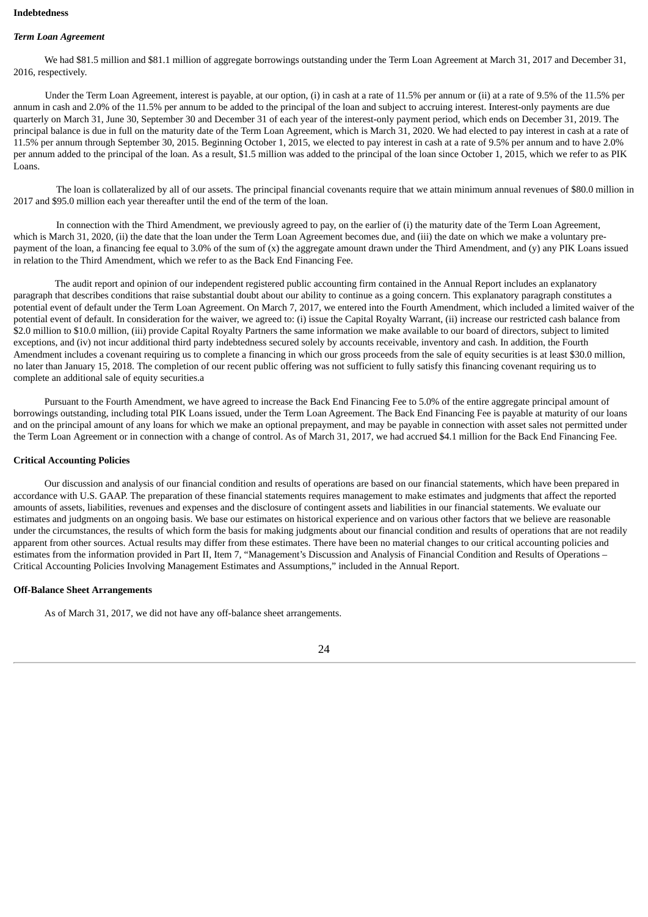## **Indebtedness**

#### *Term Loan Agreement*

We had \$81.5 million and \$81.1 million of aggregate borrowings outstanding under the Term Loan Agreement at March 31, 2017 and December 31, 2016, respectively.

Under the Term Loan Agreement, interest is payable, at our option, (i) in cash at a rate of 11.5% per annum or (ii) at a rate of 9.5% of the 11.5% per annum in cash and 2.0% of the 11.5% per annum to be added to the principal of the loan and subject to accruing interest. Interest-only payments are due quarterly on March 31, June 30, September 30 and December 31 of each year of the interest-only payment period, which ends on December 31, 2019. The principal balance is due in full on the maturity date of the Term Loan Agreement, which is March 31, 2020. We had elected to pay interest in cash at a rate of 11.5% per annum through September 30, 2015. Beginning October 1, 2015, we elected to pay interest in cash at a rate of 9.5% per annum and to have 2.0% per annum added to the principal of the loan. As a result, \$1.5 million was added to the principal of the loan since October 1, 2015, which we refer to as PIK Loans.

The loan is collateralized by all of our assets. The principal financial covenants require that we attain minimum annual revenues of \$80.0 million in 2017 and \$95.0 million each year thereafter until the end of the term of the loan.

In connection with the Third Amendment, we previously agreed to pay, on the earlier of (i) the maturity date of the Term Loan Agreement, which is March 31, 2020, (ii) the date that the loan under the Term Loan Agreement becomes due, and (iii) the date on which we make a voluntary prepayment of the loan, a financing fee equal to 3.0% of the sum of  $(x)$  the aggregate amount drawn under the Third Amendment, and  $(y)$  any PIK Loans issued in relation to the Third Amendment, which we refer to as the Back End Financing Fee.

The audit report and opinion of our independent registered public accounting firm contained in the Annual Report includes an explanatory paragraph that describes conditions that raise substantial doubt about our ability to continue as a going concern. This explanatory paragraph constitutes a potential event of default under the Term Loan Agreement. On March 7, 2017, we entered into the Fourth Amendment, which included a limited waiver of the potential event of default. In consideration for the waiver, we agreed to: (i) issue the Capital Royalty Warrant, (ii) increase our restricted cash balance from \$2.0 million to \$10.0 million, (iii) provide Capital Royalty Partners the same information we make available to our board of directors, subject to limited exceptions, and (iv) not incur additional third party indebtedness secured solely by accounts receivable, inventory and cash. In addition, the Fourth Amendment includes a covenant requiring us to complete a financing in which our gross proceeds from the sale of equity securities is at least \$30.0 million, no later than January 15, 2018. The completion of our recent public offering was not sufficient to fully satisfy this financing covenant requiring us to complete an additional sale of equity securities.a

Pursuant to the Fourth Amendment, we have agreed to increase the Back End Financing Fee to 5.0% of the entire aggregate principal amount of borrowings outstanding, including total PIK Loans issued, under the Term Loan Agreement. The Back End Financing Fee is payable at maturity of our loans and on the principal amount of any loans for which we make an optional prepayment, and may be payable in connection with asset sales not permitted under the Term Loan Agreement or in connection with a change of control. As of March 31, 2017, we had accrued \$4.1 million for the Back End Financing Fee.

#### **Critical Accounting Policies**

Our discussion and analysis of our financial condition and results of operations are based on our financial statements, which have been prepared in accordance with U.S. GAAP. The preparation of these financial statements requires management to make estimates and judgments that affect the reported amounts of assets, liabilities, revenues and expenses and the disclosure of contingent assets and liabilities in our financial statements. We evaluate our estimates and judgments on an ongoing basis. We base our estimates on historical experience and on various other factors that we believe are reasonable under the circumstances, the results of which form the basis for making judgments about our financial condition and results of operations that are not readily apparent from other sources. Actual results may differ from these estimates. There have been no material changes to our critical accounting policies and estimates from the information provided in Part II, Item 7, "Management's Discussion and Analysis of Financial Condition and Results of Operations – Critical Accounting Policies Involving Management Estimates and Assumptions," included in the Annual Report.

## **Off-Balance Sheet Arrangements**

As of March 31, 2017, we did not have any off-balance sheet arrangements.

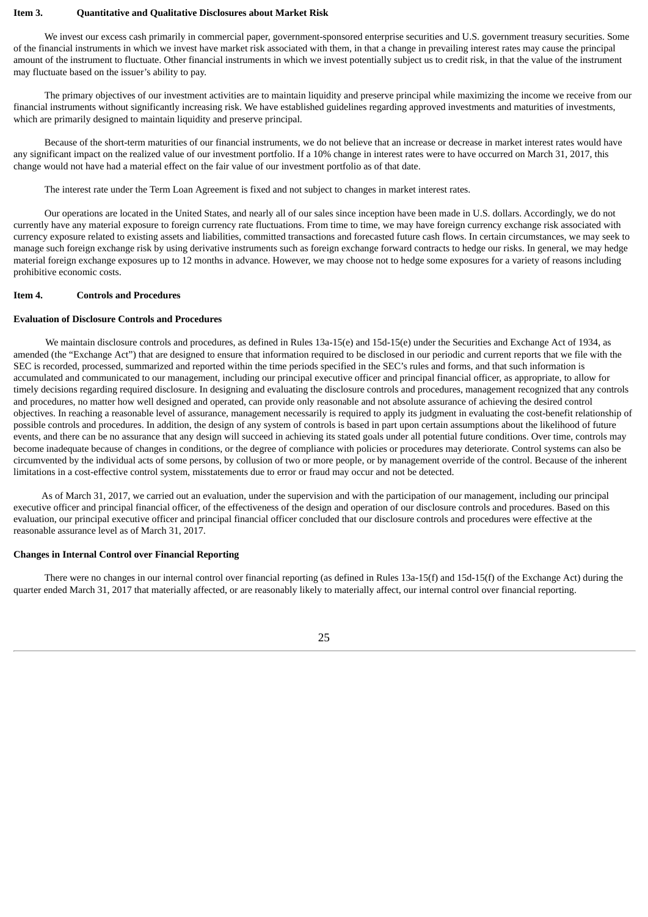#### <span id="page-26-0"></span>**Item 3. Quantitative and Qualitative Disclosures about Market Risk**

We invest our excess cash primarily in commercial paper, government-sponsored enterprise securities and U.S. government treasury securities. Some of the financial instruments in which we invest have market risk associated with them, in that a change in prevailing interest rates may cause the principal amount of the instrument to fluctuate. Other financial instruments in which we invest potentially subject us to credit risk, in that the value of the instrument may fluctuate based on the issuer's ability to pay.

The primary objectives of our investment activities are to maintain liquidity and preserve principal while maximizing the income we receive from our financial instruments without significantly increasing risk. We have established guidelines regarding approved investments and maturities of investments, which are primarily designed to maintain liquidity and preserve principal.

Because of the short-term maturities of our financial instruments, we do not believe that an increase or decrease in market interest rates would have any significant impact on the realized value of our investment portfolio. If a 10% change in interest rates were to have occurred on March 31, 2017, this change would not have had a material effect on the fair value of our investment portfolio as of that date.

The interest rate under the Term Loan Agreement is fixed and not subject to changes in market interest rates.

Our operations are located in the United States, and nearly all of our sales since inception have been made in U.S. dollars. Accordingly, we do not currently have any material exposure to foreign currency rate fluctuations. From time to time, we may have foreign currency exchange risk associated with currency exposure related to existing assets and liabilities, committed transactions and forecasted future cash flows. In certain circumstances, we may seek to manage such foreign exchange risk by using derivative instruments such as foreign exchange forward contracts to hedge our risks. In general, we may hedge material foreign exchange exposures up to 12 months in advance. However, we may choose not to hedge some exposures for a variety of reasons including prohibitive economic costs.

#### <span id="page-26-1"></span>**Item 4. Controls and Procedures**

#### **Evaluation of Disclosure Controls and Procedures**

We maintain disclosure controls and procedures, as defined in Rules 13a-15(e) and 15d-15(e) under the Securities and Exchange Act of 1934, as amended (the "Exchange Act") that are designed to ensure that information required to be disclosed in our periodic and current reports that we file with the SEC is recorded, processed, summarized and reported within the time periods specified in the SEC's rules and forms, and that such information is accumulated and communicated to our management, including our principal executive officer and principal financial officer, as appropriate, to allow for timely decisions regarding required disclosure. In designing and evaluating the disclosure controls and procedures, management recognized that any controls and procedures, no matter how well designed and operated, can provide only reasonable and not absolute assurance of achieving the desired control objectives. In reaching a reasonable level of assurance, management necessarily is required to apply its judgment in evaluating the cost-benefit relationship of possible controls and procedures. In addition, the design of any system of controls is based in part upon certain assumptions about the likelihood of future events, and there can be no assurance that any design will succeed in achieving its stated goals under all potential future conditions. Over time, controls may become inadequate because of changes in conditions, or the degree of compliance with policies or procedures may deteriorate. Control systems can also be circumvented by the individual acts of some persons, by collusion of two or more people, or by management override of the control. Because of the inherent limitations in a cost-effective control system, misstatements due to error or fraud may occur and not be detected.

As of March 31, 2017, we carried out an evaluation, under the supervision and with the participation of our management, including our principal executive officer and principal financial officer, of the effectiveness of the design and operation of our disclosure controls and procedures. Based on this evaluation, our principal executive officer and principal financial officer concluded that our disclosure controls and procedures were effective at the reasonable assurance level as of March 31, 2017.

#### **Changes in Internal Control over Financial Reporting**

There were no changes in our internal control over financial reporting (as defined in Rules 13a-15(f) and 15d-15(f) of the Exchange Act) during the quarter ended March 31, 2017 that materially affected, or are reasonably likely to materially affect, our internal control over financial reporting.

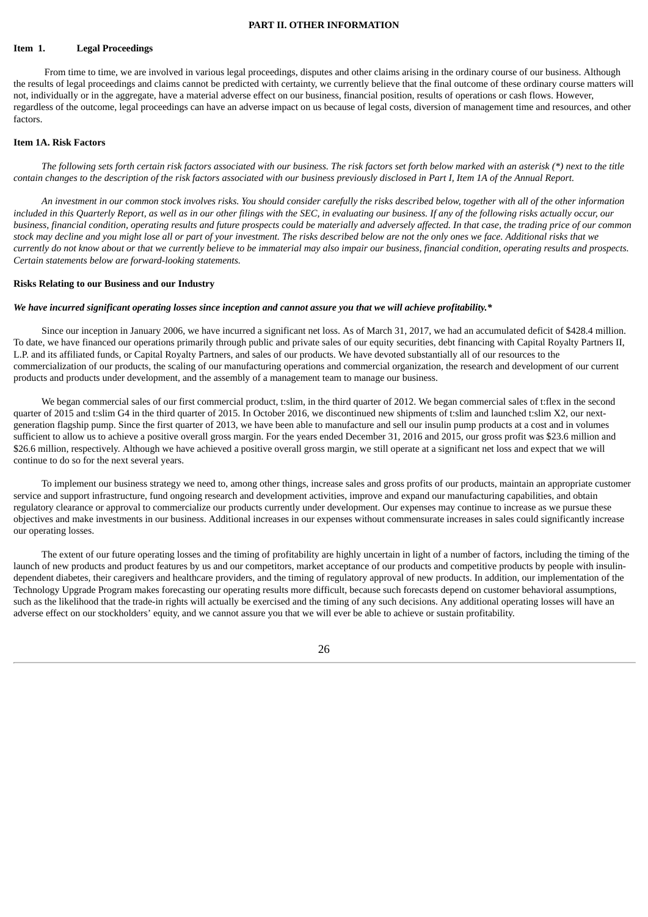#### **PART II. OTHER INFORMATION**

#### <span id="page-27-1"></span><span id="page-27-0"></span>**Item 1. Legal Proceedings**

From time to time, we are involved in various legal proceedings, disputes and other claims arising in the ordinary course of our business. Although the results of legal proceedings and claims cannot be predicted with certainty, we currently believe that the final outcome of these ordinary course matters will not, individually or in the aggregate, have a material adverse effect on our business, financial position, results of operations or cash flows. However, regardless of the outcome, legal proceedings can have an adverse impact on us because of legal costs, diversion of management time and resources, and other factors.

#### <span id="page-27-2"></span>**Item 1A. Risk Factors**

The following sets forth certain risk factors associated with our business. The risk factors set forth below marked with an asterisk  $(*)$  next to the title contain changes to the description of the risk factors associated with our business previously disclosed in Part I, Item 1A of the Annual Report.

An investment in our common stock involves risks. You should consider carefully the risks described below, together with all of the other information included in this Quarterly Report, as well as in our other filings with the SEC, in evaluating our business. If any of the following risks actually occur, our business, financial condition, operating results and future prospects could be materially and adversely affected. In that case, the trading price of our common stock may decline and you might lose all or part of your investment. The risks described below are not the only ones we face. Additional risks that we currently do not know about or that we currently believe to be immaterial may also impair our business, financial condition, operating results and prospects. *Certain statements below are forward-looking statements.*

#### **Risks Relating to our Business and our Industry**

## We have incurred significant operating losses since inception and cannot assure you that we will achieve profitability.\*

Since our inception in January 2006, we have incurred a significant net loss. As of March 31, 2017, we had an accumulated deficit of \$428.4 million. To date, we have financed our operations primarily through public and private sales of our equity securities, debt financing with Capital Royalty Partners II, L.P. and its affiliated funds, or Capital Royalty Partners, and sales of our products. We have devoted substantially all of our resources to the commercialization of our products, the scaling of our manufacturing operations and commercial organization, the research and development of our current products and products under development, and the assembly of a management team to manage our business.

We began commercial sales of our first commercial product, t:slim, in the third quarter of 2012. We began commercial sales of t:flex in the second quarter of 2015 and t:slim G4 in the third quarter of 2015. In October 2016, we discontinued new shipments of t:slim and launched t:slim X2, our nextgeneration flagship pump. Since the first quarter of 2013, we have been able to manufacture and sell our insulin pump products at a cost and in volumes sufficient to allow us to achieve a positive overall gross margin. For the years ended December 31, 2016 and 2015, our gross profit was \$23.6 million and \$26.6 million, respectively. Although we have achieved a positive overall gross margin, we still operate at a significant net loss and expect that we will continue to do so for the next several years.

To implement our business strategy we need to, among other things, increase sales and gross profits of our products, maintain an appropriate customer service and support infrastructure, fund ongoing research and development activities, improve and expand our manufacturing capabilities, and obtain regulatory clearance or approval to commercialize our products currently under development. Our expenses may continue to increase as we pursue these objectives and make investments in our business. Additional increases in our expenses without commensurate increases in sales could significantly increase our operating losses.

The extent of our future operating losses and the timing of profitability are highly uncertain in light of a number of factors, including the timing of the launch of new products and product features by us and our competitors, market acceptance of our products and competitive products by people with insulindependent diabetes, their caregivers and healthcare providers, and the timing of regulatory approval of new products. In addition, our implementation of the Technology Upgrade Program makes forecasting our operating results more difficult, because such forecasts depend on customer behavioral assumptions, such as the likelihood that the trade-in rights will actually be exercised and the timing of any such decisions. Any additional operating losses will have an adverse effect on our stockholders' equity, and we cannot assure you that we will ever be able to achieve or sustain profitability.

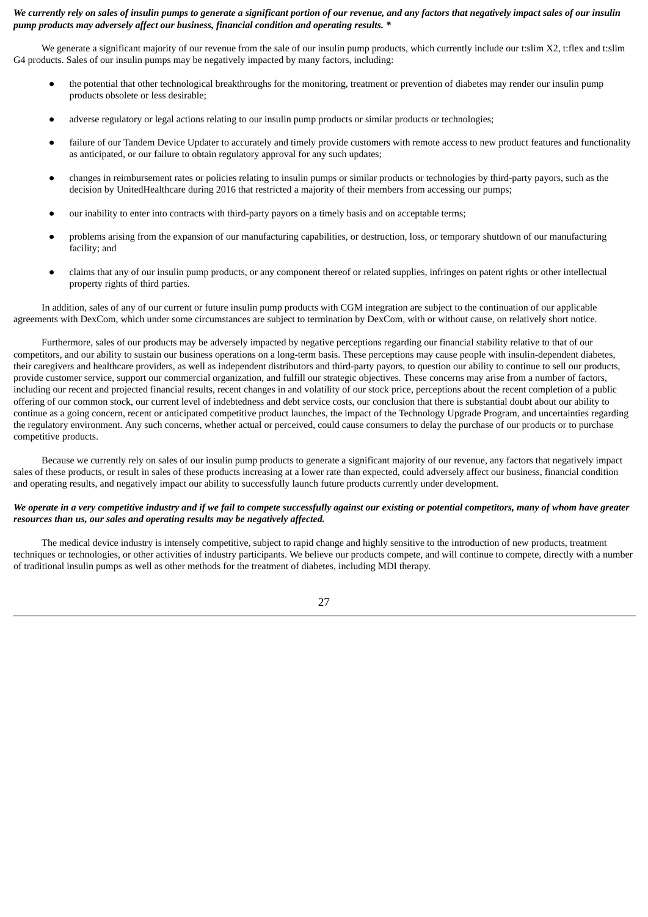## We currently rely on sales of insulin pumps to generate a significant portion of our revenue, and any factors that negatively impact sales of our insulin *pump products may adversely affect our business, financial condition and operating results. \**

We generate a significant majority of our revenue from the sale of our insulin pump products, which currently include our t:slim X2, t:flex and t:slim G4 products. Sales of our insulin pumps may be negatively impacted by many factors, including:

- the potential that other technological breakthroughs for the monitoring, treatment or prevention of diabetes may render our insulin pump products obsolete or less desirable;
- adverse regulatory or legal actions relating to our insulin pump products or similar products or technologies;
- failure of our Tandem Device Updater to accurately and timely provide customers with remote access to new product features and functionality as anticipated, or our failure to obtain regulatory approval for any such updates;
- changes in reimbursement rates or policies relating to insulin pumps or similar products or technologies by third-party payors, such as the decision by UnitedHealthcare during 2016 that restricted a majority of their members from accessing our pumps;
- our inability to enter into contracts with third-party payors on a timely basis and on acceptable terms;
- problems arising from the expansion of our manufacturing capabilities, or destruction, loss, or temporary shutdown of our manufacturing facility; and
- claims that any of our insulin pump products, or any component thereof or related supplies, infringes on patent rights or other intellectual property rights of third parties.

In addition, sales of any of our current or future insulin pump products with CGM integration are subject to the continuation of our applicable agreements with DexCom, which under some circumstances are subject to termination by DexCom, with or without cause, on relatively short notice.

Furthermore, sales of our products may be adversely impacted by negative perceptions regarding our financial stability relative to that of our competitors, and our ability to sustain our business operations on a long-term basis. These perceptions may cause people with insulin-dependent diabetes, their caregivers and healthcare providers, as well as independent distributors and third-party payors, to question our ability to continue to sell our products, provide customer service, support our commercial organization, and fulfill our strategic objectives. These concerns may arise from a number of factors, including our recent and projected financial results, recent changes in and volatility of our stock price, perceptions about the recent completion of a public offering of our common stock, our current level of indebtedness and debt service costs, our conclusion that there is substantial doubt about our ability to continue as a going concern, recent or anticipated competitive product launches, the impact of the Technology Upgrade Program, and uncertainties regarding the regulatory environment. Any such concerns, whether actual or perceived, could cause consumers to delay the purchase of our products or to purchase competitive products.

Because we currently rely on sales of our insulin pump products to generate a significant majority of our revenue, any factors that negatively impact sales of these products, or result in sales of these products increasing at a lower rate than expected, could adversely affect our business, financial condition and operating results, and negatively impact our ability to successfully launch future products currently under development.

## We operate in a very competitive industry and if we fail to compete successfully against our existing or potential competitors, many of whom have greater *resources than us, our sales and operating results may be negatively affected.*

The medical device industry is intensely competitive, subject to rapid change and highly sensitive to the introduction of new products, treatment techniques or technologies, or other activities of industry participants. We believe our products compete, and will continue to compete, directly with a number of traditional insulin pumps as well as other methods for the treatment of diabetes, including MDI therapy.

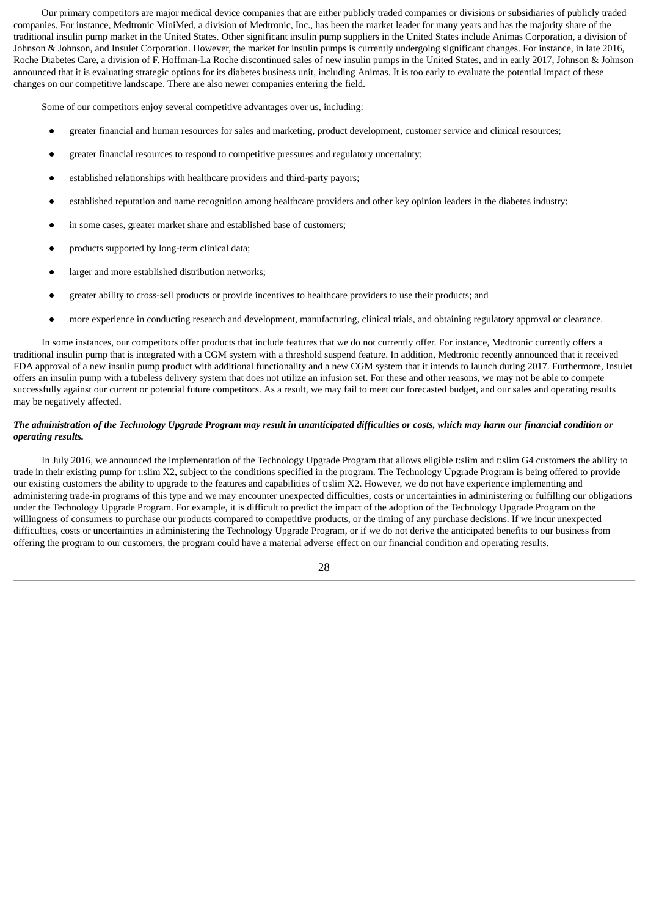Our primary competitors are major medical device companies that are either publicly traded companies or divisions or subsidiaries of publicly traded companies. For instance, Medtronic MiniMed, a division of Medtronic, Inc., has been the market leader for many years and has the majority share of the traditional insulin pump market in the United States. Other significant insulin pump suppliers in the United States include Animas Corporation, a division of Johnson & Johnson, and Insulet Corporation. However, the market for insulin pumps is currently undergoing significant changes. For instance, in late 2016, Roche Diabetes Care, a division of F. Hoffman-La Roche discontinued sales of new insulin pumps in the United States, and in early 2017, Johnson & Johnson announced that it is evaluating strategic options for its diabetes business unit, including Animas. It is too early to evaluate the potential impact of these changes on our competitive landscape. There are also newer companies entering the field.

Some of our competitors enjoy several competitive advantages over us, including:

- greater financial and human resources for sales and marketing, product development, customer service and clinical resources;
- greater financial resources to respond to competitive pressures and regulatory uncertainty;
- established relationships with healthcare providers and third-party payors;
- established reputation and name recognition among healthcare providers and other key opinion leaders in the diabetes industry;
- in some cases, greater market share and established base of customers;
- products supported by long-term clinical data;
- larger and more established distribution networks;
- greater ability to cross-sell products or provide incentives to healthcare providers to use their products; and
- more experience in conducting research and development, manufacturing, clinical trials, and obtaining regulatory approval or clearance.

In some instances, our competitors offer products that include features that we do not currently offer. For instance, Medtronic currently offers a traditional insulin pump that is integrated with a CGM system with a threshold suspend feature. In addition, Medtronic recently announced that it received FDA approval of a new insulin pump product with additional functionality and a new CGM system that it intends to launch during 2017. Furthermore, Insulet offers an insulin pump with a tubeless delivery system that does not utilize an infusion set. For these and other reasons, we may not be able to compete successfully against our current or potential future competitors. As a result, we may fail to meet our forecasted budget, and our sales and operating results may be negatively affected.

## The administration of the Technology Upgrade Program may result in unanticipated difficulties or costs, which may harm our financial condition or *operating results.*

In July 2016, we announced the implementation of the Technology Upgrade Program that allows eligible t:slim and t:slim G4 customers the ability to trade in their existing pump for t:slim X2, subject to the conditions specified in the program. The Technology Upgrade Program is being offered to provide our existing customers the ability to upgrade to the features and capabilities of t:slim X2. However, we do not have experience implementing and administering trade-in programs of this type and we may encounter unexpected difficulties, costs or uncertainties in administering or fulfilling our obligations under the Technology Upgrade Program. For example, it is difficult to predict the impact of the adoption of the Technology Upgrade Program on the willingness of consumers to purchase our products compared to competitive products, or the timing of any purchase decisions. If we incur unexpected difficulties, costs or uncertainties in administering the Technology Upgrade Program, or if we do not derive the anticipated benefits to our business from offering the program to our customers, the program could have a material adverse effect on our financial condition and operating results.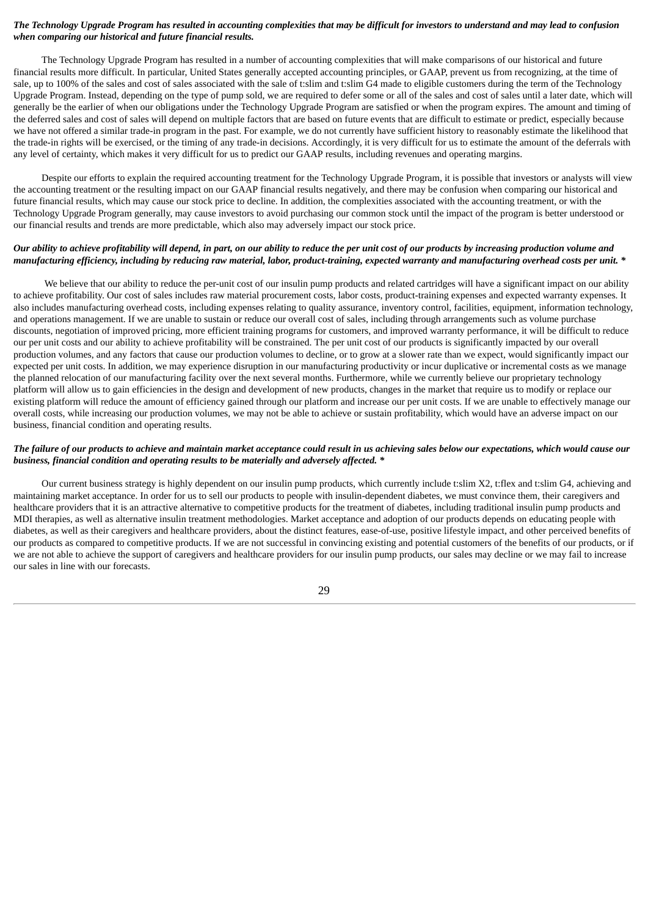## The Technology Upgrade Program has resulted in accounting complexities that may be difficult for investors to understand and may lead to confusion *when comparing our historical and future financial results.*

The Technology Upgrade Program has resulted in a number of accounting complexities that will make comparisons of our historical and future financial results more difficult. In particular, United States generally accepted accounting principles, or GAAP, prevent us from recognizing, at the time of sale, up to 100% of the sales and cost of sales associated with the sale of t:slim and t:slim G4 made to eligible customers during the term of the Technology Upgrade Program. Instead, depending on the type of pump sold, we are required to defer some or all of the sales and cost of sales until a later date, which will generally be the earlier of when our obligations under the Technology Upgrade Program are satisfied or when the program expires. The amount and timing of the deferred sales and cost of sales will depend on multiple factors that are based on future events that are difficult to estimate or predict, especially because we have not offered a similar trade-in program in the past. For example, we do not currently have sufficient history to reasonably estimate the likelihood that the trade-in rights will be exercised, or the timing of any trade-in decisions. Accordingly, it is very difficult for us to estimate the amount of the deferrals with any level of certainty, which makes it very difficult for us to predict our GAAP results, including revenues and operating margins.

Despite our efforts to explain the required accounting treatment for the Technology Upgrade Program, it is possible that investors or analysts will view the accounting treatment or the resulting impact on our GAAP financial results negatively, and there may be confusion when comparing our historical and future financial results, which may cause our stock price to decline. In addition, the complexities associated with the accounting treatment, or with the Technology Upgrade Program generally, may cause investors to avoid purchasing our common stock until the impact of the program is better understood or our financial results and trends are more predictable, which also may adversely impact our stock price.

## Our ability to achieve profitability will depend, in part, on our ability to reduce the per unit cost of our products by increasing production volume and manufacturing efficiency, including by reducing raw material, labor, product-training, expected warranty and manufacturing overhead costs per unit. \*

We believe that our ability to reduce the per-unit cost of our insulin pump products and related cartridges will have a significant impact on our ability to achieve profitability. Our cost of sales includes raw material procurement costs, labor costs, product-training expenses and expected warranty expenses. It also includes manufacturing overhead costs, including expenses relating to quality assurance, inventory control, facilities, equipment, information technology, and operations management. If we are unable to sustain or reduce our overall cost of sales, including through arrangements such as volume purchase discounts, negotiation of improved pricing, more efficient training programs for customers, and improved warranty performance, it will be difficult to reduce our per unit costs and our ability to achieve profitability will be constrained. The per unit cost of our products is significantly impacted by our overall production volumes, and any factors that cause our production volumes to decline, or to grow at a slower rate than we expect, would significantly impact our expected per unit costs. In addition, we may experience disruption in our manufacturing productivity or incur duplicative or incremental costs as we manage the planned relocation of our manufacturing facility over the next several months. Furthermore, while we currently believe our proprietary technology platform will allow us to gain efficiencies in the design and development of new products, changes in the market that require us to modify or replace our existing platform will reduce the amount of efficiency gained through our platform and increase our per unit costs. If we are unable to effectively manage our overall costs, while increasing our production volumes, we may not be able to achieve or sustain profitability, which would have an adverse impact on our business, financial condition and operating results.

## The failure of our products to achieve and maintain market acceptance could result in us achievina sales below our expectations, which would cause our *business, financial condition and operating results to be materially and adversely affected. \**

Our current business strategy is highly dependent on our insulin pump products, which currently include t:slim X2, t:flex and t:slim G4, achieving and maintaining market acceptance. In order for us to sell our products to people with insulin-dependent diabetes, we must convince them, their caregivers and healthcare providers that it is an attractive alternative to competitive products for the treatment of diabetes, including traditional insulin pump products and MDI therapies, as well as alternative insulin treatment methodologies. Market acceptance and adoption of our products depends on educating people with diabetes, as well as their caregivers and healthcare providers, about the distinct features, ease-of-use, positive lifestyle impact, and other perceived benefits of our products as compared to competitive products. If we are not successful in convincing existing and potential customers of the benefits of our products, or if we are not able to achieve the support of caregivers and healthcare providers for our insulin pump products, our sales may decline or we may fail to increase our sales in line with our forecasts.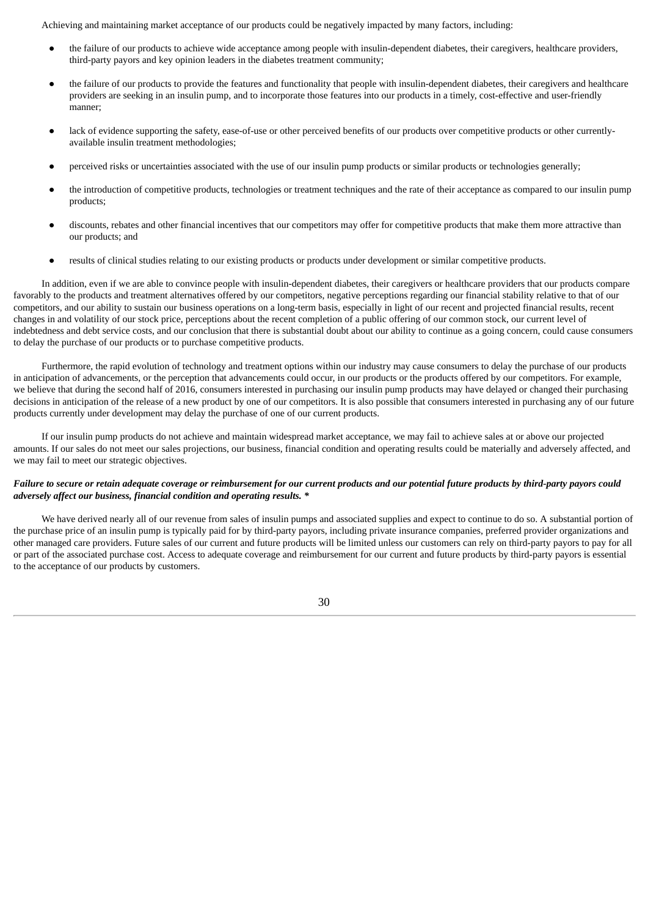Achieving and maintaining market acceptance of our products could be negatively impacted by many factors, including:

- the failure of our products to achieve wide acceptance among people with insulin-dependent diabetes, their caregivers, healthcare providers, third-party payors and key opinion leaders in the diabetes treatment community;
- the failure of our products to provide the features and functionality that people with insulin-dependent diabetes, their caregivers and healthcare providers are seeking in an insulin pump, and to incorporate those features into our products in a timely, cost-effective and user-friendly manner;
- lack of evidence supporting the safety, ease-of-use or other perceived benefits of our products over competitive products or other currentlyavailable insulin treatment methodologies;
- perceived risks or uncertainties associated with the use of our insulin pump products or similar products or technologies generally;
- the introduction of competitive products, technologies or treatment techniques and the rate of their acceptance as compared to our insulin pump products;
- discounts, rebates and other financial incentives that our competitors may offer for competitive products that make them more attractive than our products; and
- results of clinical studies relating to our existing products or products under development or similar competitive products.

In addition, even if we are able to convince people with insulin-dependent diabetes, their caregivers or healthcare providers that our products compare favorably to the products and treatment alternatives offered by our competitors, negative perceptions regarding our financial stability relative to that of our competitors, and our ability to sustain our business operations on a long-term basis, especially in light of our recent and projected financial results, recent changes in and volatility of our stock price, perceptions about the recent completion of a public offering of our common stock, our current level of indebtedness and debt service costs, and our conclusion that there is substantial doubt about our ability to continue as a going concern, could cause consumers to delay the purchase of our products or to purchase competitive products.

Furthermore, the rapid evolution of technology and treatment options within our industry may cause consumers to delay the purchase of our products in anticipation of advancements, or the perception that advancements could occur, in our products or the products offered by our competitors. For example, we believe that during the second half of 2016, consumers interested in purchasing our insulin pump products may have delayed or changed their purchasing decisions in anticipation of the release of a new product by one of our competitors. It is also possible that consumers interested in purchasing any of our future products currently under development may delay the purchase of one of our current products.

If our insulin pump products do not achieve and maintain widespread market acceptance, we may fail to achieve sales at or above our projected amounts. If our sales do not meet our sales projections, our business, financial condition and operating results could be materially and adversely affected, and we may fail to meet our strategic objectives.

## Failure to secure or retain adequate coverage or reimbursement for our current products and our potential future products by third-party payors could *adversely affect our business, financial condition and operating results. \**

We have derived nearly all of our revenue from sales of insulin pumps and associated supplies and expect to continue to do so. A substantial portion of the purchase price of an insulin pump is typically paid for by third-party payors, including private insurance companies, preferred provider organizations and other managed care providers. Future sales of our current and future products will be limited unless our customers can rely on third-party payors to pay for all or part of the associated purchase cost. Access to adequate coverage and reimbursement for our current and future products by third-party payors is essential to the acceptance of our products by customers.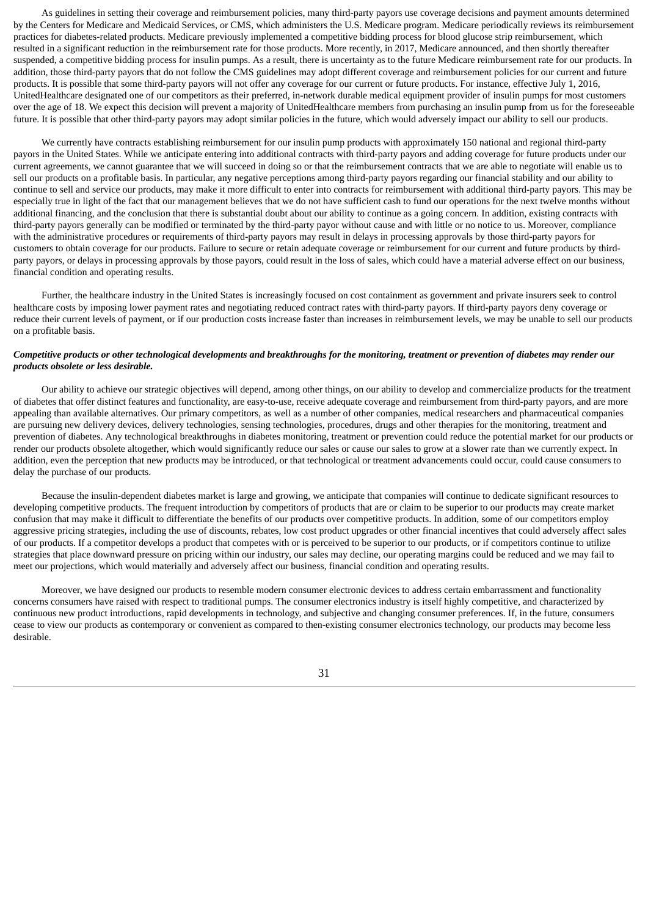As guidelines in setting their coverage and reimbursement policies, many third-party payors use coverage decisions and payment amounts determined by the Centers for Medicare and Medicaid Services, or CMS, which administers the U.S. Medicare program. Medicare periodically reviews its reimbursement practices for diabetes-related products. Medicare previously implemented a competitive bidding process for blood glucose strip reimbursement, which resulted in a significant reduction in the reimbursement rate for those products. More recently, in 2017, Medicare announced, and then shortly thereafter suspended, a competitive bidding process for insulin pumps. As a result, there is uncertainty as to the future Medicare reimbursement rate for our products. In addition, those third-party payors that do not follow the CMS guidelines may adopt different coverage and reimbursement policies for our current and future products. It is possible that some third-party payors will not offer any coverage for our current or future products. For instance, effective July 1, 2016, UnitedHealthcare designated one of our competitors as their preferred, in-network durable medical equipment provider of insulin pumps for most customers over the age of 18. We expect this decision will prevent a majority of UnitedHealthcare members from purchasing an insulin pump from us for the foreseeable future. It is possible that other third-party payors may adopt similar policies in the future, which would adversely impact our ability to sell our products.

We currently have contracts establishing reimbursement for our insulin pump products with approximately 150 national and regional third-party payors in the United States. While we anticipate entering into additional contracts with third-party payors and adding coverage for future products under our current agreements, we cannot guarantee that we will succeed in doing so or that the reimbursement contracts that we are able to negotiate will enable us to sell our products on a profitable basis. In particular, any negative perceptions among third-party payors regarding our financial stability and our ability to continue to sell and service our products, may make it more difficult to enter into contracts for reimbursement with additional third-party payors. This may be especially true in light of the fact that our management believes that we do not have sufficient cash to fund our operations for the next twelve months without additional financing, and the conclusion that there is substantial doubt about our ability to continue as a going concern. In addition, existing contracts with third-party payors generally can be modified or terminated by the third-party payor without cause and with little or no notice to us. Moreover, compliance with the administrative procedures or requirements of third-party payors may result in delays in processing approvals by those third-party payors for customers to obtain coverage for our products. Failure to secure or retain adequate coverage or reimbursement for our current and future products by thirdparty payors, or delays in processing approvals by those payors, could result in the loss of sales, which could have a material adverse effect on our business, financial condition and operating results.

Further, the healthcare industry in the United States is increasingly focused on cost containment as government and private insurers seek to control healthcare costs by imposing lower payment rates and negotiating reduced contract rates with third-party payors. If third-party payors deny coverage or reduce their current levels of payment, or if our production costs increase faster than increases in reimbursement levels, we may be unable to sell our products on a profitable basis.

## Competitive products or other technological developments and breakthroughs for the monitoring, treatment or prevention of diabetes may render our *products obsolete or less desirable.*

Our ability to achieve our strategic objectives will depend, among other things, on our ability to develop and commercialize products for the treatment of diabetes that offer distinct features and functionality, are easy-to-use, receive adequate coverage and reimbursement from third-party payors, and are more appealing than available alternatives. Our primary competitors, as well as a number of other companies, medical researchers and pharmaceutical companies are pursuing new delivery devices, delivery technologies, sensing technologies, procedures, drugs and other therapies for the monitoring, treatment and prevention of diabetes. Any technological breakthroughs in diabetes monitoring, treatment or prevention could reduce the potential market for our products or render our products obsolete altogether, which would significantly reduce our sales or cause our sales to grow at a slower rate than we currently expect. In addition, even the perception that new products may be introduced, or that technological or treatment advancements could occur, could cause consumers to delay the purchase of our products.

Because the insulin-dependent diabetes market is large and growing, we anticipate that companies will continue to dedicate significant resources to developing competitive products. The frequent introduction by competitors of products that are or claim to be superior to our products may create market confusion that may make it difficult to differentiate the benefits of our products over competitive products. In addition, some of our competitors employ aggressive pricing strategies, including the use of discounts, rebates, low cost product upgrades or other financial incentives that could adversely affect sales of our products. If a competitor develops a product that competes with or is perceived to be superior to our products, or if competitors continue to utilize strategies that place downward pressure on pricing within our industry, our sales may decline, our operating margins could be reduced and we may fail to meet our projections, which would materially and adversely affect our business, financial condition and operating results.

Moreover, we have designed our products to resemble modern consumer electronic devices to address certain embarrassment and functionality concerns consumers have raised with respect to traditional pumps. The consumer electronics industry is itself highly competitive, and characterized by continuous new product introductions, rapid developments in technology, and subjective and changing consumer preferences. If, in the future, consumers cease to view our products as contemporary or convenient as compared to then-existing consumer electronics technology, our products may become less desirable.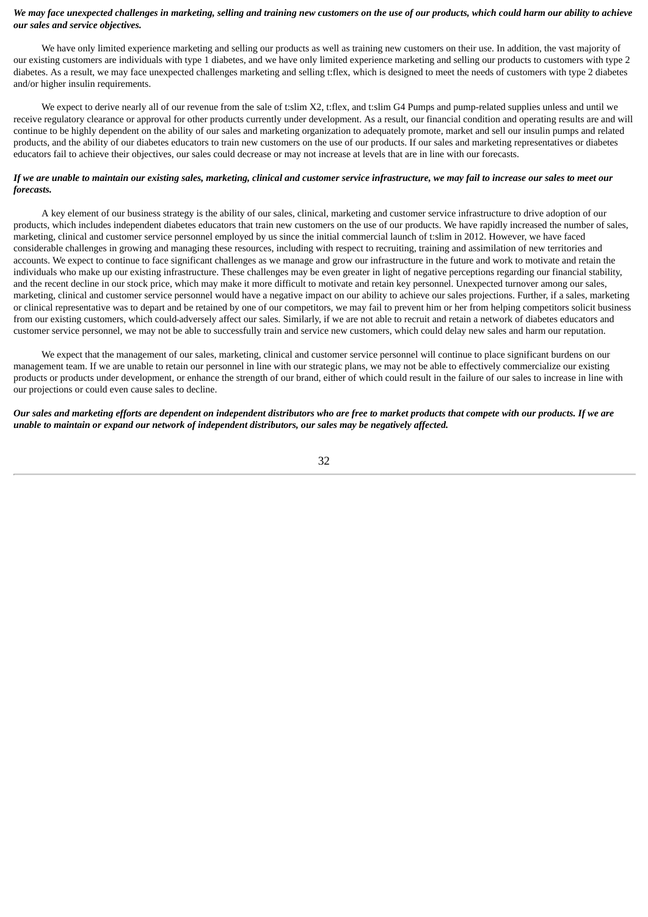## We may face unexpected challenges in marketing, selling and training new customers on the use of our products, which could harm our ability to achieve *our sales and service objectives.*

We have only limited experience marketing and selling our products as well as training new customers on their use. In addition, the vast majority of our existing customers are individuals with type 1 diabetes, and we have only limited experience marketing and selling our products to customers with type 2 diabetes. As a result, we may face unexpected challenges marketing and selling t:flex, which is designed to meet the needs of customers with type 2 diabetes and/or higher insulin requirements.

We expect to derive nearly all of our revenue from the sale of t:slim X2, t:flex, and t:slim G4 Pumps and pump-related supplies unless and until we receive regulatory clearance or approval for other products currently under development. As a result, our financial condition and operating results are and will continue to be highly dependent on the ability of our sales and marketing organization to adequately promote, market and sell our insulin pumps and related products, and the ability of our diabetes educators to train new customers on the use of our products. If our sales and marketing representatives or diabetes educators fail to achieve their objectives, our sales could decrease or may not increase at levels that are in line with our forecasts.

## If we are unable to maintain our existing sales, marketing, clinical and customer service infrastructure, we may fail to increase our sales to meet our *forecasts.*

A key element of our business strategy is the ability of our sales, clinical, marketing and customer service infrastructure to drive adoption of our products, which includes independent diabetes educators that train new customers on the use of our products. We have rapidly increased the number of sales, marketing, clinical and customer service personnel employed by us since the initial commercial launch of t:slim in 2012. However, we have faced considerable challenges in growing and managing these resources, including with respect to recruiting, training and assimilation of new territories and accounts. We expect to continue to face significant challenges as we manage and grow our infrastructure in the future and work to motivate and retain the individuals who make up our existing infrastructure. These challenges may be even greater in light of negative perceptions regarding our financial stability, and the recent decline in our stock price, which may make it more difficult to motivate and retain key personnel. Unexpected turnover among our sales, marketing, clinical and customer service personnel would have a negative impact on our ability to achieve our sales projections. Further, if a sales, marketing or clinical representative was to depart and be retained by one of our competitors, we may fail to prevent him or her from helping competitors solicit business from our existing customers, which could-adversely affect our sales. Similarly, if we are not able to recruit and retain a network of diabetes educators and customer service personnel, we may not be able to successfully train and service new customers, which could delay new sales and harm our reputation.

We expect that the management of our sales, marketing, clinical and customer service personnel will continue to place significant burdens on our management team. If we are unable to retain our personnel in line with our strategic plans, we may not be able to effectively commercialize our existing products or products under development, or enhance the strength of our brand, either of which could result in the failure of our sales to increase in line with our projections or could even cause sales to decline.

Our sales and marketing efforts are dependent on independent distributors who are free to market products that compete with our products. If we are *unable to maintain or expand our network of independent distributors, our sales may be negatively affected.*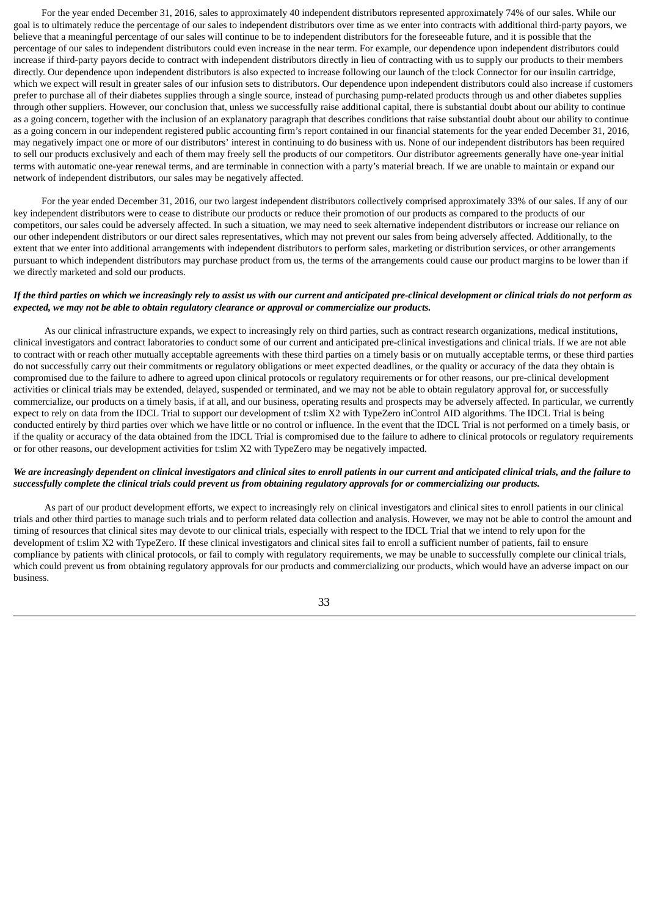For the year ended December 31, 2016, sales to approximately 40 independent distributors represented approximately 74% of our sales. While our goal is to ultimately reduce the percentage of our sales to independent distributors over time as we enter into contracts with additional third-party payors, we believe that a meaningful percentage of our sales will continue to be to independent distributors for the foreseeable future, and it is possible that the percentage of our sales to independent distributors could even increase in the near term. For example, our dependence upon independent distributors could increase if third-party payors decide to contract with independent distributors directly in lieu of contracting with us to supply our products to their members directly. Our dependence upon independent distributors is also expected to increase following our launch of the t:lock Connector for our insulin cartridge, which we expect will result in greater sales of our infusion sets to distributors. Our dependence upon independent distributors could also increase if customers prefer to purchase all of their diabetes supplies through a single source, instead of purchasing pump-related products through us and other diabetes supplies through other suppliers. However, our conclusion that, unless we successfully raise additional capital, there is substantial doubt about our ability to continue as a going concern, together with the inclusion of an explanatory paragraph that describes conditions that raise substantial doubt about our ability to continue as a going concern in our independent registered public accounting firm's report contained in our financial statements for the year ended December 31, 2016, may negatively impact one or more of our distributors' interest in continuing to do business with us. None of our independent distributors has been required to sell our products exclusively and each of them may freely sell the products of our competitors. Our distributor agreements generally have one-year initial terms with automatic one-year renewal terms, and are terminable in connection with a party's material breach. If we are unable to maintain or expand our network of independent distributors, our sales may be negatively affected.

For the year ended December 31, 2016, our two largest independent distributors collectively comprised approximately 33% of our sales. If any of our key independent distributors were to cease to distribute our products or reduce their promotion of our products as compared to the products of our competitors, our sales could be adversely affected. In such a situation, we may need to seek alternative independent distributors or increase our reliance on our other independent distributors or our direct sales representatives, which may not prevent our sales from being adversely affected. Additionally, to the extent that we enter into additional arrangements with independent distributors to perform sales, marketing or distribution services, or other arrangements pursuant to which independent distributors may purchase product from us, the terms of the arrangements could cause our product margins to be lower than if we directly marketed and sold our products.

#### If the third parties on which we increasingly rely to assist us with our current and anticipated pre-clinical development or clinical trials do not perform as *expected, we may not be able to obtain regulatory clearance or approval or commercialize our products.*

As our clinical infrastructure expands, we expect to increasingly rely on third parties, such as contract research organizations, medical institutions, clinical investigators and contract laboratories to conduct some of our current and anticipated pre-clinical investigations and clinical trials. If we are not able to contract with or reach other mutually acceptable agreements with these third parties on a timely basis or on mutually acceptable terms, or these third parties do not successfully carry out their commitments or regulatory obligations or meet expected deadlines, or the quality or accuracy of the data they obtain is compromised due to the failure to adhere to agreed upon clinical protocols or regulatory requirements or for other reasons, our pre-clinical development activities or clinical trials may be extended, delayed, suspended or terminated, and we may not be able to obtain regulatory approval for, or successfully commercialize, our products on a timely basis, if at all, and our business, operating results and prospects may be adversely affected. In particular, we currently expect to rely on data from the IDCL Trial to support our development of t:slim X2 with TypeZero inControl AID algorithms. The IDCL Trial is being conducted entirely by third parties over which we have little or no control or influence. In the event that the IDCL Trial is not performed on a timely basis, or if the quality or accuracy of the data obtained from the IDCL Trial is compromised due to the failure to adhere to clinical protocols or regulatory requirements or for other reasons, our development activities for t:slim X2 with TypeZero may be negatively impacted.

## We are increasingly dependent on clinical investigators and clinical sites to enroll patients in our current and anticipated clinical trials, and the failure to successfully complete the clinical trials could prevent us from obtaining regulatory approvals for or commercializing our products.

As part of our product development efforts, we expect to increasingly rely on clinical investigators and clinical sites to enroll patients in our clinical trials and other third parties to manage such trials and to perform related data collection and analysis. However, we may not be able to control the amount and timing of resources that clinical sites may devote to our clinical trials, especially with respect to the IDCL Trial that we intend to rely upon for the development of t:slim X2 with TypeZero. If these clinical investigators and clinical sites fail to enroll a sufficient number of patients, fail to ensure compliance by patients with clinical protocols, or fail to comply with regulatory requirements, we may be unable to successfully complete our clinical trials, which could prevent us from obtaining regulatory approvals for our products and commercializing our products, which would have an adverse impact on our business.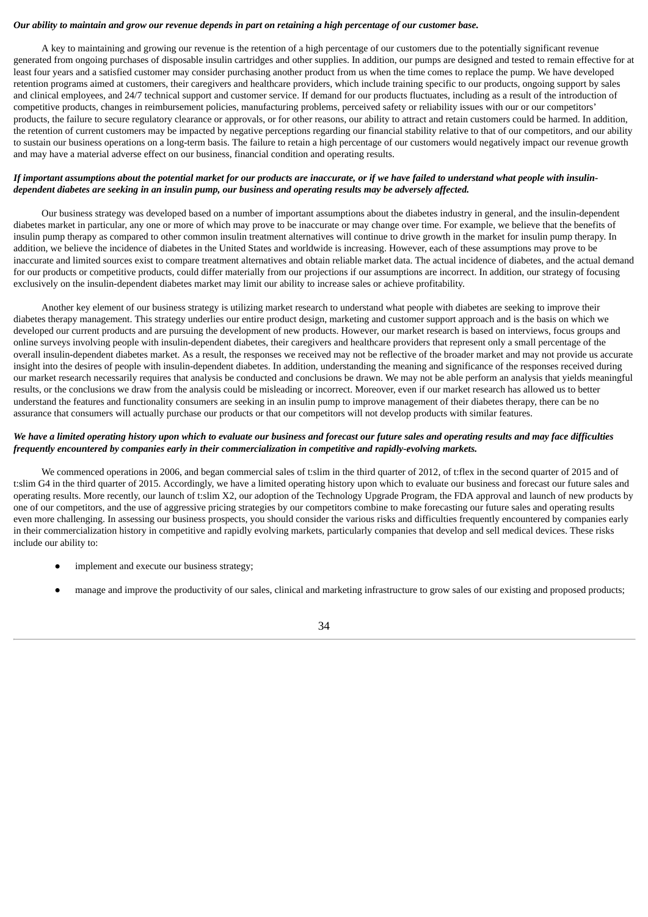#### Our ability to maintain and grow our revenue depends in part on retaining a high percentage of our customer base.

A key to maintaining and growing our revenue is the retention of a high percentage of our customers due to the potentially significant revenue generated from ongoing purchases of disposable insulin cartridges and other supplies. In addition, our pumps are designed and tested to remain effective for at least four years and a satisfied customer may consider purchasing another product from us when the time comes to replace the pump. We have developed retention programs aimed at customers, their caregivers and healthcare providers, which include training specific to our products, ongoing support by sales and clinical employees, and 24/7 technical support and customer service. If demand for our products fluctuates, including as a result of the introduction of competitive products, changes in reimbursement policies, manufacturing problems, perceived safety or reliability issues with our or our competitors' products, the failure to secure regulatory clearance or approvals, or for other reasons, our ability to attract and retain customers could be harmed. In addition, the retention of current customers may be impacted by negative perceptions regarding our financial stability relative to that of our competitors, and our ability to sustain our business operations on a long-term basis. The failure to retain a high percentage of our customers would negatively impact our revenue growth and may have a material adverse effect on our business, financial condition and operating results.

## If important assumptions about the potential market for our products are inaccurate, or if we have failed to understand what people with insulindependent diabetes are seeking in an insulin pump, our business and operating results may be adversely affected.

Our business strategy was developed based on a number of important assumptions about the diabetes industry in general, and the insulin-dependent diabetes market in particular, any one or more of which may prove to be inaccurate or may change over time. For example, we believe that the benefits of insulin pump therapy as compared to other common insulin treatment alternatives will continue to drive growth in the market for insulin pump therapy. In addition, we believe the incidence of diabetes in the United States and worldwide is increasing. However, each of these assumptions may prove to be inaccurate and limited sources exist to compare treatment alternatives and obtain reliable market data. The actual incidence of diabetes, and the actual demand for our products or competitive products, could differ materially from our projections if our assumptions are incorrect. In addition, our strategy of focusing exclusively on the insulin-dependent diabetes market may limit our ability to increase sales or achieve profitability.

Another key element of our business strategy is utilizing market research to understand what people with diabetes are seeking to improve their diabetes therapy management. This strategy underlies our entire product design, marketing and customer support approach and is the basis on which we developed our current products and are pursuing the development of new products. However, our market research is based on interviews, focus groups and online surveys involving people with insulin-dependent diabetes, their caregivers and healthcare providers that represent only a small percentage of the overall insulin-dependent diabetes market. As a result, the responses we received may not be reflective of the broader market and may not provide us accurate insight into the desires of people with insulin-dependent diabetes. In addition, understanding the meaning and significance of the responses received during our market research necessarily requires that analysis be conducted and conclusions be drawn. We may not be able perform an analysis that yields meaningful results, or the conclusions we draw from the analysis could be misleading or incorrect. Moreover, even if our market research has allowed us to better understand the features and functionality consumers are seeking in an insulin pump to improve management of their diabetes therapy, there can be no assurance that consumers will actually purchase our products or that our competitors will not develop products with similar features.

## We have a limited operating history upon which to evaluate our business and forecast our future sales and operating results and may face difficulties *frequently encountered by companies early in their commercialization in competitive and rapidly-evolving markets.*

We commenced operations in 2006, and began commercial sales of t:slim in the third quarter of 2012, of t:flex in the second quarter of 2015 and of t:slim G4 in the third quarter of 2015. Accordingly, we have a limited operating history upon which to evaluate our business and forecast our future sales and operating results. More recently, our launch of t:slim X2, our adoption of the Technology Upgrade Program, the FDA approval and launch of new products by one of our competitors, and the use of aggressive pricing strategies by our competitors combine to make forecasting our future sales and operating results even more challenging. In assessing our business prospects, you should consider the various risks and difficulties frequently encountered by companies early in their commercialization history in competitive and rapidly evolving markets, particularly companies that develop and sell medical devices. These risks include our ability to:

- implement and execute our business strategy;
- manage and improve the productivity of our sales, clinical and marketing infrastructure to grow sales of our existing and proposed products;

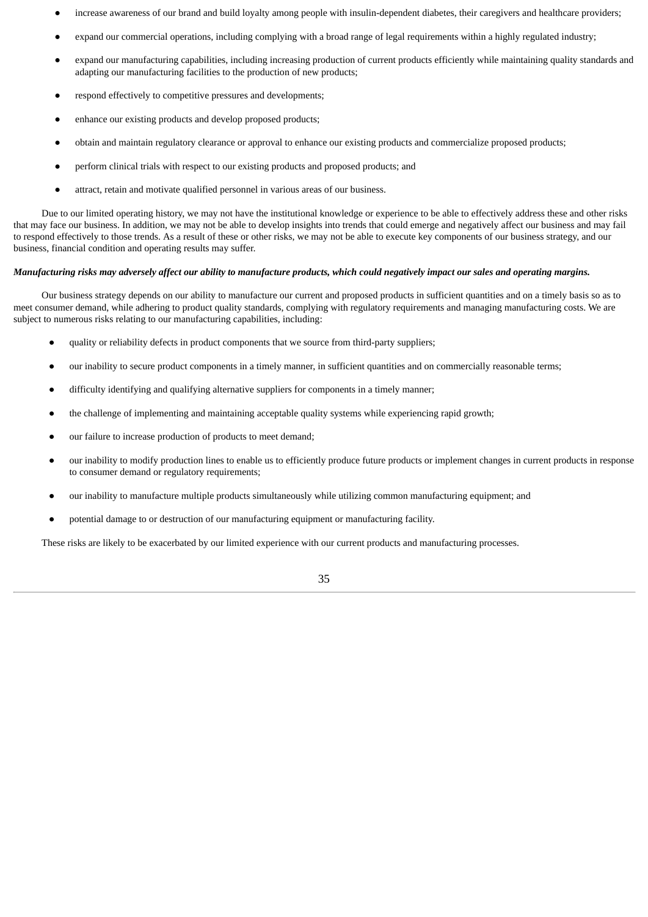- increase awareness of our brand and build loyalty among people with insulin-dependent diabetes, their caregivers and healthcare providers;
- expand our commercial operations, including complying with a broad range of legal requirements within a highly regulated industry;
- expand our manufacturing capabilities, including increasing production of current products efficiently while maintaining quality standards and adapting our manufacturing facilities to the production of new products;
- respond effectively to competitive pressures and developments;
- enhance our existing products and develop proposed products;
- obtain and maintain regulatory clearance or approval to enhance our existing products and commercialize proposed products;
- perform clinical trials with respect to our existing products and proposed products; and
- attract, retain and motivate qualified personnel in various areas of our business.

Due to our limited operating history, we may not have the institutional knowledge or experience to be able to effectively address these and other risks that may face our business. In addition, we may not be able to develop insights into trends that could emerge and negatively affect our business and may fail to respond effectively to those trends. As a result of these or other risks, we may not be able to execute key components of our business strategy, and our business, financial condition and operating results may suffer.

## Manufacturing risks may adversely affect our ability to manufacture products, which could negatively impact our sales and operating margins.

Our business strategy depends on our ability to manufacture our current and proposed products in sufficient quantities and on a timely basis so as to meet consumer demand, while adhering to product quality standards, complying with regulatory requirements and managing manufacturing costs. We are subject to numerous risks relating to our manufacturing capabilities, including:

- quality or reliability defects in product components that we source from third-party suppliers;
- our inability to secure product components in a timely manner, in sufficient quantities and on commercially reasonable terms;
- difficulty identifying and qualifying alternative suppliers for components in a timely manner;
- the challenge of implementing and maintaining acceptable quality systems while experiencing rapid growth;
- our failure to increase production of products to meet demand;
- our inability to modify production lines to enable us to efficiently produce future products or implement changes in current products in response to consumer demand or regulatory requirements;
- our inability to manufacture multiple products simultaneously while utilizing common manufacturing equipment; and
- potential damage to or destruction of our manufacturing equipment or manufacturing facility.

These risks are likely to be exacerbated by our limited experience with our current products and manufacturing processes.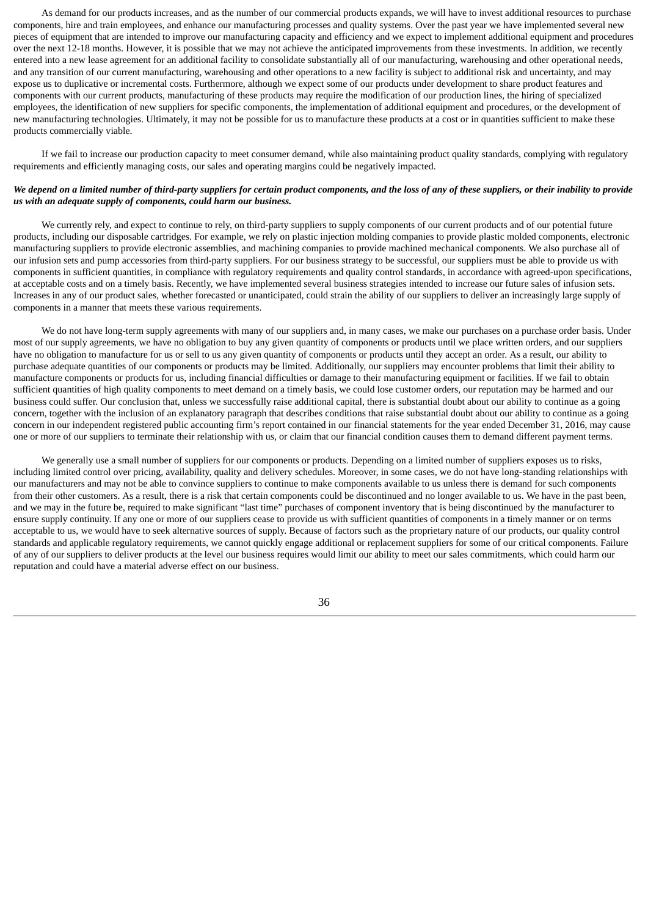As demand for our products increases, and as the number of our commercial products expands, we will have to invest additional resources to purchase components, hire and train employees, and enhance our manufacturing processes and quality systems. Over the past year we have implemented several new pieces of equipment that are intended to improve our manufacturing capacity and efficiency and we expect to implement additional equipment and procedures over the next 12-18 months. However, it is possible that we may not achieve the anticipated improvements from these investments. In addition, we recently entered into a new lease agreement for an additional facility to consolidate substantially all of our manufacturing, warehousing and other operational needs, and any transition of our current manufacturing, warehousing and other operations to a new facility is subject to additional risk and uncertainty, and may expose us to duplicative or incremental costs. Furthermore, although we expect some of our products under development to share product features and components with our current products, manufacturing of these products may require the modification of our production lines, the hiring of specialized employees, the identification of new suppliers for specific components, the implementation of additional equipment and procedures, or the development of new manufacturing technologies. Ultimately, it may not be possible for us to manufacture these products at a cost or in quantities sufficient to make these products commercially viable.

If we fail to increase our production capacity to meet consumer demand, while also maintaining product quality standards, complying with regulatory requirements and efficiently managing costs, our sales and operating margins could be negatively impacted.

## We depend on a limited number of third-party suppliers for certain product components, and the loss of any of these suppliers, or their inability to provide *us with an adequate supply of components, could harm our business.*

We currently rely, and expect to continue to rely, on third-party suppliers to supply components of our current products and of our potential future products, including our disposable cartridges. For example, we rely on plastic injection molding companies to provide plastic molded components, electronic manufacturing suppliers to provide electronic assemblies, and machining companies to provide machined mechanical components. We also purchase all of our infusion sets and pump accessories from third-party suppliers. For our business strategy to be successful, our suppliers must be able to provide us with components in sufficient quantities, in compliance with regulatory requirements and quality control standards, in accordance with agreed-upon specifications, at acceptable costs and on a timely basis. Recently, we have implemented several business strategies intended to increase our future sales of infusion sets. Increases in any of our product sales, whether forecasted or unanticipated, could strain the ability of our suppliers to deliver an increasingly large supply of components in a manner that meets these various requirements.

We do not have long-term supply agreements with many of our suppliers and, in many cases, we make our purchases on a purchase order basis. Under most of our supply agreements, we have no obligation to buy any given quantity of components or products until we place written orders, and our suppliers have no obligation to manufacture for us or sell to us any given quantity of components or products until they accept an order. As a result, our ability to purchase adequate quantities of our components or products may be limited. Additionally, our suppliers may encounter problems that limit their ability to manufacture components or products for us, including financial difficulties or damage to their manufacturing equipment or facilities. If we fail to obtain sufficient quantities of high quality components to meet demand on a timely basis, we could lose customer orders, our reputation may be harmed and our business could suffer. Our conclusion that, unless we successfully raise additional capital, there is substantial doubt about our ability to continue as a going concern, together with the inclusion of an explanatory paragraph that describes conditions that raise substantial doubt about our ability to continue as a going concern in our independent registered public accounting firm's report contained in our financial statements for the year ended December 31, 2016, may cause one or more of our suppliers to terminate their relationship with us, or claim that our financial condition causes them to demand different payment terms.

We generally use a small number of suppliers for our components or products. Depending on a limited number of suppliers exposes us to risks, including limited control over pricing, availability, quality and delivery schedules. Moreover, in some cases, we do not have long-standing relationships with our manufacturers and may not be able to convince suppliers to continue to make components available to us unless there is demand for such components from their other customers. As a result, there is a risk that certain components could be discontinued and no longer available to us. We have in the past been, and we may in the future be, required to make significant "last time" purchases of component inventory that is being discontinued by the manufacturer to ensure supply continuity. If any one or more of our suppliers cease to provide us with sufficient quantities of components in a timely manner or on terms acceptable to us, we would have to seek alternative sources of supply. Because of factors such as the proprietary nature of our products, our quality control standards and applicable regulatory requirements, we cannot quickly engage additional or replacement suppliers for some of our critical components. Failure of any of our suppliers to deliver products at the level our business requires would limit our ability to meet our sales commitments, which could harm our reputation and could have a material adverse effect on our business.

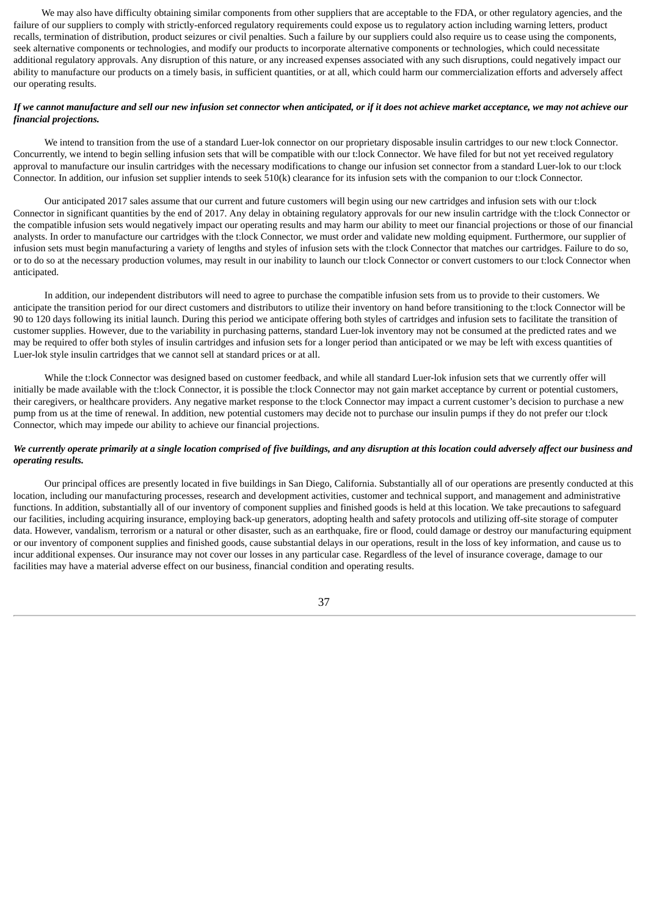We may also have difficulty obtaining similar components from other suppliers that are acceptable to the FDA, or other regulatory agencies, and the failure of our suppliers to comply with strictly-enforced regulatory requirements could expose us to regulatory action including warning letters, product recalls, termination of distribution, product seizures or civil penalties. Such a failure by our suppliers could also require us to cease using the components, seek alternative components or technologies, and modify our products to incorporate alternative components or technologies, which could necessitate additional regulatory approvals. Any disruption of this nature, or any increased expenses associated with any such disruptions, could negatively impact our ability to manufacture our products on a timely basis, in sufficient quantities, or at all, which could harm our commercialization efforts and adversely affect our operating results.

## If we cannot manufacture and sell our new infusion set connector when anticipated, or if it does not achieve market acceptance, we may not achieve our *financial projections.*

We intend to transition from the use of a standard Luer-lok connector on our proprietary disposable insulin cartridges to our new t:lock Connector. Concurrently, we intend to begin selling infusion sets that will be compatible with our t:lock Connector. We have filed for but not yet received regulatory approval to manufacture our insulin cartridges with the necessary modifications to change our infusion set connector from a standard Luer-lok to our t:lock Connector. In addition, our infusion set supplier intends to seek 510(k) clearance for its infusion sets with the companion to our t:lock Connector.

Our anticipated 2017 sales assume that our current and future customers will begin using our new cartridges and infusion sets with our t:lock Connector in significant quantities by the end of 2017. Any delay in obtaining regulatory approvals for our new insulin cartridge with the t:lock Connector or the compatible infusion sets would negatively impact our operating results and may harm our ability to meet our financial projections or those of our financial analysts. In order to manufacture our cartridges with the t:lock Connector, we must order and validate new molding equipment. Furthermore, our supplier of infusion sets must begin manufacturing a variety of lengths and styles of infusion sets with the t:lock Connector that matches our cartridges. Failure to do so, or to do so at the necessary production volumes, may result in our inability to launch our t:lock Connector or convert customers to our t:lock Connector when anticipated.

In addition, our independent distributors will need to agree to purchase the compatible infusion sets from us to provide to their customers. We anticipate the transition period for our direct customers and distributors to utilize their inventory on hand before transitioning to the t:lock Connector will be 90 to 120 days following its initial launch. During this period we anticipate offering both styles of cartridges and infusion sets to facilitate the transition of customer supplies. However, due to the variability in purchasing patterns, standard Luer-lok inventory may not be consumed at the predicted rates and we may be required to offer both styles of insulin cartridges and infusion sets for a longer period than anticipated or we may be left with excess quantities of Luer-lok style insulin cartridges that we cannot sell at standard prices or at all.

While the t:lock Connector was designed based on customer feedback, and while all standard Luer-lok infusion sets that we currently offer will initially be made available with the t:lock Connector, it is possible the t:lock Connector may not gain market acceptance by current or potential customers, their caregivers, or healthcare providers. Any negative market response to the t:lock Connector may impact a current customer's decision to purchase a new pump from us at the time of renewal. In addition, new potential customers may decide not to purchase our insulin pumps if they do not prefer our t:lock Connector, which may impede our ability to achieve our financial projections.

## We currently operate primarily at a sinale location comprised of five buildinas, and any disruption at this location could adversely affect our business and *operating results.*

Our principal offices are presently located in five buildings in San Diego, California. Substantially all of our operations are presently conducted at this location, including our manufacturing processes, research and development activities, customer and technical support, and management and administrative functions. In addition, substantially all of our inventory of component supplies and finished goods is held at this location. We take precautions to safeguard our facilities, including acquiring insurance, employing back-up generators, adopting health and safety protocols and utilizing off-site storage of computer data. However, vandalism, terrorism or a natural or other disaster, such as an earthquake, fire or flood, could damage or destroy our manufacturing equipment or our inventory of component supplies and finished goods, cause substantial delays in our operations, result in the loss of key information, and cause us to incur additional expenses. Our insurance may not cover our losses in any particular case. Regardless of the level of insurance coverage, damage to our facilities may have a material adverse effect on our business, financial condition and operating results.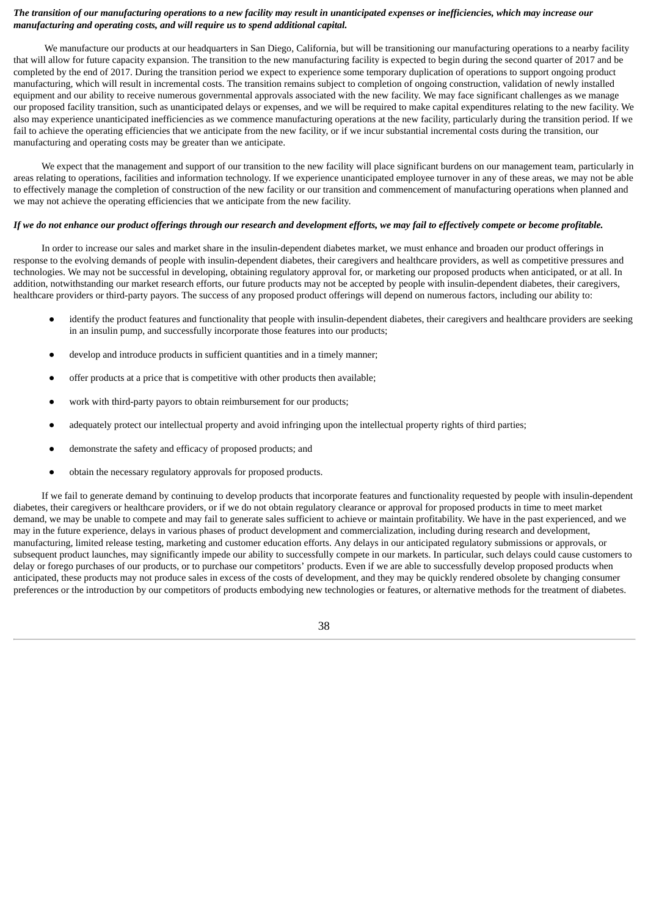## The transition of our manufacturing operations to a new facility may result in unanticipated expenses or inefficiencies, which may increase our *manufacturing and operating costs, and will require us to spend additional capital.*

We manufacture our products at our headquarters in San Diego, California, but will be transitioning our manufacturing operations to a nearby facility that will allow for future capacity expansion. The transition to the new manufacturing facility is expected to begin during the second quarter of 2017 and be completed by the end of 2017. During the transition period we expect to experience some temporary duplication of operations to support ongoing product manufacturing, which will result in incremental costs. The transition remains subject to completion of ongoing construction, validation of newly installed equipment and our ability to receive numerous governmental approvals associated with the new facility. We may face significant challenges as we manage our proposed facility transition, such as unanticipated delays or expenses, and we will be required to make capital expenditures relating to the new facility. We also may experience unanticipated inefficiencies as we commence manufacturing operations at the new facility, particularly during the transition period. If we fail to achieve the operating efficiencies that we anticipate from the new facility, or if we incur substantial incremental costs during the transition, our manufacturing and operating costs may be greater than we anticipate.

We expect that the management and support of our transition to the new facility will place significant burdens on our management team, particularly in areas relating to operations, facilities and information technology. If we experience unanticipated employee turnover in any of these areas, we may not be able to effectively manage the completion of construction of the new facility or our transition and commencement of manufacturing operations when planned and we may not achieve the operating efficiencies that we anticipate from the new facility.

### If we do not enhance our product offerings through our research and development efforts, we may fail to effectively compete or become profitable.

In order to increase our sales and market share in the insulin-dependent diabetes market, we must enhance and broaden our product offerings in response to the evolving demands of people with insulin-dependent diabetes, their caregivers and healthcare providers, as well as competitive pressures and technologies. We may not be successful in developing, obtaining regulatory approval for, or marketing our proposed products when anticipated, or at all. In addition, notwithstanding our market research efforts, our future products may not be accepted by people with insulin-dependent diabetes, their caregivers, healthcare providers or third-party payors. The success of any proposed product offerings will depend on numerous factors, including our ability to:

- identify the product features and functionality that people with insulin-dependent diabetes, their caregivers and healthcare providers are seeking in an insulin pump, and successfully incorporate those features into our products;
- develop and introduce products in sufficient quantities and in a timely manner;
- offer products at a price that is competitive with other products then available;
- work with third-party payors to obtain reimbursement for our products;
- adequately protect our intellectual property and avoid infringing upon the intellectual property rights of third parties;
- demonstrate the safety and efficacy of proposed products; and
- obtain the necessary regulatory approvals for proposed products.

If we fail to generate demand by continuing to develop products that incorporate features and functionality requested by people with insulin-dependent diabetes, their caregivers or healthcare providers, or if we do not obtain regulatory clearance or approval for proposed products in time to meet market demand, we may be unable to compete and may fail to generate sales sufficient to achieve or maintain profitability. We have in the past experienced, and we may in the future experience, delays in various phases of product development and commercialization, including during research and development, manufacturing, limited release testing, marketing and customer education efforts. Any delays in our anticipated regulatory submissions or approvals, or subsequent product launches, may significantly impede our ability to successfully compete in our markets. In particular, such delays could cause customers to delay or forego purchases of our products, or to purchase our competitors' products. Even if we are able to successfully develop proposed products when anticipated, these products may not produce sales in excess of the costs of development, and they may be quickly rendered obsolete by changing consumer preferences or the introduction by our competitors of products embodying new technologies or features, or alternative methods for the treatment of diabetes.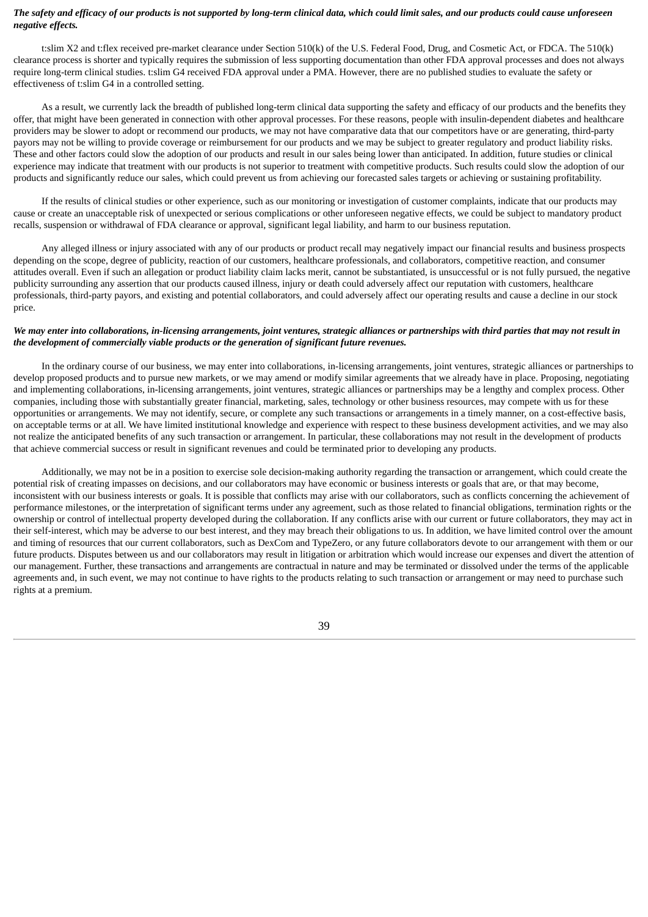## The safety and efficacy of our products is not supported by long-term clinical data, which could limit sales, and our products could cause unforeseen *negative effects.*

t:slim X2 and t:flex received pre-market clearance under Section 510(k) of the U.S. Federal Food, Drug, and Cosmetic Act, or FDCA. The 510(k) clearance process is shorter and typically requires the submission of less supporting documentation than other FDA approval processes and does not always require long-term clinical studies. t:slim G4 received FDA approval under a PMA. However, there are no published studies to evaluate the safety or effectiveness of t:slim G4 in a controlled setting.

As a result, we currently lack the breadth of published long-term clinical data supporting the safety and efficacy of our products and the benefits they offer, that might have been generated in connection with other approval processes. For these reasons, people with insulin-dependent diabetes and healthcare providers may be slower to adopt or recommend our products, we may not have comparative data that our competitors have or are generating, third-party payors may not be willing to provide coverage or reimbursement for our products and we may be subject to greater regulatory and product liability risks. These and other factors could slow the adoption of our products and result in our sales being lower than anticipated. In addition, future studies or clinical experience may indicate that treatment with our products is not superior to treatment with competitive products. Such results could slow the adoption of our products and significantly reduce our sales, which could prevent us from achieving our forecasted sales targets or achieving or sustaining profitability.

If the results of clinical studies or other experience, such as our monitoring or investigation of customer complaints, indicate that our products may cause or create an unacceptable risk of unexpected or serious complications or other unforeseen negative effects, we could be subject to mandatory product recalls, suspension or withdrawal of FDA clearance or approval, significant legal liability, and harm to our business reputation.

Any alleged illness or injury associated with any of our products or product recall may negatively impact our financial results and business prospects depending on the scope, degree of publicity, reaction of our customers, healthcare professionals, and collaborators, competitive reaction, and consumer attitudes overall. Even if such an allegation or product liability claim lacks merit, cannot be substantiated, is unsuccessful or is not fully pursued, the negative publicity surrounding any assertion that our products caused illness, injury or death could adversely affect our reputation with customers, healthcare professionals, third-party payors, and existing and potential collaborators, and could adversely affect our operating results and cause a decline in our stock price.

## We may enter into collaborations, in-licensing arrangements, joint ventures, strategic alliances or partnerships with third parties that may not result in *the development of commercially viable products or the generation of significant future revenues.*

In the ordinary course of our business, we may enter into collaborations, in-licensing arrangements, joint ventures, strategic alliances or partnerships to develop proposed products and to pursue new markets, or we may amend or modify similar agreements that we already have in place. Proposing, negotiating and implementing collaborations, in-licensing arrangements, joint ventures, strategic alliances or partnerships may be a lengthy and complex process. Other companies, including those with substantially greater financial, marketing, sales, technology or other business resources, may compete with us for these opportunities or arrangements. We may not identify, secure, or complete any such transactions or arrangements in a timely manner, on a cost-effective basis, on acceptable terms or at all. We have limited institutional knowledge and experience with respect to these business development activities, and we may also not realize the anticipated benefits of any such transaction or arrangement. In particular, these collaborations may not result in the development of products that achieve commercial success or result in significant revenues and could be terminated prior to developing any products.

Additionally, we may not be in a position to exercise sole decision-making authority regarding the transaction or arrangement, which could create the potential risk of creating impasses on decisions, and our collaborators may have economic or business interests or goals that are, or that may become, inconsistent with our business interests or goals. It is possible that conflicts may arise with our collaborators, such as conflicts concerning the achievement of performance milestones, or the interpretation of significant terms under any agreement, such as those related to financial obligations, termination rights or the ownership or control of intellectual property developed during the collaboration. If any conflicts arise with our current or future collaborators, they may act in their self-interest, which may be adverse to our best interest, and they may breach their obligations to us. In addition, we have limited control over the amount and timing of resources that our current collaborators, such as DexCom and TypeZero, or any future collaborators devote to our arrangement with them or our future products. Disputes between us and our collaborators may result in litigation or arbitration which would increase our expenses and divert the attention of our management. Further, these transactions and arrangements are contractual in nature and may be terminated or dissolved under the terms of the applicable agreements and, in such event, we may not continue to have rights to the products relating to such transaction or arrangement or may need to purchase such rights at a premium.

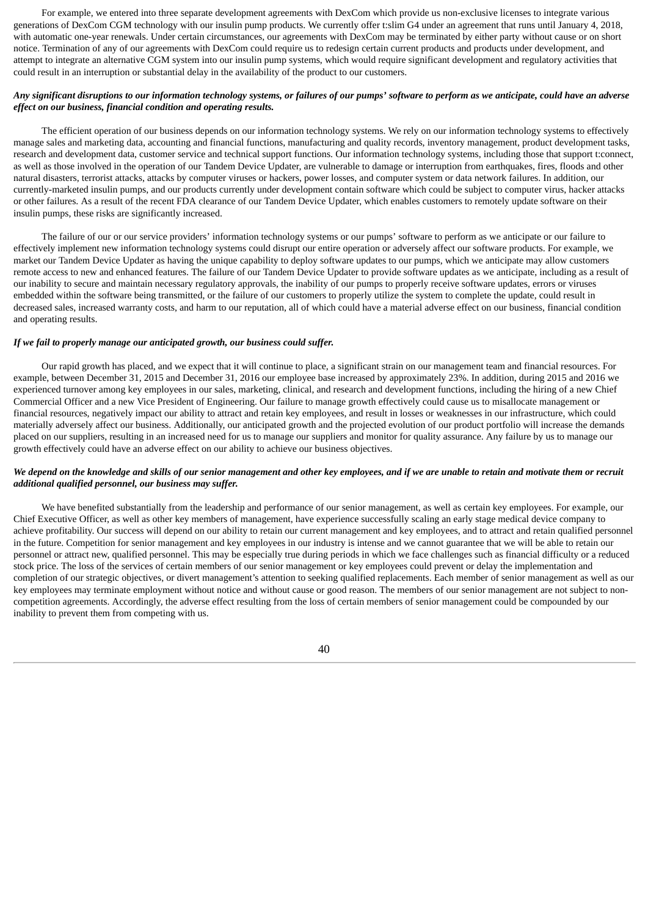For example, we entered into three separate development agreements with DexCom which provide us non-exclusive licenses to integrate various generations of DexCom CGM technology with our insulin pump products. We currently offer t:slim G4 under an agreement that runs until January 4, 2018, with automatic one-year renewals. Under certain circumstances, our agreements with DexCom may be terminated by either party without cause or on short notice. Termination of any of our agreements with DexCom could require us to redesign certain current products and products under development, and attempt to integrate an alternative CGM system into our insulin pump systems, which would require significant development and regulatory activities that could result in an interruption or substantial delay in the availability of the product to our customers.

### Any significant disruptions to our information technology systems, or failures of our pumps' software to perform as we anticipate, could have an adverse *effect on our business, financial condition and operating results.*

The efficient operation of our business depends on our information technology systems. We rely on our information technology systems to effectively manage sales and marketing data, accounting and financial functions, manufacturing and quality records, inventory management, product development tasks, research and development data, customer service and technical support functions. Our information technology systems, including those that support t:connect, as well as those involved in the operation of our Tandem Device Updater, are vulnerable to damage or interruption from earthquakes, fires, floods and other natural disasters, terrorist attacks, attacks by computer viruses or hackers, power losses, and computer system or data network failures. In addition, our currently-marketed insulin pumps, and our products currently under development contain software which could be subject to computer virus, hacker attacks or other failures. As a result of the recent FDA clearance of our Tandem Device Updater, which enables customers to remotely update software on their insulin pumps, these risks are significantly increased.

The failure of our or our service providers' information technology systems or our pumps' software to perform as we anticipate or our failure to effectively implement new information technology systems could disrupt our entire operation or adversely affect our software products. For example, we market our Tandem Device Updater as having the unique capability to deploy software updates to our pumps, which we anticipate may allow customers remote access to new and enhanced features. The failure of our Tandem Device Updater to provide software updates as we anticipate, including as a result of our inability to secure and maintain necessary regulatory approvals, the inability of our pumps to properly receive software updates, errors or viruses embedded within the software being transmitted, or the failure of our customers to properly utilize the system to complete the update, could result in decreased sales, increased warranty costs, and harm to our reputation, all of which could have a material adverse effect on our business, financial condition and operating results.

#### *If we fail to properly manage our anticipated growth, our business could suffer.*

Our rapid growth has placed, and we expect that it will continue to place, a significant strain on our management team and financial resources. For example, between December 31, 2015 and December 31, 2016 our employee base increased by approximately 23%. In addition, during 2015 and 2016 we experienced turnover among key employees in our sales, marketing, clinical, and research and development functions, including the hiring of a new Chief Commercial Officer and a new Vice President of Engineering. Our failure to manage growth effectively could cause us to misallocate management or financial resources, negatively impact our ability to attract and retain key employees, and result in losses or weaknesses in our infrastructure, which could materially adversely affect our business. Additionally, our anticipated growth and the projected evolution of our product portfolio will increase the demands placed on our suppliers, resulting in an increased need for us to manage our suppliers and monitor for quality assurance. Any failure by us to manage our growth effectively could have an adverse effect on our ability to achieve our business objectives.

## We depend on the knowledge and skills of our senior management and other key employees, and if we are unable to retain and motivate them or recruit *additional qualified personnel, our business may suffer.*

We have benefited substantially from the leadership and performance of our senior management, as well as certain key employees. For example, our Chief Executive Officer, as well as other key members of management, have experience successfully scaling an early stage medical device company to achieve profitability. Our success will depend on our ability to retain our current management and key employees, and to attract and retain qualified personnel in the future. Competition for senior management and key employees in our industry is intense and we cannot guarantee that we will be able to retain our personnel or attract new, qualified personnel. This may be especially true during periods in which we face challenges such as financial difficulty or a reduced stock price. The loss of the services of certain members of our senior management or key employees could prevent or delay the implementation and completion of our strategic objectives, or divert management's attention to seeking qualified replacements. Each member of senior management as well as our key employees may terminate employment without notice and without cause or good reason. The members of our senior management are not subject to noncompetition agreements. Accordingly, the adverse effect resulting from the loss of certain members of senior management could be compounded by our inability to prevent them from competing with us.

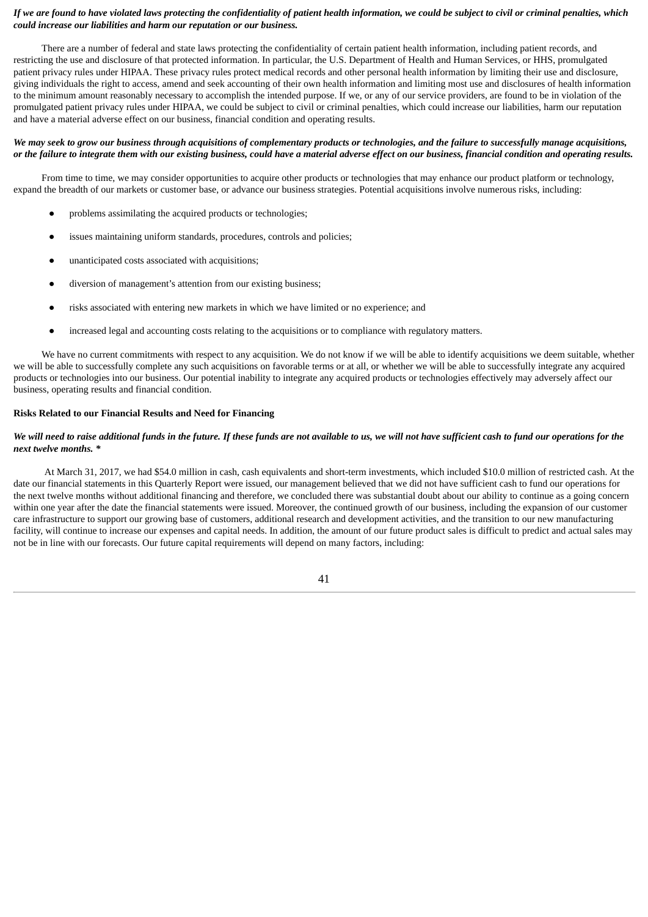## If we are found to have violated laws protecting the confidentiality of patient health information, we could be subject to civil or criminal penalties, which *could increase our liabilities and harm our reputation or our business.*

There are a number of federal and state laws protecting the confidentiality of certain patient health information, including patient records, and restricting the use and disclosure of that protected information. In particular, the U.S. Department of Health and Human Services, or HHS, promulgated patient privacy rules under HIPAA. These privacy rules protect medical records and other personal health information by limiting their use and disclosure, giving individuals the right to access, amend and seek accounting of their own health information and limiting most use and disclosures of health information to the minimum amount reasonably necessary to accomplish the intended purpose. If we, or any of our service providers, are found to be in violation of the promulgated patient privacy rules under HIPAA, we could be subject to civil or criminal penalties, which could increase our liabilities, harm our reputation and have a material adverse effect on our business, financial condition and operating results.

## We may seek to grow our business through acquisitions of complementary products or technologies, and the failure to successfully manage acquisitions, or the failure to integrate them with our existing business, could have a material adverse effect on our business, financial condition and operating results.

From time to time, we may consider opportunities to acquire other products or technologies that may enhance our product platform or technology, expand the breadth of our markets or customer base, or advance our business strategies. Potential acquisitions involve numerous risks, including:

- problems assimilating the acquired products or technologies;
- issues maintaining uniform standards, procedures, controls and policies;
- unanticipated costs associated with acquisitions;
- diversion of management's attention from our existing business;
- risks associated with entering new markets in which we have limited or no experience; and
- increased legal and accounting costs relating to the acquisitions or to compliance with regulatory matters.

We have no current commitments with respect to any acquisition. We do not know if we will be able to identify acquisitions we deem suitable, whether we will be able to successfully complete any such acquisitions on favorable terms or at all, or whether we will be able to successfully integrate any acquired products or technologies into our business. Our potential inability to integrate any acquired products or technologies effectively may adversely affect our business, operating results and financial condition.

## **Risks Related to our Financial Results and Need for Financing**

## We will need to raise additional funds in the future. If these funds are not available to us, we will not have sufficient cash to fund our operations for the *next twelve months. \**

At March 31, 2017, we had \$54.0 million in cash, cash equivalents and short-term investments, which included \$10.0 million of restricted cash. At the date our financial statements in this Quarterly Report were issued, our management believed that we did not have sufficient cash to fund our operations for the next twelve months without additional financing and therefore, we concluded there was substantial doubt about our ability to continue as a going concern within one year after the date the financial statements were issued. Moreover, the continued growth of our business, including the expansion of our customer care infrastructure to support our growing base of customers, additional research and development activities, and the transition to our new manufacturing facility, will continue to increase our expenses and capital needs. In addition, the amount of our future product sales is difficult to predict and actual sales may not be in line with our forecasts. Our future capital requirements will depend on many factors, including: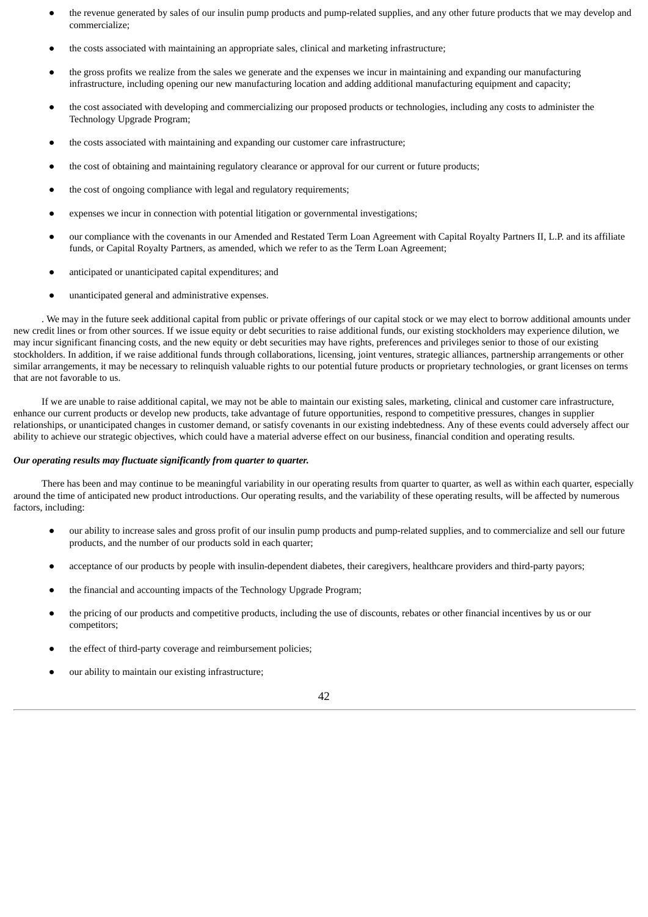- the revenue generated by sales of our insulin pump products and pump-related supplies, and any other future products that we may develop and commercialize;
- the costs associated with maintaining an appropriate sales, clinical and marketing infrastructure;
- the gross profits we realize from the sales we generate and the expenses we incur in maintaining and expanding our manufacturing infrastructure, including opening our new manufacturing location and adding additional manufacturing equipment and capacity;
- the cost associated with developing and commercializing our proposed products or technologies, including any costs to administer the Technology Upgrade Program;
- the costs associated with maintaining and expanding our customer care infrastructure;
- the cost of obtaining and maintaining regulatory clearance or approval for our current or future products;
- the cost of ongoing compliance with legal and regulatory requirements;
- expenses we incur in connection with potential litigation or governmental investigations;
- our compliance with the covenants in our Amended and Restated Term Loan Agreement with Capital Royalty Partners II, L.P. and its affiliate funds, or Capital Royalty Partners, as amended, which we refer to as the Term Loan Agreement;
- anticipated or unanticipated capital expenditures; and
- unanticipated general and administrative expenses.

. We may in the future seek additional capital from public or private offerings of our capital stock or we may elect to borrow additional amounts under new credit lines or from other sources. If we issue equity or debt securities to raise additional funds, our existing stockholders may experience dilution, we may incur significant financing costs, and the new equity or debt securities may have rights, preferences and privileges senior to those of our existing stockholders. In addition, if we raise additional funds through collaborations, licensing, joint ventures, strategic alliances, partnership arrangements or other similar arrangements, it may be necessary to relinquish valuable rights to our potential future products or proprietary technologies, or grant licenses on terms that are not favorable to us.

If we are unable to raise additional capital, we may not be able to maintain our existing sales, marketing, clinical and customer care infrastructure, enhance our current products or develop new products, take advantage of future opportunities, respond to competitive pressures, changes in supplier relationships, or unanticipated changes in customer demand, or satisfy covenants in our existing indebtedness. Any of these events could adversely affect our ability to achieve our strategic objectives, which could have a material adverse effect on our business, financial condition and operating results.

#### *Our operating results may fluctuate significantly from quarter to quarter.*

There has been and may continue to be meaningful variability in our operating results from quarter to quarter, as well as within each quarter, especially around the time of anticipated new product introductions. Our operating results, and the variability of these operating results, will be affected by numerous factors, including:

- our ability to increase sales and gross profit of our insulin pump products and pump-related supplies, and to commercialize and sell our future products, and the number of our products sold in each quarter;
- acceptance of our products by people with insulin-dependent diabetes, their caregivers, healthcare providers and third-party payors;
- the financial and accounting impacts of the Technology Upgrade Program;
- the pricing of our products and competitive products, including the use of discounts, rebates or other financial incentives by us or our competitors;
- the effect of third-party coverage and reimbursement policies;
- our ability to maintain our existing infrastructure;

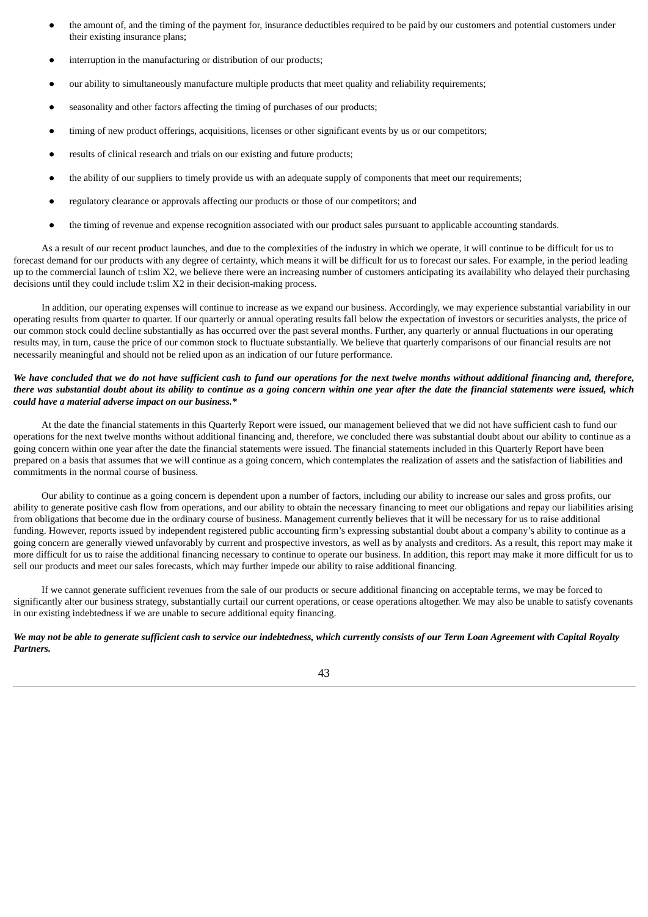- the amount of, and the timing of the payment for, insurance deductibles required to be paid by our customers and potential customers under their existing insurance plans;
- interruption in the manufacturing or distribution of our products;
- our ability to simultaneously manufacture multiple products that meet quality and reliability requirements;
- seasonality and other factors affecting the timing of purchases of our products;
- timing of new product offerings, acquisitions, licenses or other significant events by us or our competitors;
- results of clinical research and trials on our existing and future products;
- the ability of our suppliers to timely provide us with an adequate supply of components that meet our requirements;
- regulatory clearance or approvals affecting our products or those of our competitors; and
- the timing of revenue and expense recognition associated with our product sales pursuant to applicable accounting standards.

As a result of our recent product launches, and due to the complexities of the industry in which we operate, it will continue to be difficult for us to forecast demand for our products with any degree of certainty, which means it will be difficult for us to forecast our sales. For example, in the period leading up to the commercial launch of t:slim X2, we believe there were an increasing number of customers anticipating its availability who delayed their purchasing decisions until they could include t:slim X2 in their decision-making process.

In addition, our operating expenses will continue to increase as we expand our business. Accordingly, we may experience substantial variability in our operating results from quarter to quarter. If our quarterly or annual operating results fall below the expectation of investors or securities analysts, the price of our common stock could decline substantially as has occurred over the past several months. Further, any quarterly or annual fluctuations in our operating results may, in turn, cause the price of our common stock to fluctuate substantially. We believe that quarterly comparisons of our financial results are not necessarily meaningful and should not be relied upon as an indication of our future performance.

## We have concluded that we do not have sufficient cash to fund our operations for the next twelve months without additional financing and, therefore, there was substantial doubt about its ability to continue as a going concern within one year after the date the financial statements were issued, which *could have a material adverse impact on our business.\**

At the date the financial statements in this Quarterly Report were issued, our management believed that we did not have sufficient cash to fund our operations for the next twelve months without additional financing and, therefore, we concluded there was substantial doubt about our ability to continue as a going concern within one year after the date the financial statements were issued. The financial statements included in this Quarterly Report have been prepared on a basis that assumes that we will continue as a going concern, which contemplates the realization of assets and the satisfaction of liabilities and commitments in the normal course of business.

Our ability to continue as a going concern is dependent upon a number of factors, including our ability to increase our sales and gross profits, our ability to generate positive cash flow from operations, and our ability to obtain the necessary financing to meet our obligations and repay our liabilities arising from obligations that become due in the ordinary course of business. Management currently believes that it will be necessary for us to raise additional funding. However, reports issued by independent registered public accounting firm's expressing substantial doubt about a company's ability to continue as a going concern are generally viewed unfavorably by current and prospective investors, as well as by analysts and creditors. As a result, this report may make it more difficult for us to raise the additional financing necessary to continue to operate our business. In addition, this report may make it more difficult for us to sell our products and meet our sales forecasts, which may further impede our ability to raise additional financing.

If we cannot generate sufficient revenues from the sale of our products or secure additional financing on acceptable terms, we may be forced to significantly alter our business strategy, substantially curtail our current operations, or cease operations altogether. We may also be unable to satisfy covenants in our existing indebtedness if we are unable to secure additional equity financing.

## We may not be able to generate sufficient cash to service our indebtedness, which currently consists of our Term Loan Agreement with Capital Royalty *Partners.*

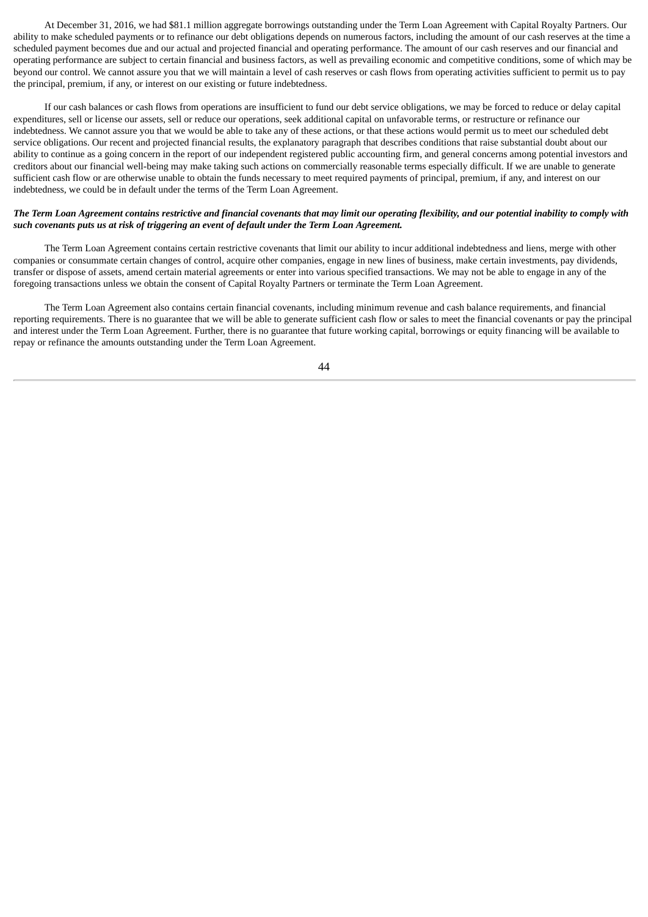At December 31, 2016, we had \$81.1 million aggregate borrowings outstanding under the Term Loan Agreement with Capital Royalty Partners. Our ability to make scheduled payments or to refinance our debt obligations depends on numerous factors, including the amount of our cash reserves at the time a scheduled payment becomes due and our actual and projected financial and operating performance. The amount of our cash reserves and our financial and operating performance are subject to certain financial and business factors, as well as prevailing economic and competitive conditions, some of which may be beyond our control. We cannot assure you that we will maintain a level of cash reserves or cash flows from operating activities sufficient to permit us to pay the principal, premium, if any, or interest on our existing or future indebtedness.

If our cash balances or cash flows from operations are insufficient to fund our debt service obligations, we may be forced to reduce or delay capital expenditures, sell or license our assets, sell or reduce our operations, seek additional capital on unfavorable terms, or restructure or refinance our indebtedness. We cannot assure you that we would be able to take any of these actions, or that these actions would permit us to meet our scheduled debt service obligations. Our recent and projected financial results, the explanatory paragraph that describes conditions that raise substantial doubt about our ability to continue as a going concern in the report of our independent registered public accounting firm, and general concerns among potential investors and creditors about our financial well-being may make taking such actions on commercially reasonable terms especially difficult. If we are unable to generate sufficient cash flow or are otherwise unable to obtain the funds necessary to meet required payments of principal, premium, if any, and interest on our indebtedness, we could be in default under the terms of the Term Loan Agreement.

## The Term Loan Agreement contains restrictive and financial covenants that may limit our operating flexibility, and our potential inability to comply with *such covenants puts us at risk of triggering an event of default under the Term Loan Agreement.*

The Term Loan Agreement contains certain restrictive covenants that limit our ability to incur additional indebtedness and liens, merge with other companies or consummate certain changes of control, acquire other companies, engage in new lines of business, make certain investments, pay dividends, transfer or dispose of assets, amend certain material agreements or enter into various specified transactions. We may not be able to engage in any of the foregoing transactions unless we obtain the consent of Capital Royalty Partners or terminate the Term Loan Agreement.

The Term Loan Agreement also contains certain financial covenants, including minimum revenue and cash balance requirements, and financial reporting requirements. There is no guarantee that we will be able to generate sufficient cash flow or sales to meet the financial covenants or pay the principal and interest under the Term Loan Agreement. Further, there is no guarantee that future working capital, borrowings or equity financing will be available to repay or refinance the amounts outstanding under the Term Loan Agreement.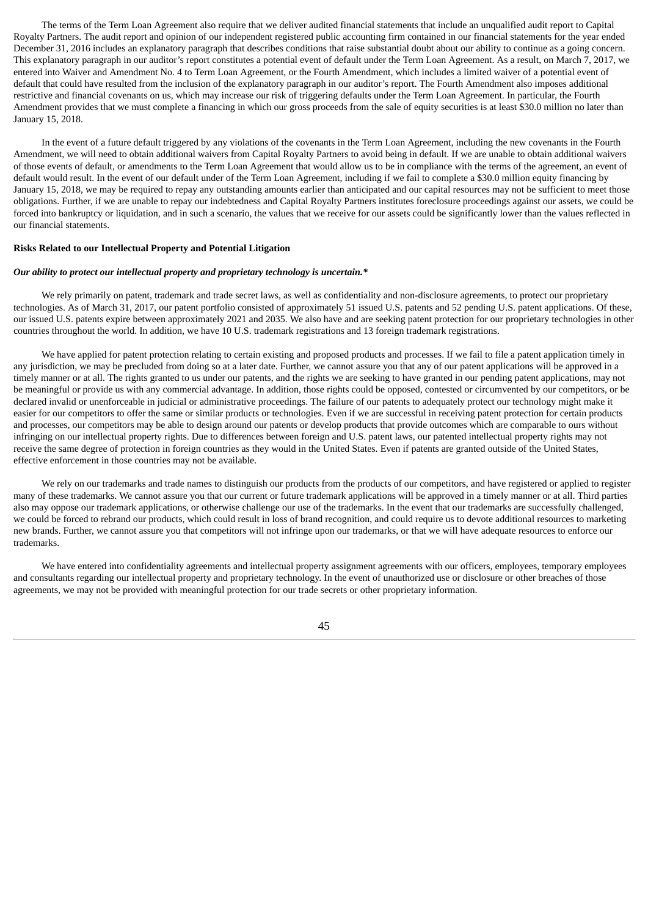The terms of the Term Loan Agreement also require that we deliver audited financial statements that include an unqualified audit report to Capital Royalty Partners. The audit report and opinion of our independent registered public accounting firm contained in our financial statements for the year ended December 31, 2016 includes an explanatory paragraph that describes conditions that raise substantial doubt about our ability to continue as a going concern. This explanatory paragraph in our auditor's report constitutes a potential event of default under the Term Loan Agreement. As a result, on March 7, 2017, we entered into Waiver and Amendment No. 4 to Term Loan Agreement, or the Fourth Amendment, which includes a limited waiver of a potential event of default that could have resulted from the inclusion of the explanatory paragraph in our auditor's report. The Fourth Amendment also imposes additional restrictive and financial covenants on us, which may increase our risk of triggering defaults under the Term Loan Agreement. In particular, the Fourth Amendment provides that we must complete a financing in which our gross proceeds from the sale of equity securities is at least \$30.0 million no later than January 15, 2018.

In the event of a future default triggered by any violations of the covenants in the Term Loan Agreement, including the new covenants in the Fourth Amendment, we will need to obtain additional waivers from Capital Royalty Partners to avoid being in default. If we are unable to obtain additional waivers of those events of default, or amendments to the Term Loan Agreement that would allow us to be in compliance with the terms of the agreement, an event of default would result. In the event of our default under of the Term Loan Agreement, including if we fail to complete a \$30.0 million equity financing by January 15, 2018, we may be required to repay any outstanding amounts earlier than anticipated and our capital resources may not be sufficient to meet those obligations. Further, if we are unable to repay our indebtedness and Capital Royalty Partners institutes foreclosure proceedings against our assets, we could be forced into bankruptcy or liquidation, and in such a scenario, the values that we receive for our assets could be significantly lower than the values reflected in our financial statements.

## **Risks Related to our Intellectual Property and Potential Litigation**

#### *Our ability to protect our intellectual property and proprietary technology is uncertain.\**

We rely primarily on patent, trademark and trade secret laws, as well as confidentiality and non-disclosure agreements, to protect our proprietary technologies. As of March 31, 2017, our patent portfolio consisted of approximately 51 issued U.S. patents and 52 pending U.S. patent applications. Of these, our issued U.S. patents expire between approximately 2021 and 2035. We also have and are seeking patent protection for our proprietary technologies in other countries throughout the world. In addition, we have 10 U.S. trademark registrations and 13 foreign trademark registrations.

We have applied for patent protection relating to certain existing and proposed products and processes. If we fail to file a patent application timely in any jurisdiction, we may be precluded from doing so at a later date. Further, we cannot assure you that any of our patent applications will be approved in a timely manner or at all. The rights granted to us under our patents, and the rights we are seeking to have granted in our pending patent applications, may not be meaningful or provide us with any commercial advantage. In addition, those rights could be opposed, contested or circumvented by our competitors, or be declared invalid or unenforceable in judicial or administrative proceedings. The failure of our patents to adequately protect our technology might make it easier for our competitors to offer the same or similar products or technologies. Even if we are successful in receiving patent protection for certain products and processes, our competitors may be able to design around our patents or develop products that provide outcomes which are comparable to ours without infringing on our intellectual property rights. Due to differences between foreign and U.S. patent laws, our patented intellectual property rights may not receive the same degree of protection in foreign countries as they would in the United States. Even if patents are granted outside of the United States, effective enforcement in those countries may not be available.

We rely on our trademarks and trade names to distinguish our products from the products of our competitors, and have registered or applied to register many of these trademarks. We cannot assure you that our current or future trademark applications will be approved in a timely manner or at all. Third parties also may oppose our trademark applications, or otherwise challenge our use of the trademarks. In the event that our trademarks are successfully challenged, we could be forced to rebrand our products, which could result in loss of brand recognition, and could require us to devote additional resources to marketing new brands. Further, we cannot assure you that competitors will not infringe upon our trademarks, or that we will have adequate resources to enforce our trademarks.

We have entered into confidentiality agreements and intellectual property assignment agreements with our officers, employees, temporary employees and consultants regarding our intellectual property and proprietary technology. In the event of unauthorized use or disclosure or other breaches of those agreements, we may not be provided with meaningful protection for our trade secrets or other proprietary information.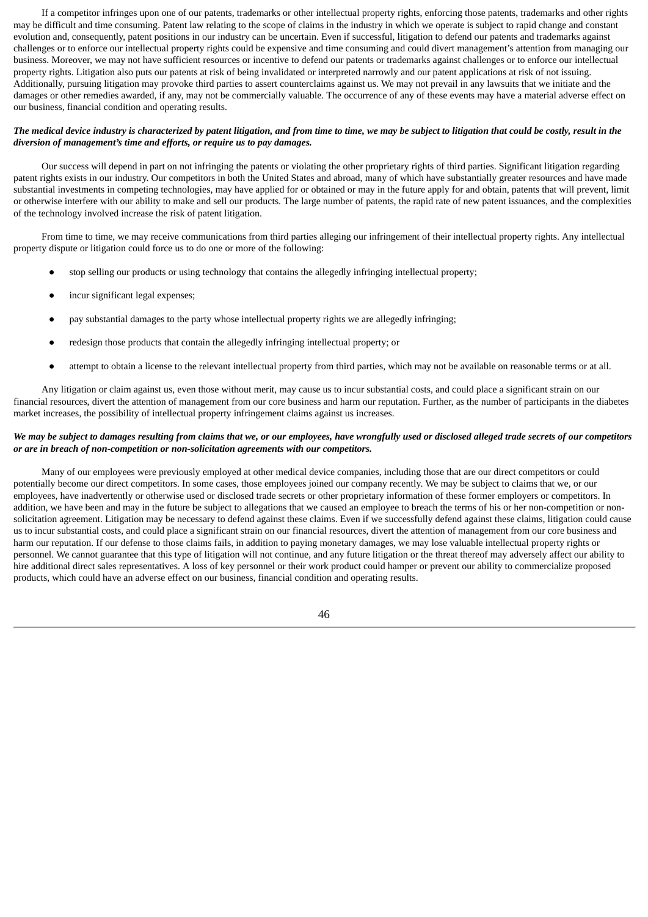If a competitor infringes upon one of our patents, trademarks or other intellectual property rights, enforcing those patents, trademarks and other rights may be difficult and time consuming. Patent law relating to the scope of claims in the industry in which we operate is subject to rapid change and constant evolution and, consequently, patent positions in our industry can be uncertain. Even if successful, litigation to defend our patents and trademarks against challenges or to enforce our intellectual property rights could be expensive and time consuming and could divert management's attention from managing our business. Moreover, we may not have sufficient resources or incentive to defend our patents or trademarks against challenges or to enforce our intellectual property rights. Litigation also puts our patents at risk of being invalidated or interpreted narrowly and our patent applications at risk of not issuing. Additionally, pursuing litigation may provoke third parties to assert counterclaims against us. We may not prevail in any lawsuits that we initiate and the damages or other remedies awarded, if any, may not be commercially valuable. The occurrence of any of these events may have a material adverse effect on our business, financial condition and operating results.

## The medical device industry is characterized by patent litigation, and from time to time, we may be subject to litigation that could be costly, result in the *diversion of management's time and efforts, or require us to pay damages.*

Our success will depend in part on not infringing the patents or violating the other proprietary rights of third parties. Significant litigation regarding patent rights exists in our industry. Our competitors in both the United States and abroad, many of which have substantially greater resources and have made substantial investments in competing technologies, may have applied for or obtained or may in the future apply for and obtain, patents that will prevent, limit or otherwise interfere with our ability to make and sell our products. The large number of patents, the rapid rate of new patent issuances, and the complexities of the technology involved increase the risk of patent litigation.

From time to time, we may receive communications from third parties alleging our infringement of their intellectual property rights. Any intellectual property dispute or litigation could force us to do one or more of the following:

- stop selling our products or using technology that contains the allegedly infringing intellectual property;
- incur significant legal expenses;
- pay substantial damages to the party whose intellectual property rights we are allegedly infringing;
- redesign those products that contain the allegedly infringing intellectual property; or
- attempt to obtain a license to the relevant intellectual property from third parties, which may not be available on reasonable terms or at all.

Any litigation or claim against us, even those without merit, may cause us to incur substantial costs, and could place a significant strain on our financial resources, divert the attention of management from our core business and harm our reputation. Further, as the number of participants in the diabetes market increases, the possibility of intellectual property infringement claims against us increases.

#### We may be subject to damages resulting from claims that we, or our employees, have wrongfully used or disclosed alleged trade secrets of our competitors *or are in breach of non-competition or non-solicitation agreements with our competitors.*

Many of our employees were previously employed at other medical device companies, including those that are our direct competitors or could potentially become our direct competitors. In some cases, those employees joined our company recently. We may be subject to claims that we, or our employees, have inadvertently or otherwise used or disclosed trade secrets or other proprietary information of these former employers or competitors. In addition, we have been and may in the future be subject to allegations that we caused an employee to breach the terms of his or her non-competition or nonsolicitation agreement. Litigation may be necessary to defend against these claims. Even if we successfully defend against these claims, litigation could cause us to incur substantial costs, and could place a significant strain on our financial resources, divert the attention of management from our core business and harm our reputation. If our defense to those claims fails, in addition to paying monetary damages, we may lose valuable intellectual property rights or personnel. We cannot guarantee that this type of litigation will not continue, and any future litigation or the threat thereof may adversely affect our ability to hire additional direct sales representatives. A loss of key personnel or their work product could hamper or prevent our ability to commercialize proposed products, which could have an adverse effect on our business, financial condition and operating results.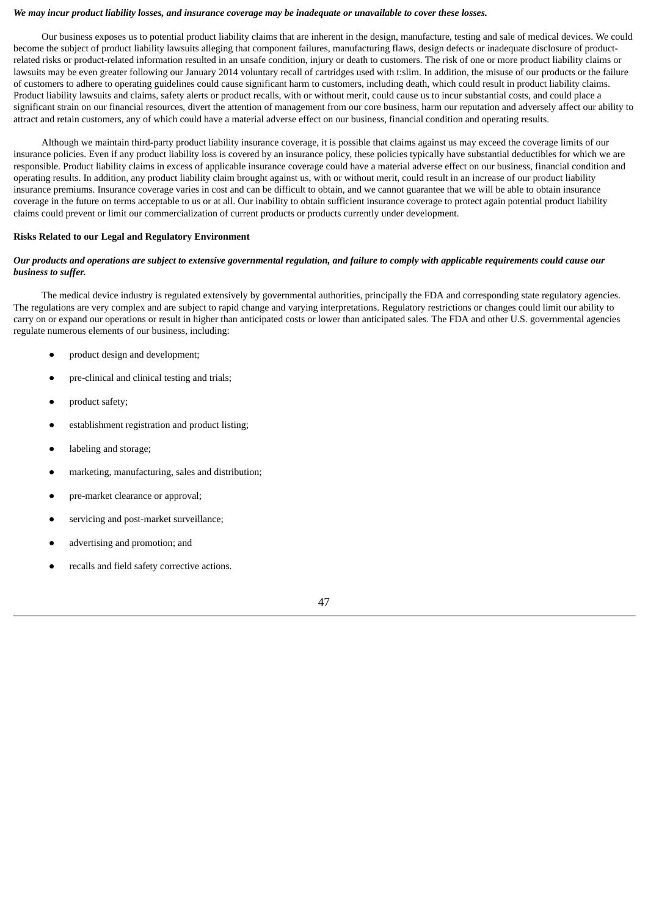#### We may incur product liability losses, and insurance coverage may be inadequate or unavailable to cover these losses.

Our business exposes us to potential product liability claims that are inherent in the design, manufacture, testing and sale of medical devices. We could become the subject of product liability lawsuits alleging that component failures, manufacturing flaws, design defects or inadequate disclosure of productrelated risks or product-related information resulted in an unsafe condition, injury or death to customers. The risk of one or more product liability claims or lawsuits may be even greater following our January 2014 voluntary recall of cartridges used with t:slim. In addition, the misuse of our products or the failure of customers to adhere to operating guidelines could cause significant harm to customers, including death, which could result in product liability claims. Product liability lawsuits and claims, safety alerts or product recalls, with or without merit, could cause us to incur substantial costs, and could place a significant strain on our financial resources, divert the attention of management from our core business, harm our reputation and adversely affect our ability to attract and retain customers, any of which could have a material adverse effect on our business, financial condition and operating results.

Although we maintain third-party product liability insurance coverage, it is possible that claims against us may exceed the coverage limits of our insurance policies. Even if any product liability loss is covered by an insurance policy, these policies typically have substantial deductibles for which we are responsible. Product liability claims in excess of applicable insurance coverage could have a material adverse effect on our business, financial condition and operating results. In addition, any product liability claim brought against us, with or without merit, could result in an increase of our product liability insurance premiums. Insurance coverage varies in cost and can be difficult to obtain, and we cannot guarantee that we will be able to obtain insurance coverage in the future on terms acceptable to us or at all. Our inability to obtain sufficient insurance coverage to protect again potential product liability claims could prevent or limit our commercialization of current products or products currently under development.

#### **Risks Related to our Legal and Regulatory Environment**

#### Our products and operations are subject to extensive governmental regulation, and failure to comply with applicable requirements could cause our *business to suffer.*

The medical device industry is regulated extensively by governmental authorities, principally the FDA and corresponding state regulatory agencies. The regulations are very complex and are subject to rapid change and varying interpretations. Regulatory restrictions or changes could limit our ability to carry on or expand our operations or result in higher than anticipated costs or lower than anticipated sales. The FDA and other U.S. governmental agencies regulate numerous elements of our business, including:

- product design and development;
- pre-clinical and clinical testing and trials;
- product safety;
- establishment registration and product listing;
- labeling and storage:
- marketing, manufacturing, sales and distribution;
- pre-market clearance or approval;
- servicing and post-market surveillance;
- advertising and promotion; and
- recalls and field safety corrective actions.

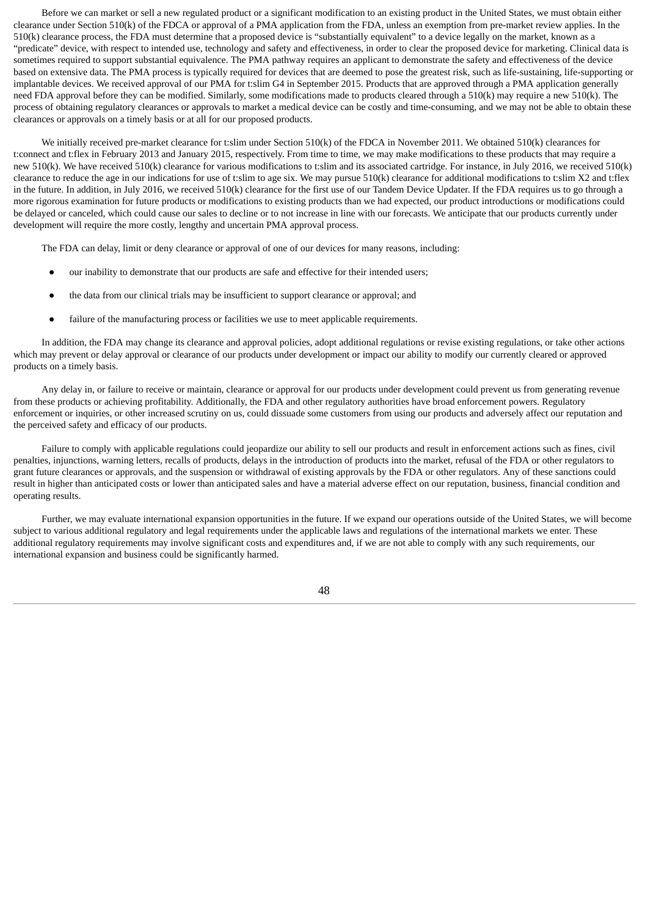Before we can market or sell a new regulated product or a significant modification to an existing product in the United States, we must obtain either clearance under Section 510(k) of the FDCA or approval of a PMA application from the FDA, unless an exemption from pre-market review applies. In the 510(k) clearance process, the FDA must determine that a proposed device is "substantially equivalent" to a device legally on the market, known as a "predicate" device, with respect to intended use, technology and safety and effectiveness, in order to clear the proposed device for marketing. Clinical data is sometimes required to support substantial equivalence. The PMA pathway requires an applicant to demonstrate the safety and effectiveness of the device based on extensive data. The PMA process is typically required for devices that are deemed to pose the greatest risk, such as life-sustaining, life-supporting or implantable devices. We received approval of our PMA for t:slim G4 in September 2015. Products that are approved through a PMA application generally need FDA approval before they can be modified. Similarly, some modifications made to products cleared through a 510(k) may require a new 510(k). The process of obtaining regulatory clearances or approvals to market a medical device can be costly and time-consuming, and we may not be able to obtain these clearances or approvals on a timely basis or at all for our proposed products.

We initially received pre-market clearance for t:slim under Section 510(k) of the FDCA in November 2011. We obtained 510(k) clearances for t:connect and t:flex in February 2013 and January 2015, respectively. From time to time, we may make modifications to these products that may require a new 510(k). We have received 510(k) clearance for various modifications to t:slim and its associated cartridge. For instance, in July 2016, we received 510(k) clearance to reduce the age in our indications for use of t:slim to age six. We may pursue  $510(k)$  clearance for additional modifications to t:slim X2 and t:flex in the future. In addition, in July 2016, we received 510(k) clearance for the first use of our Tandem Device Updater. If the FDA requires us to go through a more rigorous examination for future products or modifications to existing products than we had expected, our product introductions or modifications could be delayed or canceled, which could cause our sales to decline or to not increase in line with our forecasts. We anticipate that our products currently under development will require the more costly, lengthy and uncertain PMA approval process.

The FDA can delay, limit or deny clearance or approval of one of our devices for many reasons, including:

- our inability to demonstrate that our products are safe and effective for their intended users;
- the data from our clinical trials may be insufficient to support clearance or approval; and
- failure of the manufacturing process or facilities we use to meet applicable requirements.

In addition, the FDA may change its clearance and approval policies, adopt additional regulations or revise existing regulations, or take other actions which may prevent or delay approval or clearance of our products under development or impact our ability to modify our currently cleared or approved products on a timely basis.

Any delay in, or failure to receive or maintain, clearance or approval for our products under development could prevent us from generating revenue from these products or achieving profitability. Additionally, the FDA and other regulatory authorities have broad enforcement powers. Regulatory enforcement or inquiries, or other increased scrutiny on us, could dissuade some customers from using our products and adversely affect our reputation and the perceived safety and efficacy of our products.

Failure to comply with applicable regulations could jeopardize our ability to sell our products and result in enforcement actions such as fines, civil penalties, injunctions, warning letters, recalls of products, delays in the introduction of products into the market, refusal of the FDA or other regulators to grant future clearances or approvals, and the suspension or withdrawal of existing approvals by the FDA or other regulators. Any of these sanctions could result in higher than anticipated costs or lower than anticipated sales and have a material adverse effect on our reputation, business, financial condition and operating results.

Further, we may evaluate international expansion opportunities in the future. If we expand our operations outside of the United States, we will become subject to various additional regulatory and legal requirements under the applicable laws and regulations of the international markets we enter. These additional regulatory requirements may involve significant costs and expenditures and, if we are not able to comply with any such requirements, our international expansion and business could be significantly harmed.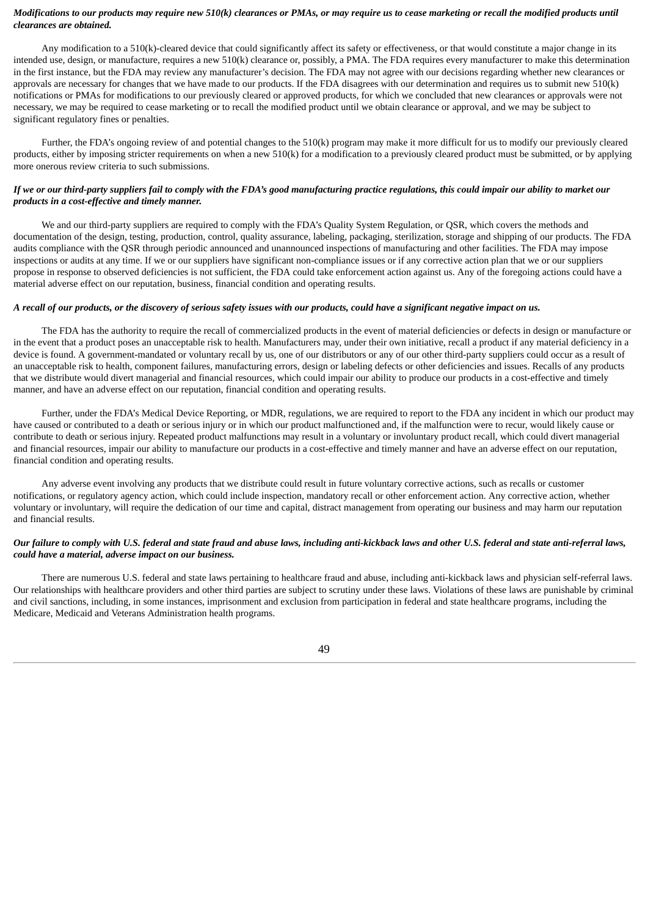## Modifications to our products may require new 510(k) clearances or PMAs, or may require us to cease marketing or recall the modified products until *clearances are obtained.*

Any modification to a 510(k)-cleared device that could significantly affect its safety or effectiveness, or that would constitute a major change in its intended use, design, or manufacture, requires a new 510(k) clearance or, possibly, a PMA. The FDA requires every manufacturer to make this determination in the first instance, but the FDA may review any manufacturer's decision. The FDA may not agree with our decisions regarding whether new clearances or approvals are necessary for changes that we have made to our products. If the FDA disagrees with our determination and requires us to submit new 510(k) notifications or PMAs for modifications to our previously cleared or approved products, for which we concluded that new clearances or approvals were not necessary, we may be required to cease marketing or to recall the modified product until we obtain clearance or approval, and we may be subject to significant regulatory fines or penalties.

Further, the FDA's ongoing review of and potential changes to the 510(k) program may make it more difficult for us to modify our previously cleared products, either by imposing stricter requirements on when a new 510(k) for a modification to a previously cleared product must be submitted, or by applying more onerous review criteria to such submissions.

## If we or our third-party suppliers fail to comply with the FDA's good manufacturing practice regulations, this could impair our ability to market our *products in a cost-effective and timely manner.*

We and our third-party suppliers are required to comply with the FDA's Quality System Regulation, or QSR, which covers the methods and documentation of the design, testing, production, control, quality assurance, labeling, packaging, sterilization, storage and shipping of our products. The FDA audits compliance with the QSR through periodic announced and unannounced inspections of manufacturing and other facilities. The FDA may impose inspections or audits at any time. If we or our suppliers have significant non-compliance issues or if any corrective action plan that we or our suppliers propose in response to observed deficiencies is not sufficient, the FDA could take enforcement action against us. Any of the foregoing actions could have a material adverse effect on our reputation, business, financial condition and operating results.

## A recall of our products, or the discovery of serious safety issues with our products, could have a significant negative impact on us.

The FDA has the authority to require the recall of commercialized products in the event of material deficiencies or defects in design or manufacture or in the event that a product poses an unacceptable risk to health. Manufacturers may, under their own initiative, recall a product if any material deficiency in a device is found. A government-mandated or voluntary recall by us, one of our distributors or any of our other third-party suppliers could occur as a result of an unacceptable risk to health, component failures, manufacturing errors, design or labeling defects or other deficiencies and issues. Recalls of any products that we distribute would divert managerial and financial resources, which could impair our ability to produce our products in a cost-effective and timely manner, and have an adverse effect on our reputation, financial condition and operating results.

Further, under the FDA's Medical Device Reporting, or MDR, regulations, we are required to report to the FDA any incident in which our product may have caused or contributed to a death or serious injury or in which our product malfunctioned and, if the malfunction were to recur, would likely cause or contribute to death or serious injury. Repeated product malfunctions may result in a voluntary or involuntary product recall, which could divert managerial and financial resources, impair our ability to manufacture our products in a cost-effective and timely manner and have an adverse effect on our reputation, financial condition and operating results.

Any adverse event involving any products that we distribute could result in future voluntary corrective actions, such as recalls or customer notifications, or regulatory agency action, which could include inspection, mandatory recall or other enforcement action. Any corrective action, whether voluntary or involuntary, will require the dedication of our time and capital, distract management from operating our business and may harm our reputation and financial results.

## Our failure to comply with U.S. federal and state fraud and abuse laws, including anti-kickback laws and other U.S. federal and state anti-referral laws, *could have a material, adverse impact on our business.*

There are numerous U.S. federal and state laws pertaining to healthcare fraud and abuse, including anti-kickback laws and physician self-referral laws. Our relationships with healthcare providers and other third parties are subject to scrutiny under these laws. Violations of these laws are punishable by criminal and civil sanctions, including, in some instances, imprisonment and exclusion from participation in federal and state healthcare programs, including the Medicare, Medicaid and Veterans Administration health programs.

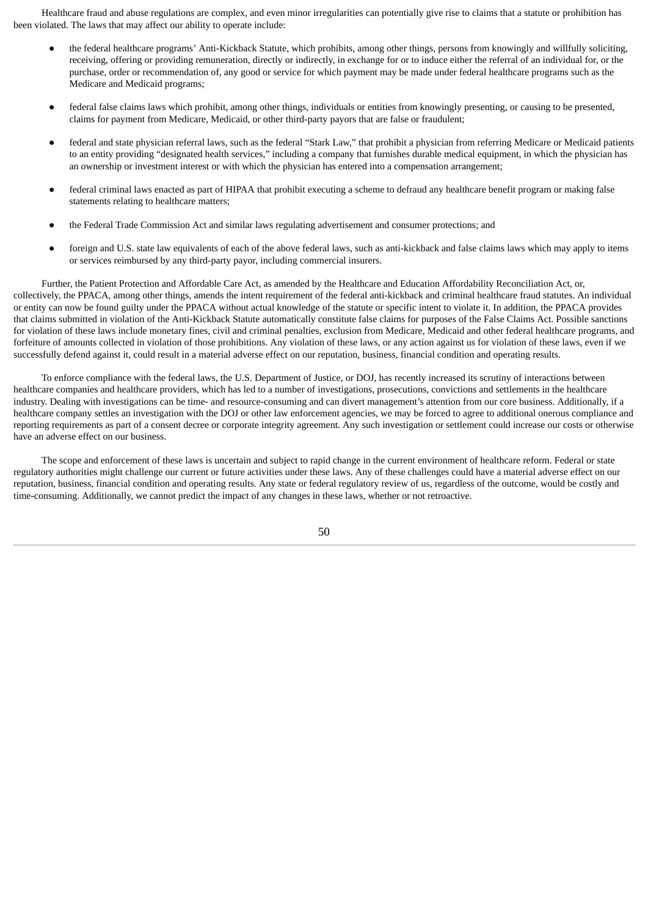Healthcare fraud and abuse regulations are complex, and even minor irregularities can potentially give rise to claims that a statute or prohibition has been violated. The laws that may affect our ability to operate include:

- the federal healthcare programs' Anti-Kickback Statute, which prohibits, among other things, persons from knowingly and willfully soliciting, receiving, offering or providing remuneration, directly or indirectly, in exchange for or to induce either the referral of an individual for, or the purchase, order or recommendation of, any good or service for which payment may be made under federal healthcare programs such as the Medicare and Medicaid programs;
- federal false claims laws which prohibit, among other things, individuals or entities from knowingly presenting, or causing to be presented. claims for payment from Medicare, Medicaid, or other third-party payors that are false or fraudulent;
- federal and state physician referral laws, such as the federal "Stark Law," that prohibit a physician from referring Medicare or Medicaid patients to an entity providing "designated health services," including a company that furnishes durable medical equipment, in which the physician has an ownership or investment interest or with which the physician has entered into a compensation arrangement;
- federal criminal laws enacted as part of HIPAA that prohibit executing a scheme to defraud any healthcare benefit program or making false statements relating to healthcare matters;
- the Federal Trade Commission Act and similar laws regulating advertisement and consumer protections; and
- foreign and U.S. state law equivalents of each of the above federal laws, such as anti-kickback and false claims laws which may apply to items or services reimbursed by any third-party payor, including commercial insurers.

Further, the Patient Protection and Affordable Care Act, as amended by the Healthcare and Education Affordability Reconciliation Act, or, collectively, the PPACA, among other things, amends the intent requirement of the federal anti-kickback and criminal healthcare fraud statutes. An individual or entity can now be found guilty under the PPACA without actual knowledge of the statute or specific intent to violate it. In addition, the PPACA provides that claims submitted in violation of the Anti-Kickback Statute automatically constitute false claims for purposes of the False Claims Act. Possible sanctions for violation of these laws include monetary fines, civil and criminal penalties, exclusion from Medicare, Medicaid and other federal healthcare programs, and forfeiture of amounts collected in violation of those prohibitions. Any violation of these laws, or any action against us for violation of these laws, even if we successfully defend against it, could result in a material adverse effect on our reputation, business, financial condition and operating results.

To enforce compliance with the federal laws, the U.S. Department of Justice, or DOJ, has recently increased its scrutiny of interactions between healthcare companies and healthcare providers, which has led to a number of investigations, prosecutions, convictions and settlements in the healthcare industry. Dealing with investigations can be time- and resource-consuming and can divert management's attention from our core business. Additionally, if a healthcare company settles an investigation with the DOJ or other law enforcement agencies, we may be forced to agree to additional onerous compliance and reporting requirements as part of a consent decree or corporate integrity agreement. Any such investigation or settlement could increase our costs or otherwise have an adverse effect on our business.

The scope and enforcement of these laws is uncertain and subject to rapid change in the current environment of healthcare reform. Federal or state regulatory authorities might challenge our current or future activities under these laws. Any of these challenges could have a material adverse effect on our reputation, business, financial condition and operating results. Any state or federal regulatory review of us, regardless of the outcome, would be costly and time-consuming. Additionally, we cannot predict the impact of any changes in these laws, whether or not retroactive.

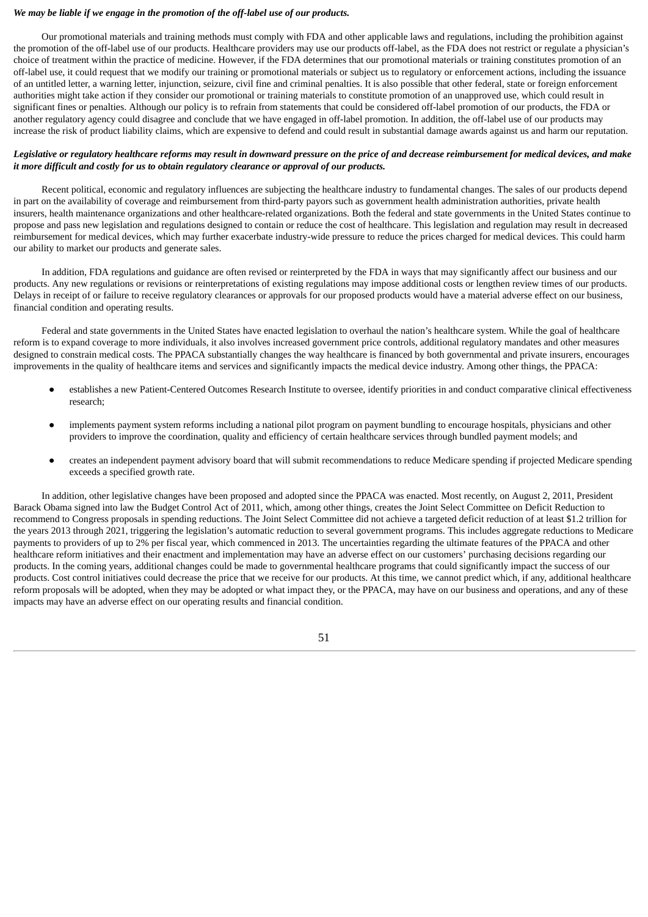#### *We may be liable if we engage in the promotion of the off-label use of our products.*

Our promotional materials and training methods must comply with FDA and other applicable laws and regulations, including the prohibition against the promotion of the off-label use of our products. Healthcare providers may use our products off-label, as the FDA does not restrict or regulate a physician's choice of treatment within the practice of medicine. However, if the FDA determines that our promotional materials or training constitutes promotion of an off-label use, it could request that we modify our training or promotional materials or subject us to regulatory or enforcement actions, including the issuance of an untitled letter, a warning letter, injunction, seizure, civil fine and criminal penalties. It is also possible that other federal, state or foreign enforcement authorities might take action if they consider our promotional or training materials to constitute promotion of an unapproved use, which could result in significant fines or penalties. Although our policy is to refrain from statements that could be considered off-label promotion of our products, the FDA or another regulatory agency could disagree and conclude that we have engaged in off-label promotion. In addition, the off-label use of our products may increase the risk of product liability claims, which are expensive to defend and could result in substantial damage awards against us and harm our reputation.

## Legislative or regulatory healthcare reforms may result in downward pressure on the price of and decrease reimbursement for medical devices, and make *it more difficult and costly for us to obtain regulatory clearance or approval of our products.*

Recent political, economic and regulatory influences are subjecting the healthcare industry to fundamental changes. The sales of our products depend in part on the availability of coverage and reimbursement from third-party payors such as government health administration authorities, private health insurers, health maintenance organizations and other healthcare-related organizations. Both the federal and state governments in the United States continue to propose and pass new legislation and regulations designed to contain or reduce the cost of healthcare. This legislation and regulation may result in decreased reimbursement for medical devices, which may further exacerbate industry-wide pressure to reduce the prices charged for medical devices. This could harm our ability to market our products and generate sales.

In addition, FDA regulations and guidance are often revised or reinterpreted by the FDA in ways that may significantly affect our business and our products. Any new regulations or revisions or reinterpretations of existing regulations may impose additional costs or lengthen review times of our products. Delays in receipt of or failure to receive regulatory clearances or approvals for our proposed products would have a material adverse effect on our business, financial condition and operating results.

Federal and state governments in the United States have enacted legislation to overhaul the nation's healthcare system. While the goal of healthcare reform is to expand coverage to more individuals, it also involves increased government price controls, additional regulatory mandates and other measures designed to constrain medical costs. The PPACA substantially changes the way healthcare is financed by both governmental and private insurers, encourages improvements in the quality of healthcare items and services and significantly impacts the medical device industry. Among other things, the PPACA:

- establishes a new Patient-Centered Outcomes Research Institute to oversee, identify priorities in and conduct comparative clinical effectiveness research;
- implements payment system reforms including a national pilot program on payment bundling to encourage hospitals, physicians and other providers to improve the coordination, quality and efficiency of certain healthcare services through bundled payment models; and
- creates an independent payment advisory board that will submit recommendations to reduce Medicare spending if projected Medicare spending exceeds a specified growth rate.

In addition, other legislative changes have been proposed and adopted since the PPACA was enacted. Most recently, on August 2, 2011, President Barack Obama signed into law the Budget Control Act of 2011, which, among other things, creates the Joint Select Committee on Deficit Reduction to recommend to Congress proposals in spending reductions. The Joint Select Committee did not achieve a targeted deficit reduction of at least \$1.2 trillion for the years 2013 through 2021, triggering the legislation's automatic reduction to several government programs. This includes aggregate reductions to Medicare payments to providers of up to 2% per fiscal year, which commenced in 2013. The uncertainties regarding the ultimate features of the PPACA and other healthcare reform initiatives and their enactment and implementation may have an adverse effect on our customers' purchasing decisions regarding our products. In the coming years, additional changes could be made to governmental healthcare programs that could significantly impact the success of our products. Cost control initiatives could decrease the price that we receive for our products. At this time, we cannot predict which, if any, additional healthcare reform proposals will be adopted, when they may be adopted or what impact they, or the PPACA, may have on our business and operations, and any of these impacts may have an adverse effect on our operating results and financial condition.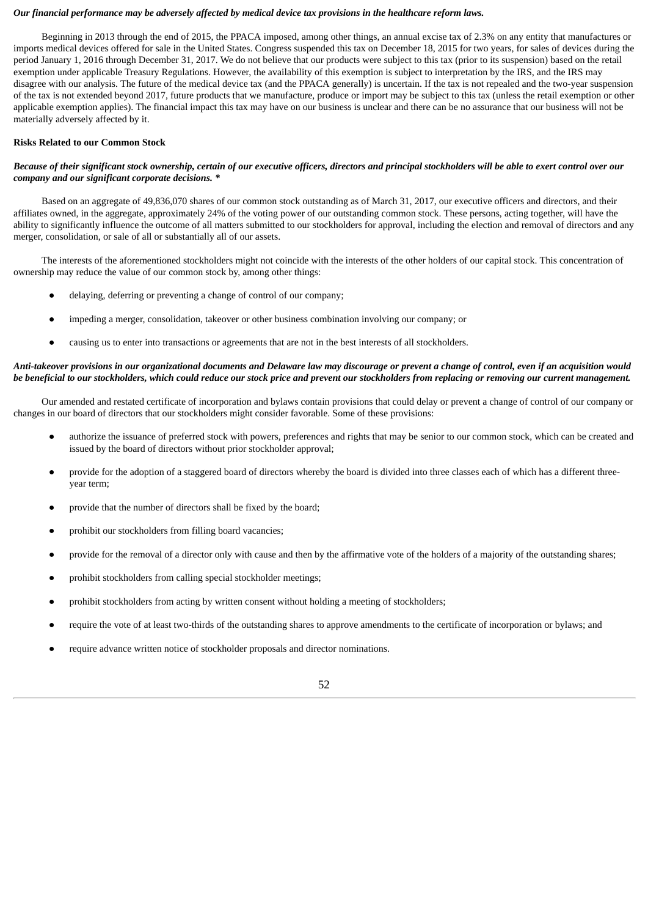#### Our financial performance may be adversely affected by medical device tax provisions in the healthcare reform laws.

Beginning in 2013 through the end of 2015, the PPACA imposed, among other things, an annual excise tax of 2.3% on any entity that manufactures or imports medical devices offered for sale in the United States. Congress suspended this tax on December 18, 2015 for two years, for sales of devices during the period January 1, 2016 through December 31, 2017. We do not believe that our products were subject to this tax (prior to its suspension) based on the retail exemption under applicable Treasury Regulations. However, the availability of this exemption is subject to interpretation by the IRS, and the IRS may disagree with our analysis. The future of the medical device tax (and the PPACA generally) is uncertain. If the tax is not repealed and the two-year suspension of the tax is not extended beyond 2017, future products that we manufacture, produce or import may be subject to this tax (unless the retail exemption or other applicable exemption applies). The financial impact this tax may have on our business is unclear and there can be no assurance that our business will not be materially adversely affected by it.

#### **Risks Related to our Common Stock**

### Because of their significant stock ownership, certain of our executive officers, directors and principal stockholders will be able to exert control over our *company and our significant corporate decisions. \**

Based on an aggregate of 49,836,070 shares of our common stock outstanding as of March 31, 2017, our executive officers and directors, and their affiliates owned, in the aggregate, approximately 24% of the voting power of our outstanding common stock. These persons, acting together, will have the ability to significantly influence the outcome of all matters submitted to our stockholders for approval, including the election and removal of directors and any merger, consolidation, or sale of all or substantially all of our assets.

The interests of the aforementioned stockholders might not coincide with the interests of the other holders of our capital stock. This concentration of ownership may reduce the value of our common stock by, among other things:

- delaying, deferring or preventing a change of control of our company;
- impeding a merger, consolidation, takeover or other business combination involving our company; or
- causing us to enter into transactions or agreements that are not in the best interests of all stockholders.

#### Anti-takeover provisions in our organizational documents and Delaware law may discourage or prevent a change of control, even if an acquisition would be beneficial to our stockholders, which could reduce our stock price and prevent our stockholders from replacing or removing our current management.

Our amended and restated certificate of incorporation and bylaws contain provisions that could delay or prevent a change of control of our company or changes in our board of directors that our stockholders might consider favorable. Some of these provisions:

- authorize the issuance of preferred stock with powers, preferences and rights that may be senior to our common stock, which can be created and issued by the board of directors without prior stockholder approval;
- provide for the adoption of a staggered board of directors whereby the board is divided into three classes each of which has a different threeyear term;
- provide that the number of directors shall be fixed by the board;
- prohibit our stockholders from filling board vacancies;
- provide for the removal of a director only with cause and then by the affirmative vote of the holders of a majority of the outstanding shares;
- prohibit stockholders from calling special stockholder meetings;
- prohibit stockholders from acting by written consent without holding a meeting of stockholders;
- require the vote of at least two-thirds of the outstanding shares to approve amendments to the certificate of incorporation or bylaws; and
- require advance written notice of stockholder proposals and director nominations.

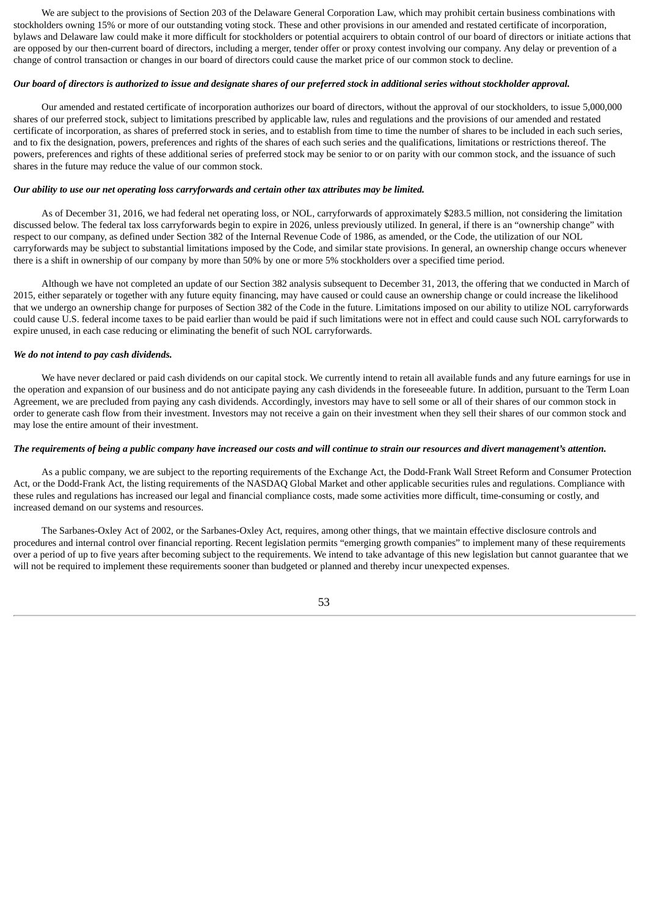We are subject to the provisions of Section 203 of the Delaware General Corporation Law, which may prohibit certain business combinations with stockholders owning 15% or more of our outstanding voting stock. These and other provisions in our amended and restated certificate of incorporation, bylaws and Delaware law could make it more difficult for stockholders or potential acquirers to obtain control of our board of directors or initiate actions that are opposed by our then-current board of directors, including a merger, tender offer or proxy contest involving our company. Any delay or prevention of a change of control transaction or changes in our board of directors could cause the market price of our common stock to decline.

#### Our board of directors is authorized to issue and designate shares of our preferred stock in additional series without stockholder approval.

Our amended and restated certificate of incorporation authorizes our board of directors, without the approval of our stockholders, to issue 5,000,000 shares of our preferred stock, subject to limitations prescribed by applicable law, rules and regulations and the provisions of our amended and restated certificate of incorporation, as shares of preferred stock in series, and to establish from time to time the number of shares to be included in each such series, and to fix the designation, powers, preferences and rights of the shares of each such series and the qualifications, limitations or restrictions thereof. The powers, preferences and rights of these additional series of preferred stock may be senior to or on parity with our common stock, and the issuance of such shares in the future may reduce the value of our common stock.

#### *Our ability to use our net operating loss carryforwards and certain other tax attributes may be limited.*

As of December 31, 2016, we had federal net operating loss, or NOL, carryforwards of approximately \$283.5 million, not considering the limitation discussed below. The federal tax loss carryforwards begin to expire in 2026, unless previously utilized. In general, if there is an "ownership change" with respect to our company, as defined under Section 382 of the Internal Revenue Code of 1986, as amended, or the Code, the utilization of our NOL carryforwards may be subject to substantial limitations imposed by the Code, and similar state provisions. In general, an ownership change occurs whenever there is a shift in ownership of our company by more than 50% by one or more 5% stockholders over a specified time period.

Although we have not completed an update of our Section 382 analysis subsequent to December 31, 2013, the offering that we conducted in March of 2015, either separately or together with any future equity financing, may have caused or could cause an ownership change or could increase the likelihood that we undergo an ownership change for purposes of Section 382 of the Code in the future. Limitations imposed on our ability to utilize NOL carryforwards could cause U.S. federal income taxes to be paid earlier than would be paid if such limitations were not in effect and could cause such NOL carryforwards to expire unused, in each case reducing or eliminating the benefit of such NOL carryforwards.

#### *We do not intend to pay cash dividends.*

We have never declared or paid cash dividends on our capital stock. We currently intend to retain all available funds and any future earnings for use in the operation and expansion of our business and do not anticipate paying any cash dividends in the foreseeable future. In addition, pursuant to the Term Loan Agreement, we are precluded from paying any cash dividends. Accordingly, investors may have to sell some or all of their shares of our common stock in order to generate cash flow from their investment. Investors may not receive a gain on their investment when they sell their shares of our common stock and may lose the entire amount of their investment.

## The requirements of being a public company have increased our costs and will continue to strain our resources and divert management's attention.

As a public company, we are subject to the reporting requirements of the Exchange Act, the Dodd-Frank Wall Street Reform and Consumer Protection Act, or the Dodd-Frank Act, the listing requirements of the NASDAQ Global Market and other applicable securities rules and regulations. Compliance with these rules and regulations has increased our legal and financial compliance costs, made some activities more difficult, time-consuming or costly, and increased demand on our systems and resources.

The Sarbanes-Oxley Act of 2002, or the Sarbanes-Oxley Act, requires, among other things, that we maintain effective disclosure controls and procedures and internal control over financial reporting. Recent legislation permits "emerging growth companies" to implement many of these requirements over a period of up to five years after becoming subject to the requirements. We intend to take advantage of this new legislation but cannot guarantee that we will not be required to implement these requirements sooner than budgeted or planned and thereby incur unexpected expenses.

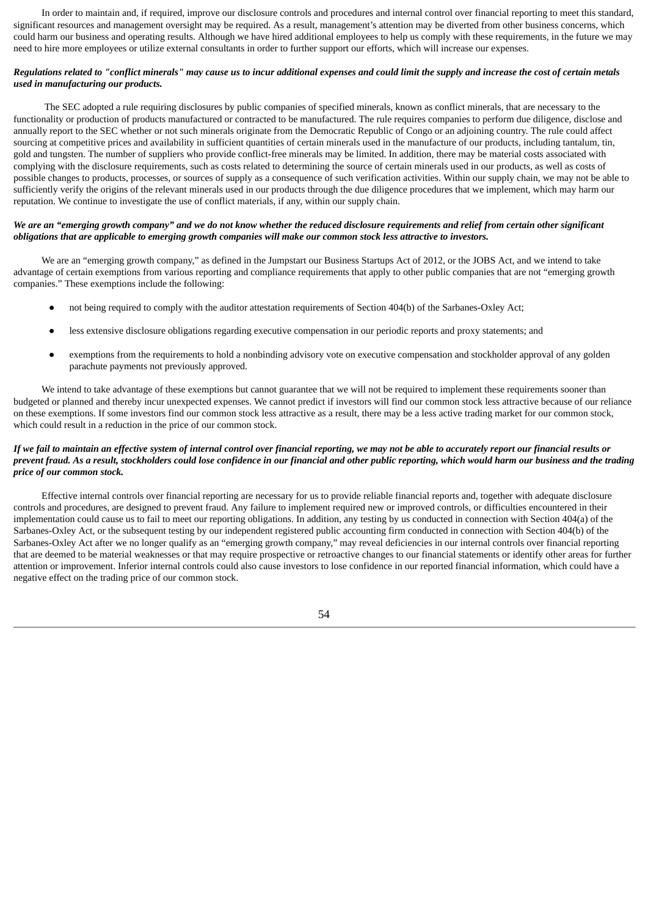In order to maintain and, if required, improve our disclosure controls and procedures and internal control over financial reporting to meet this standard, significant resources and management oversight may be required. As a result, management's attention may be diverted from other business concerns, which could harm our business and operating results. Although we have hired additional employees to help us comply with these requirements, in the future we may need to hire more employees or utilize external consultants in order to further support our efforts, which will increase our expenses.

## Regulations related to "conflict minerals" may cause us to incur additional expenses and could limit the supply and increase the cost of certain metals *used in manufacturing our products.*

The SEC adopted a rule requiring disclosures by public companies of specified minerals, known as conflict minerals, that are necessary to the functionality or production of products manufactured or contracted to be manufactured. The rule requires companies to perform due diligence, disclose and annually report to the SEC whether or not such minerals originate from the Democratic Republic of Congo or an adjoining country. The rule could affect sourcing at competitive prices and availability in sufficient quantities of certain minerals used in the manufacture of our products, including tantalum, tin, gold and tungsten. The number of suppliers who provide conflict-free minerals may be limited. In addition, there may be material costs associated with complying with the disclosure requirements, such as costs related to determining the source of certain minerals used in our products, as well as costs of possible changes to products, processes, or sources of supply as a consequence of such verification activities. Within our supply chain, we may not be able to sufficiently verify the origins of the relevant minerals used in our products through the due diligence procedures that we implement, which may harm our reputation. We continue to investigate the use of conflict materials, if any, within our supply chain.

## We are an "emerging growth company" and we do not know whether the reduced disclosure requirements and relief from certain other significant obligations that are applicable to emerging growth companies will make our common stock less attractive to investors.

We are an "emerging growth company," as defined in the Jumpstart our Business Startups Act of 2012, or the JOBS Act, and we intend to take advantage of certain exemptions from various reporting and compliance requirements that apply to other public companies that are not "emerging growth companies." These exemptions include the following:

- not being required to comply with the auditor attestation requirements of Section 404(b) of the Sarbanes-Oxley Act;
- less extensive disclosure obligations regarding executive compensation in our periodic reports and proxy statements; and
- exemptions from the requirements to hold a nonbinding advisory vote on executive compensation and stockholder approval of any golden parachute payments not previously approved.

We intend to take advantage of these exemptions but cannot guarantee that we will not be required to implement these requirements sooner than budgeted or planned and thereby incur unexpected expenses. We cannot predict if investors will find our common stock less attractive because of our reliance on these exemptions. If some investors find our common stock less attractive as a result, there may be a less active trading market for our common stock, which could result in a reduction in the price of our common stock.

## If we fail to maintain an effective system of internal control over financial reporting, we may not be able to accurately report our financial results or prevent fraud. As a result, stockholders could lose confidence in our financial and other public reporting, which would harm our business and the trading *price of our common stock.*

Effective internal controls over financial reporting are necessary for us to provide reliable financial reports and, together with adequate disclosure controls and procedures, are designed to prevent fraud. Any failure to implement required new or improved controls, or difficulties encountered in their implementation could cause us to fail to meet our reporting obligations. In addition, any testing by us conducted in connection with Section 404(a) of the Sarbanes-Oxley Act, or the subsequent testing by our independent registered public accounting firm conducted in connection with Section 404(b) of the Sarbanes-Oxley Act after we no longer qualify as an "emerging growth company," may reveal deficiencies in our internal controls over financial reporting that are deemed to be material weaknesses or that may require prospective or retroactive changes to our financial statements or identify other areas for further attention or improvement. Inferior internal controls could also cause investors to lose confidence in our reported financial information, which could have a negative effect on the trading price of our common stock.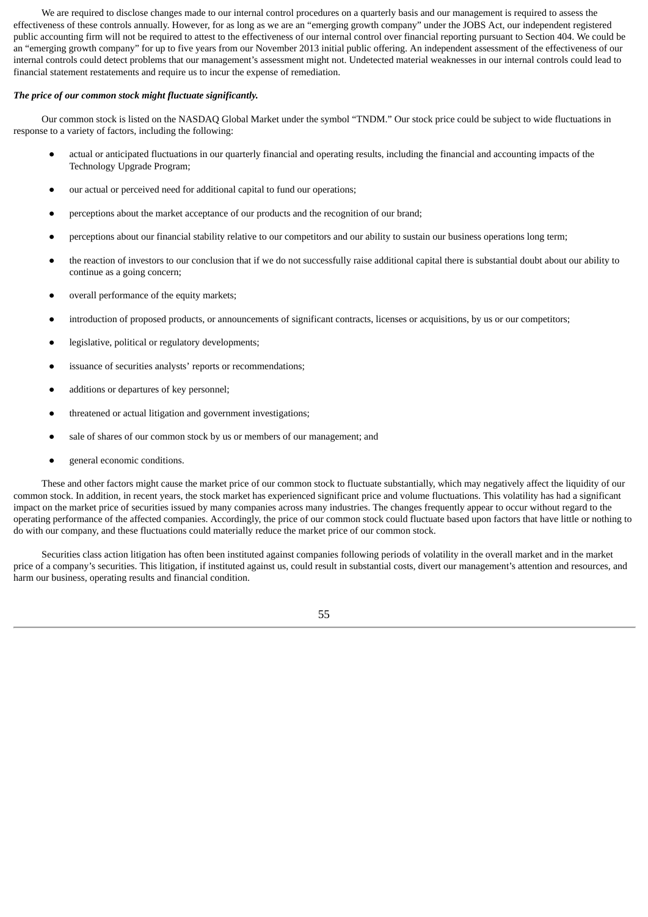We are required to disclose changes made to our internal control procedures on a quarterly basis and our management is required to assess the effectiveness of these controls annually. However, for as long as we are an "emerging growth company" under the JOBS Act, our independent registered public accounting firm will not be required to attest to the effectiveness of our internal control over financial reporting pursuant to Section 404. We could be an "emerging growth company" for up to five years from our November 2013 initial public offering. An independent assessment of the effectiveness of our internal controls could detect problems that our management's assessment might not. Undetected material weaknesses in our internal controls could lead to financial statement restatements and require us to incur the expense of remediation.

### *The price of our common stock might fluctuate significantly.*

Our common stock is listed on the NASDAQ Global Market under the symbol "TNDM." Our stock price could be subject to wide fluctuations in response to a variety of factors, including the following:

- actual or anticipated fluctuations in our quarterly financial and operating results, including the financial and accounting impacts of the Technology Upgrade Program;
- our actual or perceived need for additional capital to fund our operations;
- perceptions about the market acceptance of our products and the recognition of our brand;
- perceptions about our financial stability relative to our competitors and our ability to sustain our business operations long term;
- the reaction of investors to our conclusion that if we do not successfully raise additional capital there is substantial doubt about our ability to continue as a going concern;
- overall performance of the equity markets;
- introduction of proposed products, or announcements of significant contracts, licenses or acquisitions, by us or our competitors;
- legislative, political or regulatory developments;
- issuance of securities analysts' reports or recommendations;
- additions or departures of key personnel;
- threatened or actual litigation and government investigations;
- sale of shares of our common stock by us or members of our management; and
- general economic conditions.

These and other factors might cause the market price of our common stock to fluctuate substantially, which may negatively affect the liquidity of our common stock. In addition, in recent years, the stock market has experienced significant price and volume fluctuations. This volatility has had a significant impact on the market price of securities issued by many companies across many industries. The changes frequently appear to occur without regard to the operating performance of the affected companies. Accordingly, the price of our common stock could fluctuate based upon factors that have little or nothing to do with our company, and these fluctuations could materially reduce the market price of our common stock.

Securities class action litigation has often been instituted against companies following periods of volatility in the overall market and in the market price of a company's securities. This litigation, if instituted against us, could result in substantial costs, divert our management's attention and resources, and harm our business, operating results and financial condition.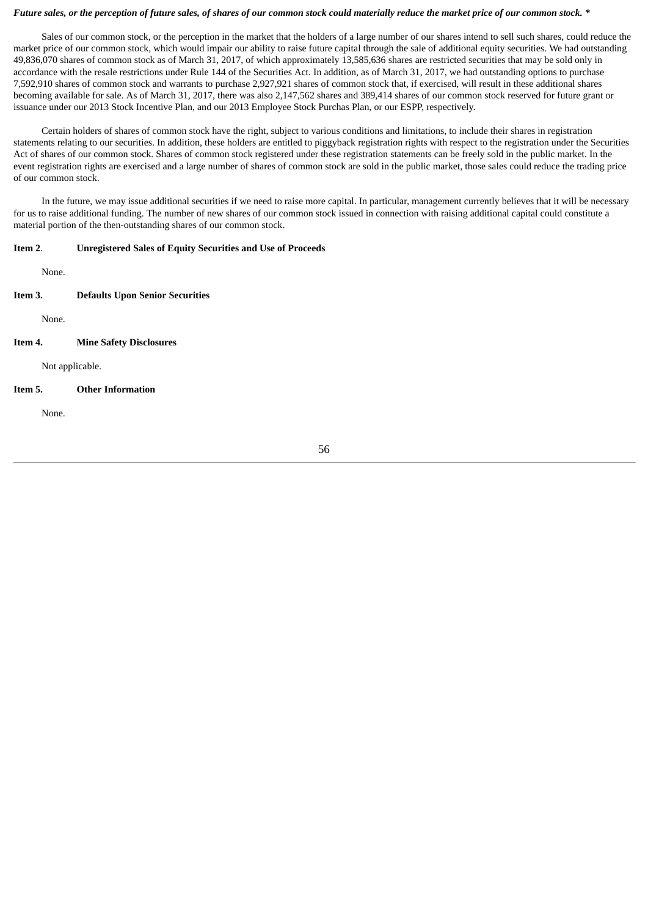#### Future sales, or the perception of future sales, of shares of our common stock could materially reduce the market price of our common stock. \*

Sales of our common stock, or the perception in the market that the holders of a large number of our shares intend to sell such shares, could reduce the market price of our common stock, which would impair our ability to raise future capital through the sale of additional equity securities. We had outstanding 49,836,070 shares of common stock as of March 31, 2017, of which approximately 13,585,636 shares are restricted securities that may be sold only in accordance with the resale restrictions under Rule 144 of the Securities Act. In addition, as of March 31, 2017, we had outstanding options to purchase 7,592,910 shares of common stock and warrants to purchase 2,927,921 shares of common stock that, if exercised, will result in these additional shares becoming available for sale. As of March 31, 2017, there was also 2,147,562 shares and 389,414 shares of our common stock reserved for future grant or issuance under our 2013 Stock Incentive Plan, and our 2013 Employee Stock Purchas Plan, or our ESPP, respectively.

Certain holders of shares of common stock have the right, subject to various conditions and limitations, to include their shares in registration statements relating to our securities. In addition, these holders are entitled to piggyback registration rights with respect to the registration under the Securities Act of shares of our common stock. Shares of common stock registered under these registration statements can be freely sold in the public market. In the event registration rights are exercised and a large number of shares of common stock are sold in the public market, those sales could reduce the trading price of our common stock.

In the future, we may issue additional securities if we need to raise more capital. In particular, management currently believes that it will be necessary for us to raise additional funding. The number of new shares of our common stock issued in connection with raising additional capital could constitute a material portion of the then-outstanding shares of our common stock.

#### **Item 2**. **Unregistered Sales of Equity Securities and Use of Proceeds**

<span id="page-57-0"></span>None.

#### **Item 3. Defaults Upon Senior Securities**

<span id="page-57-2"></span><span id="page-57-1"></span>None.

**Item 4. Mine Safety Disclosures**

<span id="page-57-3"></span>Not applicable.

## **Item 5. Other Information**

None.

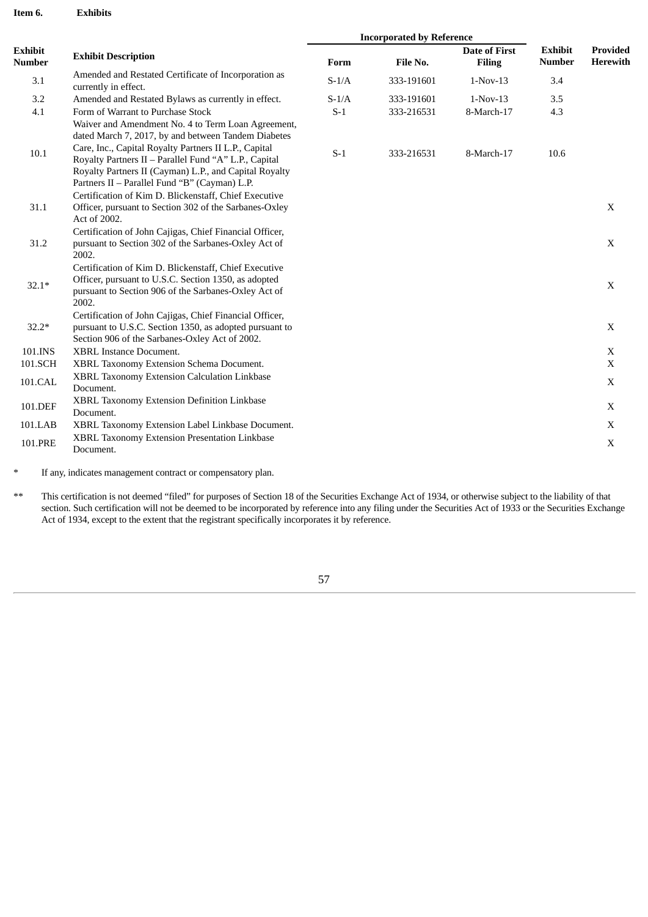## <span id="page-58-0"></span>**Item 6. Exhibits**

|                                 |                                                                                                                                                                                                                                                                                                                                        | <b>Incorporated by Reference</b> |            |                                       |                                 |                                    |
|---------------------------------|----------------------------------------------------------------------------------------------------------------------------------------------------------------------------------------------------------------------------------------------------------------------------------------------------------------------------------------|----------------------------------|------------|---------------------------------------|---------------------------------|------------------------------------|
| <b>Exhibit</b><br><b>Number</b> | <b>Exhibit Description</b>                                                                                                                                                                                                                                                                                                             | Form                             | File No.   | <b>Date of First</b><br><b>Filing</b> | <b>Exhibit</b><br><b>Number</b> | <b>Provided</b><br><b>Herewith</b> |
| 3.1                             | Amended and Restated Certificate of Incorporation as<br>currently in effect.                                                                                                                                                                                                                                                           | $S-1/A$                          | 333-191601 | $1-Nov-13$                            | 3.4                             |                                    |
| 3.2                             | Amended and Restated Bylaws as currently in effect.                                                                                                                                                                                                                                                                                    | $S-1/A$                          | 333-191601 | 1-Nov-13                              | 3.5                             |                                    |
| 4.1                             | Form of Warrant to Purchase Stock                                                                                                                                                                                                                                                                                                      | $S-1$                            | 333-216531 | 8-March-17                            | 4.3                             |                                    |
| 10.1                            | Waiver and Amendment No. 4 to Term Loan Agreement,<br>dated March 7, 2017, by and between Tandem Diabetes<br>Care, Inc., Capital Royalty Partners II L.P., Capital<br>Royalty Partners II - Parallel Fund "A" L.P., Capital<br>Royalty Partners II (Cayman) L.P., and Capital Royalty<br>Partners II - Parallel Fund "B" (Cayman) L.P. | $S-1$                            | 333-216531 | 8-March-17                            | 10.6                            |                                    |
| 31.1                            | Certification of Kim D. Blickenstaff, Chief Executive<br>Officer, pursuant to Section 302 of the Sarbanes-Oxley<br>Act of 2002.                                                                                                                                                                                                        |                                  |            |                                       |                                 | X                                  |
| 31.2                            | Certification of John Cajigas, Chief Financial Officer,<br>pursuant to Section 302 of the Sarbanes-Oxley Act of<br>2002.                                                                                                                                                                                                               |                                  |            |                                       |                                 | $\mathbf X$                        |
| $32.1*$                         | Certification of Kim D. Blickenstaff, Chief Executive<br>Officer, pursuant to U.S.C. Section 1350, as adopted<br>pursuant to Section 906 of the Sarbanes-Oxley Act of<br>2002.                                                                                                                                                         |                                  |            |                                       |                                 | X                                  |
| $32.2*$                         | Certification of John Cajigas, Chief Financial Officer,<br>pursuant to U.S.C. Section 1350, as adopted pursuant to<br>Section 906 of the Sarbanes-Oxley Act of 2002.                                                                                                                                                                   |                                  |            |                                       |                                 | X                                  |
| 101.INS                         | <b>XBRL Instance Document.</b>                                                                                                                                                                                                                                                                                                         |                                  |            |                                       |                                 | X                                  |
| 101.SCH                         | XBRL Taxonomy Extension Schema Document.                                                                                                                                                                                                                                                                                               |                                  |            |                                       |                                 | X                                  |
| 101.CAL                         | XBRL Taxonomy Extension Calculation Linkbase<br>Document.                                                                                                                                                                                                                                                                              |                                  |            |                                       |                                 | X                                  |
| 101.DEF                         | XBRL Taxonomy Extension Definition Linkbase<br>Document.                                                                                                                                                                                                                                                                               |                                  |            |                                       |                                 | X                                  |
| 101.LAB                         | XBRL Taxonomy Extension Label Linkbase Document.                                                                                                                                                                                                                                                                                       |                                  |            |                                       |                                 | X                                  |
| 101.PRE                         | XBRL Taxonomy Extension Presentation Linkbase<br>Document.                                                                                                                                                                                                                                                                             |                                  |            |                                       |                                 | $\mathbf X$                        |

\* If any, indicates management contract or compensatory plan.

This certification is not deemed "filed" for purposes of Section 18 of the Securities Exchange Act of 1934, or otherwise subject to the liability of that section. Such certification will not be deemed to be incorporated by reference into any filing under the Securities Act of 1933 or the Securities Exchange Act of 1934, except to the extent that the registrant specifically incorporates it by reference.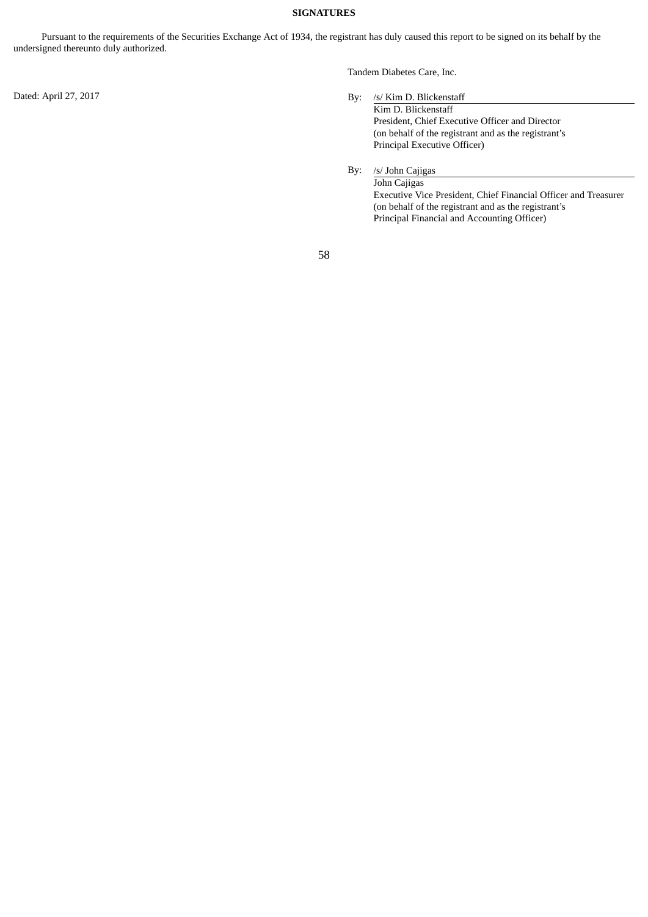## **SIGNATURES**

Pursuant to the requirements of the Securities Exchange Act of 1934, the registrant has duly caused this report to be signed on its behalf by the undersigned thereunto duly authorized.

Tandem Diabetes Care, Inc.

# Dated: April 27, 2017 By: /s/ Kim D. Blickenstaff Kim D. Blickenstaff

President, Chief Executive Officer and Director (on behalf of the registrant and as the registrant's Principal Executive Officer)

By: /s/ John Cajigas

John Cajigas Executive Vice President, Chief Financial Officer and Treasurer (on behalf of the registrant and as the registrant's Principal Financial and Accounting Officer)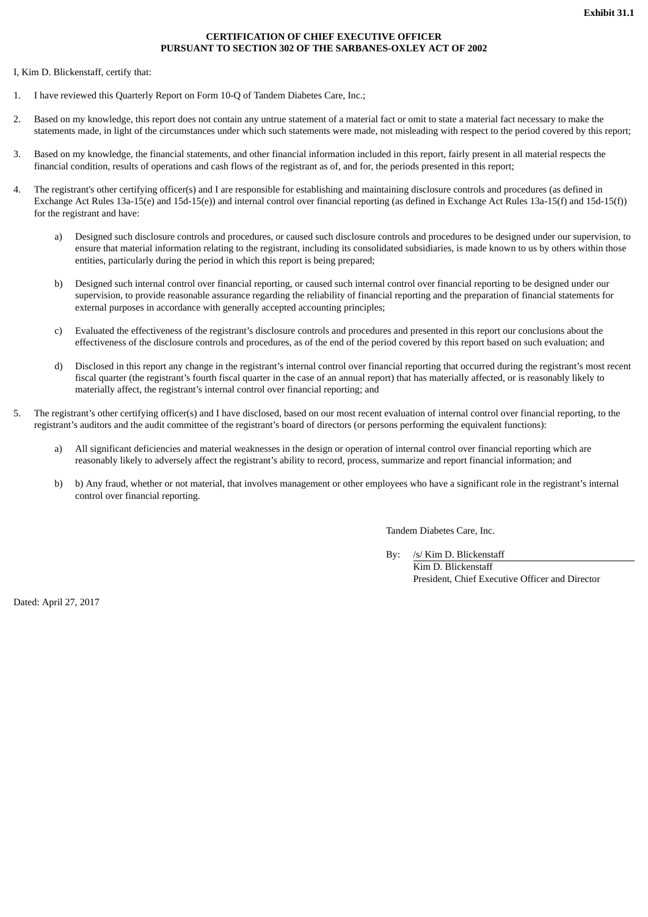## **CERTIFICATION OF CHIEF EXECUTIVE OFFICER PURSUANT TO SECTION 302 OF THE SARBANES-OXLEY ACT OF 2002**

I, Kim D. Blickenstaff, certify that:

- 1. I have reviewed this Quarterly Report on Form 10-Q of Tandem Diabetes Care, Inc.;
- 2. Based on my knowledge, this report does not contain any untrue statement of a material fact or omit to state a material fact necessary to make the statements made, in light of the circumstances under which such statements were made, not misleading with respect to the period covered by this report;
- 3. Based on my knowledge, the financial statements, and other financial information included in this report, fairly present in all material respects the financial condition, results of operations and cash flows of the registrant as of, and for, the periods presented in this report;
- 4. The registrant's other certifying officer(s) and I are responsible for establishing and maintaining disclosure controls and procedures (as defined in Exchange Act Rules 13a-15(e) and 15d-15(e)) and internal control over financial reporting (as defined in Exchange Act Rules 13a-15(f) and 15d-15(f)) for the registrant and have:
	- a) Designed such disclosure controls and procedures, or caused such disclosure controls and procedures to be designed under our supervision, to ensure that material information relating to the registrant, including its consolidated subsidiaries, is made known to us by others within those entities, particularly during the period in which this report is being prepared;
	- b) Designed such internal control over financial reporting, or caused such internal control over financial reporting to be designed under our supervision, to provide reasonable assurance regarding the reliability of financial reporting and the preparation of financial statements for external purposes in accordance with generally accepted accounting principles;
	- c) Evaluated the effectiveness of the registrant's disclosure controls and procedures and presented in this report our conclusions about the effectiveness of the disclosure controls and procedures, as of the end of the period covered by this report based on such evaluation; and
	- d) Disclosed in this report any change in the registrant's internal control over financial reporting that occurred during the registrant's most recent fiscal quarter (the registrant's fourth fiscal quarter in the case of an annual report) that has materially affected, or is reasonably likely to materially affect, the registrant's internal control over financial reporting; and
- 5. The registrant's other certifying officer(s) and I have disclosed, based on our most recent evaluation of internal control over financial reporting, to the registrant's auditors and the audit committee of the registrant's board of directors (or persons performing the equivalent functions):
	- a) All significant deficiencies and material weaknesses in the design or operation of internal control over financial reporting which are reasonably likely to adversely affect the registrant's ability to record, process, summarize and report financial information; and
	- b) b) Any fraud, whether or not material, that involves management or other employees who have a significant role in the registrant's internal control over financial reporting.

Tandem Diabetes Care, Inc.

By: /s/ Kim D. Blickenstaff

Kim D. Blickenstaff President, Chief Executive Officer and Director

Dated: April 27, 2017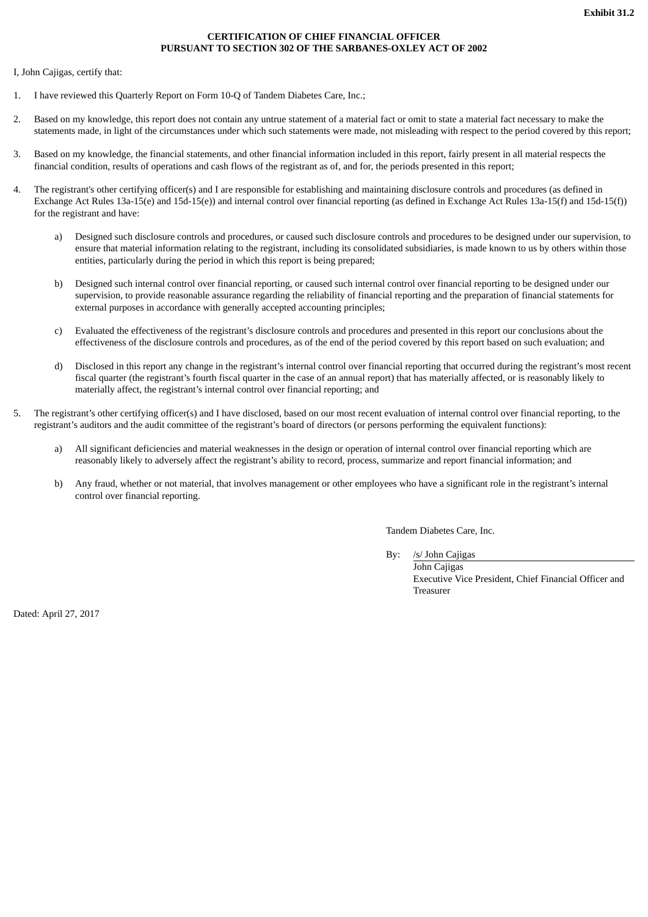## **CERTIFICATION OF CHIEF FINANCIAL OFFICER PURSUANT TO SECTION 302 OF THE SARBANES-OXLEY ACT OF 2002**

I, John Cajigas, certify that:

- 1. I have reviewed this Quarterly Report on Form 10-Q of Tandem Diabetes Care, Inc.;
- 2. Based on my knowledge, this report does not contain any untrue statement of a material fact or omit to state a material fact necessary to make the statements made, in light of the circumstances under which such statements were made, not misleading with respect to the period covered by this report;
- 3. Based on my knowledge, the financial statements, and other financial information included in this report, fairly present in all material respects the financial condition, results of operations and cash flows of the registrant as of, and for, the periods presented in this report;
- 4. The registrant's other certifying officer(s) and I are responsible for establishing and maintaining disclosure controls and procedures (as defined in Exchange Act Rules 13a-15(e) and 15d-15(e)) and internal control over financial reporting (as defined in Exchange Act Rules 13a-15(f) and 15d-15(f)) for the registrant and have:
	- a) Designed such disclosure controls and procedures, or caused such disclosure controls and procedures to be designed under our supervision, to ensure that material information relating to the registrant, including its consolidated subsidiaries, is made known to us by others within those entities, particularly during the period in which this report is being prepared;
	- b) Designed such internal control over financial reporting, or caused such internal control over financial reporting to be designed under our supervision, to provide reasonable assurance regarding the reliability of financial reporting and the preparation of financial statements for external purposes in accordance with generally accepted accounting principles;
	- c) Evaluated the effectiveness of the registrant's disclosure controls and procedures and presented in this report our conclusions about the effectiveness of the disclosure controls and procedures, as of the end of the period covered by this report based on such evaluation; and
	- d) Disclosed in this report any change in the registrant's internal control over financial reporting that occurred during the registrant's most recent fiscal quarter (the registrant's fourth fiscal quarter in the case of an annual report) that has materially affected, or is reasonably likely to materially affect, the registrant's internal control over financial reporting; and
- 5. The registrant's other certifying officer(s) and I have disclosed, based on our most recent evaluation of internal control over financial reporting, to the registrant's auditors and the audit committee of the registrant's board of directors (or persons performing the equivalent functions):
	- a) All significant deficiencies and material weaknesses in the design or operation of internal control over financial reporting which are reasonably likely to adversely affect the registrant's ability to record, process, summarize and report financial information; and
	- b) Any fraud, whether or not material, that involves management or other employees who have a significant role in the registrant's internal control over financial reporting.

Tandem Diabetes Care, Inc.

By: /s/ John Cajigas

John Cajigas Executive Vice President, Chief Financial Officer and Treasurer

Dated: April 27, 2017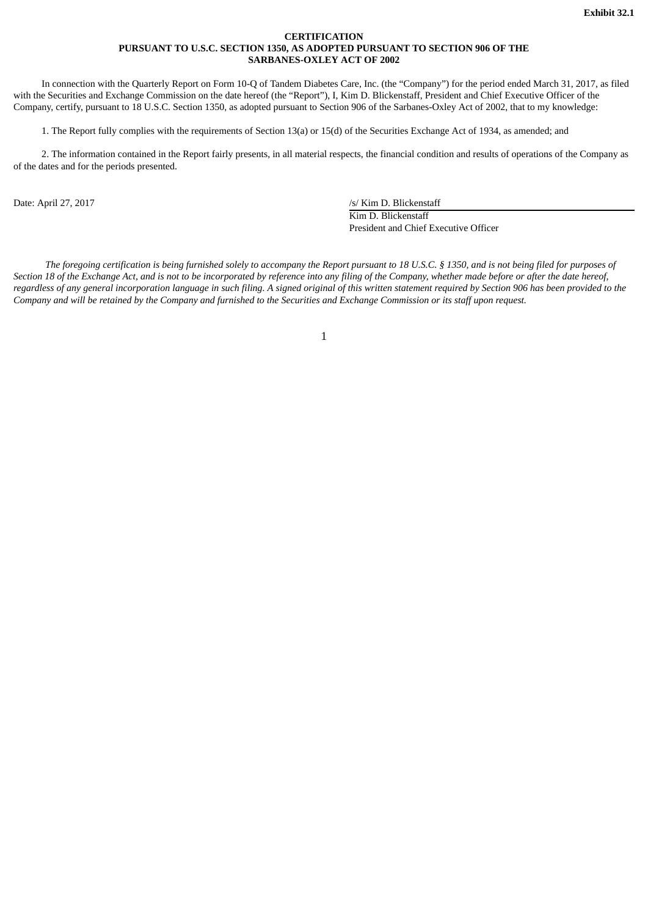## **CERTIFICATION PURSUANT TO U.S.C. SECTION 1350, AS ADOPTED PURSUANT TO SECTION 906 OF THE SARBANES-OXLEY ACT OF 2002**

In connection with the Quarterly Report on Form 10-Q of Tandem Diabetes Care, Inc. (the "Company") for the period ended March 31, 2017, as filed with the Securities and Exchange Commission on the date hereof (the "Report"), I, Kim D. Blickenstaff, President and Chief Executive Officer of the Company, certify, pursuant to 18 U.S.C. Section 1350, as adopted pursuant to Section 906 of the Sarbanes-Oxley Act of 2002, that to my knowledge:

1. The Report fully complies with the requirements of Section 13(a) or 15(d) of the Securities Exchange Act of 1934, as amended; and

2. The information contained in the Report fairly presents, in all material respects, the financial condition and results of operations of the Company as of the dates and for the periods presented.

Date: April 27, 2017 /s/ Kim D. Blickenstaff Kim D. Blickenstaff President and Chief Executive Officer

The foregoing certification is being furnished solely to accompany the Report pursuant to 18 U.S.C. § 1350, and is not being filed for purposes of Section 18 of the Exchange Act, and is not to be incorporated by reference into any filing of the Company, whether made before or after the date hereof, regardless of any general incorporation language in such filing. A signed original of this written statement required by Section 906 has been provided to the Company and will be retained by the Company and furnished to the Securities and Exchanae Commission or its staff upon request.